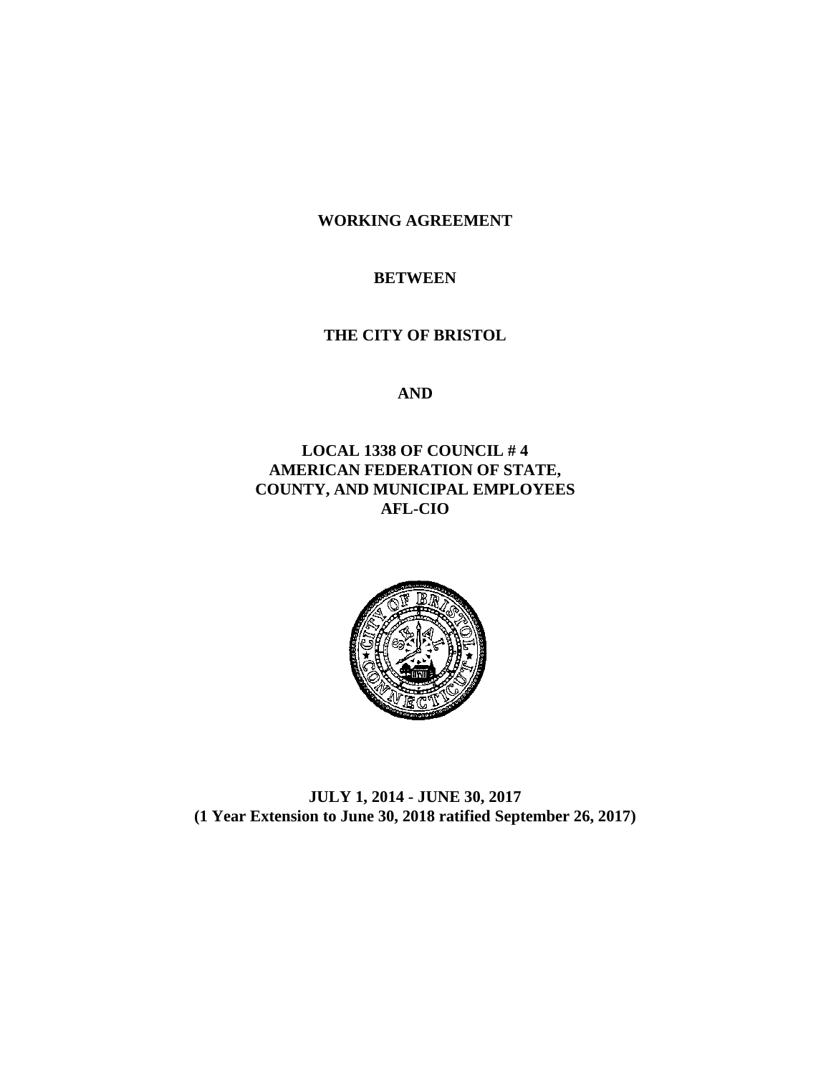**WORKING AGREEMENT**

#### **BETWEEN**

**THE CITY OF BRISTOL**

**AND**

## **LOCAL 1338 OF COUNCIL # 4 AMERICAN FEDERATION OF STATE, COUNTY, AND MUNICIPAL EMPLOYEES AFL-CIO**



**JULY 1, 2014 - JUNE 30, 2017 (1 Year Extension to June 30, 2018 ratified September 26, 2017)**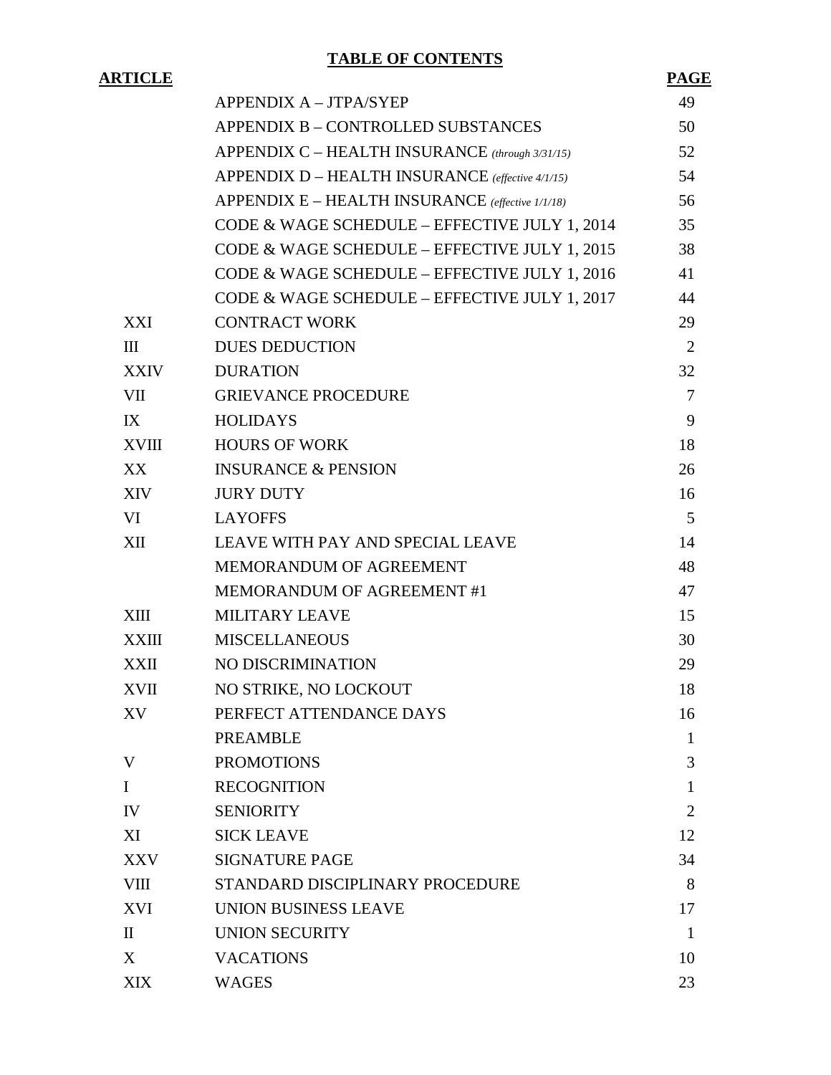# **TABLE OF CONTENTS**

# **ARTICLE PAGE**

|              | APPENDIX A - JTPA/SYEP                           | 49             |
|--------------|--------------------------------------------------|----------------|
|              | APPENDIX B - CONTROLLED SUBSTANCES               | 50             |
|              | APPENDIX C - HEALTH INSURANCE (through 3/31/15)  | 52             |
|              | APPENDIX D - HEALTH INSURANCE (effective 4/1/15) | 54             |
|              | APPENDIX E – HEALTH INSURANCE (effective 1/1/18) | 56             |
|              | CODE & WAGE SCHEDULE - EFFECTIVE JULY 1, 2014    | 35             |
|              | CODE & WAGE SCHEDULE - EFFECTIVE JULY 1, 2015    | 38             |
|              | CODE & WAGE SCHEDULE - EFFECTIVE JULY 1, 2016    | 41             |
|              | CODE & WAGE SCHEDULE - EFFECTIVE JULY 1, 2017    | 44             |
| XXI          | <b>CONTRACT WORK</b>                             | 29             |
| III          | <b>DUES DEDUCTION</b>                            | $\overline{2}$ |
| <b>XXIV</b>  | <b>DURATION</b>                                  | 32             |
| VII          | <b>GRIEVANCE PROCEDURE</b>                       | $\overline{7}$ |
| IX           | <b>HOLIDAYS</b>                                  | 9              |
| XVIII        | <b>HOURS OF WORK</b>                             | 18             |
| XX           | <b>INSURANCE &amp; PENSION</b>                   | 26             |
| XIV          | <b>JURY DUTY</b>                                 | 16             |
| VI           | <b>LAYOFFS</b>                                   | 5              |
| XII          | LEAVE WITH PAY AND SPECIAL LEAVE                 | 14             |
|              | MEMORANDUM OF AGREEMENT                          | 48             |
|              | MEMORANDUM OF AGREEMENT #1                       | 47             |
| XIII         | <b>MILITARY LEAVE</b>                            | 15             |
| XXIII        | <b>MISCELLANEOUS</b>                             | 30             |
| XXII         | NO DISCRIMINATION                                | 29             |
| <b>XVII</b>  | NO STRIKE, NO LOCKOUT                            | 18             |
| XV           | PERFECT ATTENDANCE DAYS                          | 16             |
|              | <b>PREAMBLE</b>                                  | $\mathbf{1}$   |
| V            | <b>PROMOTIONS</b>                                | 3              |
| $\mathbf I$  | <b>RECOGNITION</b>                               | 1              |
| IV           | <b>SENIORITY</b>                                 | $\overline{2}$ |
| XI           | <b>SICK LEAVE</b>                                | 12             |
| XXV          | <b>SIGNATURE PAGE</b>                            | 34             |
| <b>VIII</b>  | STANDARD DISCIPLINARY PROCEDURE                  | 8              |
| <b>XVI</b>   | UNION BUSINESS LEAVE                             | 17             |
| $\mathbf{I}$ | <b>UNION SECURITY</b>                            | $\mathbf{1}$   |
| X            | <b>VACATIONS</b>                                 | 10             |
| <b>XIX</b>   | <b>WAGES</b>                                     | 23             |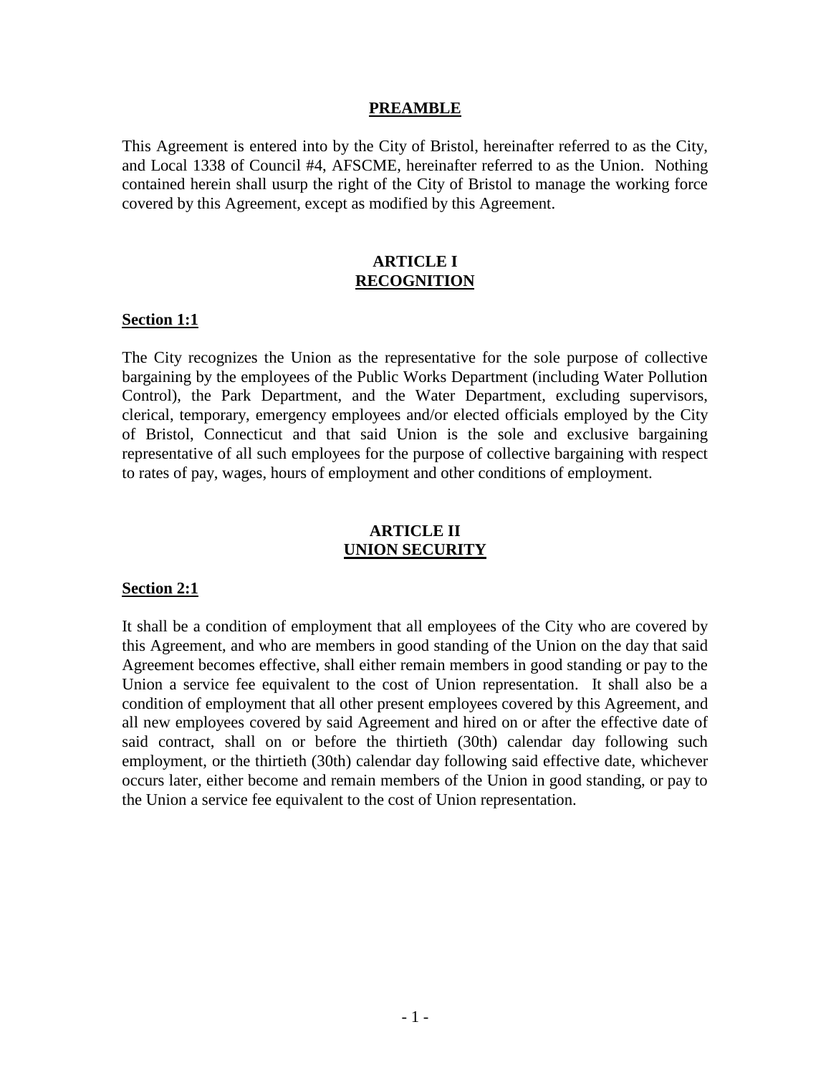#### **PREAMBLE**

This Agreement is entered into by the City of Bristol, hereinafter referred to as the City, and Local 1338 of Council #4, AFSCME, hereinafter referred to as the Union. Nothing contained herein shall usurp the right of the City of Bristol to manage the working force covered by this Agreement, except as modified by this Agreement.

#### **ARTICLE I RECOGNITION**

#### **Section 1:1**

The City recognizes the Union as the representative for the sole purpose of collective bargaining by the employees of the Public Works Department (including Water Pollution Control), the Park Department, and the Water Department, excluding supervisors, clerical, temporary, emergency employees and/or elected officials employed by the City of Bristol, Connecticut and that said Union is the sole and exclusive bargaining representative of all such employees for the purpose of collective bargaining with respect to rates of pay, wages, hours of employment and other conditions of employment.

#### **ARTICLE II UNION SECURITY**

#### **Section 2:1**

It shall be a condition of employment that all employees of the City who are covered by this Agreement, and who are members in good standing of the Union on the day that said Agreement becomes effective, shall either remain members in good standing or pay to the Union a service fee equivalent to the cost of Union representation. It shall also be a condition of employment that all other present employees covered by this Agreement, and all new employees covered by said Agreement and hired on or after the effective date of said contract, shall on or before the thirtieth (30th) calendar day following such employment, or the thirtieth (30th) calendar day following said effective date, whichever occurs later, either become and remain members of the Union in good standing, or pay to the Union a service fee equivalent to the cost of Union representation.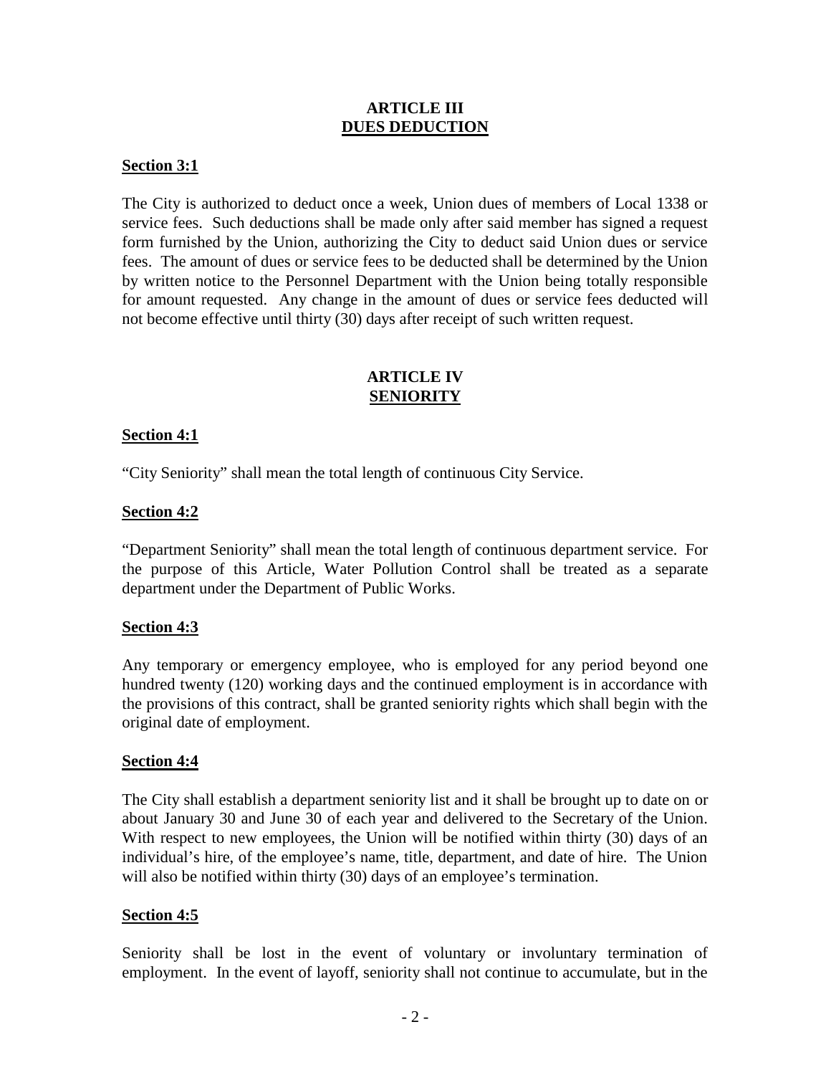#### **ARTICLE III DUES DEDUCTION**

#### **Section 3:1**

The City is authorized to deduct once a week, Union dues of members of Local 1338 or service fees. Such deductions shall be made only after said member has signed a request form furnished by the Union, authorizing the City to deduct said Union dues or service fees. The amount of dues or service fees to be deducted shall be determined by the Union by written notice to the Personnel Department with the Union being totally responsible for amount requested. Any change in the amount of dues or service fees deducted will not become effective until thirty (30) days after receipt of such written request.

#### **ARTICLE IV SENIORITY**

#### **Section 4:1**

"City Seniority" shall mean the total length of continuous City Service.

#### **Section 4:2**

"Department Seniority" shall mean the total length of continuous department service. For the purpose of this Article, Water Pollution Control shall be treated as a separate department under the Department of Public Works.

#### **Section 4:3**

Any temporary or emergency employee, who is employed for any period beyond one hundred twenty (120) working days and the continued employment is in accordance with the provisions of this contract, shall be granted seniority rights which shall begin with the original date of employment.

#### **Section 4:4**

The City shall establish a department seniority list and it shall be brought up to date on or about January 30 and June 30 of each year and delivered to the Secretary of the Union. With respect to new employees, the Union will be notified within thirty (30) days of an individual's hire, of the employee's name, title, department, and date of hire. The Union will also be notified within thirty (30) days of an employee's termination.

## **Section 4:5**

Seniority shall be lost in the event of voluntary or involuntary termination of employment. In the event of layoff, seniority shall not continue to accumulate, but in the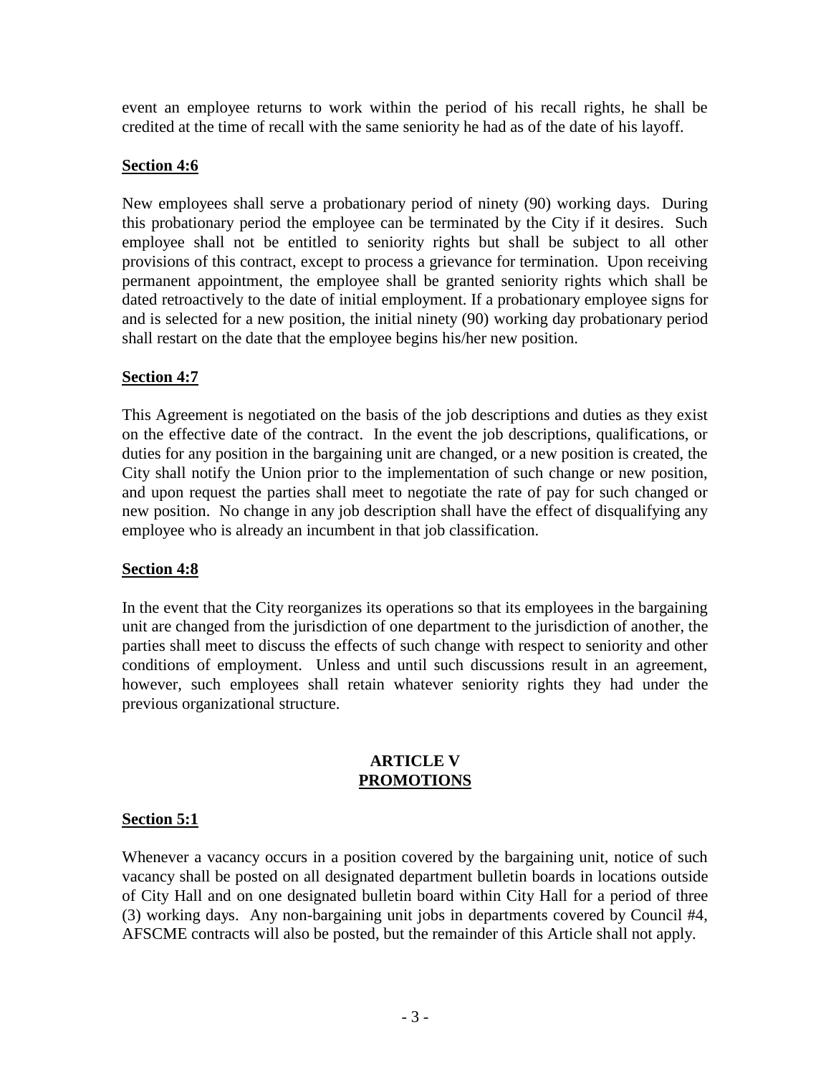event an employee returns to work within the period of his recall rights, he shall be credited at the time of recall with the same seniority he had as of the date of his layoff.

# **Section 4:6**

New employees shall serve a probationary period of ninety (90) working days. During this probationary period the employee can be terminated by the City if it desires. Such employee shall not be entitled to seniority rights but shall be subject to all other provisions of this contract, except to process a grievance for termination. Upon receiving permanent appointment, the employee shall be granted seniority rights which shall be dated retroactively to the date of initial employment. If a probationary employee signs for and is selected for a new position, the initial ninety (90) working day probationary period shall restart on the date that the employee begins his/her new position.

# **Section 4:7**

This Agreement is negotiated on the basis of the job descriptions and duties as they exist on the effective date of the contract. In the event the job descriptions, qualifications, or duties for any position in the bargaining unit are changed, or a new position is created, the City shall notify the Union prior to the implementation of such change or new position, and upon request the parties shall meet to negotiate the rate of pay for such changed or new position. No change in any job description shall have the effect of disqualifying any employee who is already an incumbent in that job classification.

## **Section 4:8**

In the event that the City reorganizes its operations so that its employees in the bargaining unit are changed from the jurisdiction of one department to the jurisdiction of another, the parties shall meet to discuss the effects of such change with respect to seniority and other conditions of employment. Unless and until such discussions result in an agreement, however, such employees shall retain whatever seniority rights they had under the previous organizational structure.

#### **ARTICLE V PROMOTIONS**

# **Section 5:1**

Whenever a vacancy occurs in a position covered by the bargaining unit, notice of such vacancy shall be posted on all designated department bulletin boards in locations outside of City Hall and on one designated bulletin board within City Hall for a period of three (3) working days. Any non-bargaining unit jobs in departments covered by Council #4, AFSCME contracts will also be posted, but the remainder of this Article shall not apply.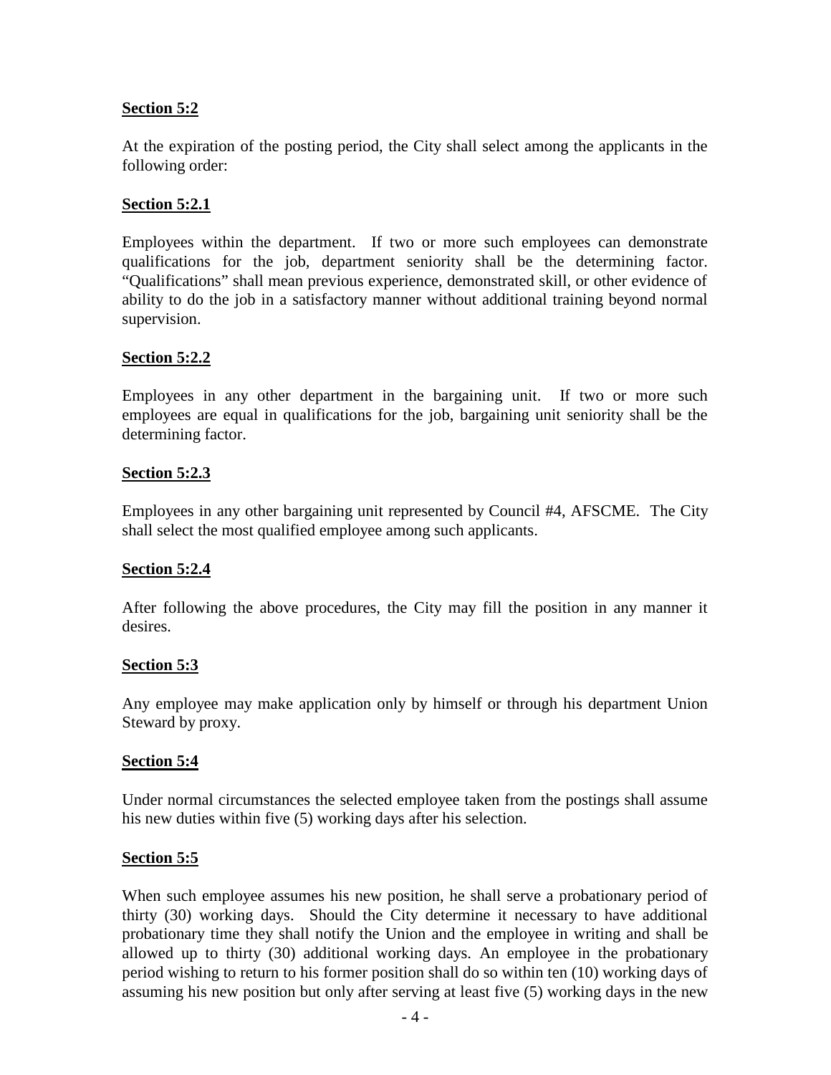## **Section 5:2**

At the expiration of the posting period, the City shall select among the applicants in the following order:

# **Section 5:2.1**

Employees within the department. If two or more such employees can demonstrate qualifications for the job, department seniority shall be the determining factor. "Qualifications" shall mean previous experience, demonstrated skill, or other evidence of ability to do the job in a satisfactory manner without additional training beyond normal supervision.

# **Section 5:2.2**

Employees in any other department in the bargaining unit. If two or more such employees are equal in qualifications for the job, bargaining unit seniority shall be the determining factor.

# **Section 5:2.3**

Employees in any other bargaining unit represented by Council #4, AFSCME. The City shall select the most qualified employee among such applicants.

## **Section 5:2.4**

After following the above procedures, the City may fill the position in any manner it desires.

## **Section 5:3**

Any employee may make application only by himself or through his department Union Steward by proxy.

## **Section 5:4**

Under normal circumstances the selected employee taken from the postings shall assume his new duties within five (5) working days after his selection.

## **Section 5:5**

When such employee assumes his new position, he shall serve a probationary period of thirty (30) working days. Should the City determine it necessary to have additional probationary time they shall notify the Union and the employee in writing and shall be allowed up to thirty (30) additional working days. An employee in the probationary period wishing to return to his former position shall do so within ten (10) working days of assuming his new position but only after serving at least five (5) working days in the new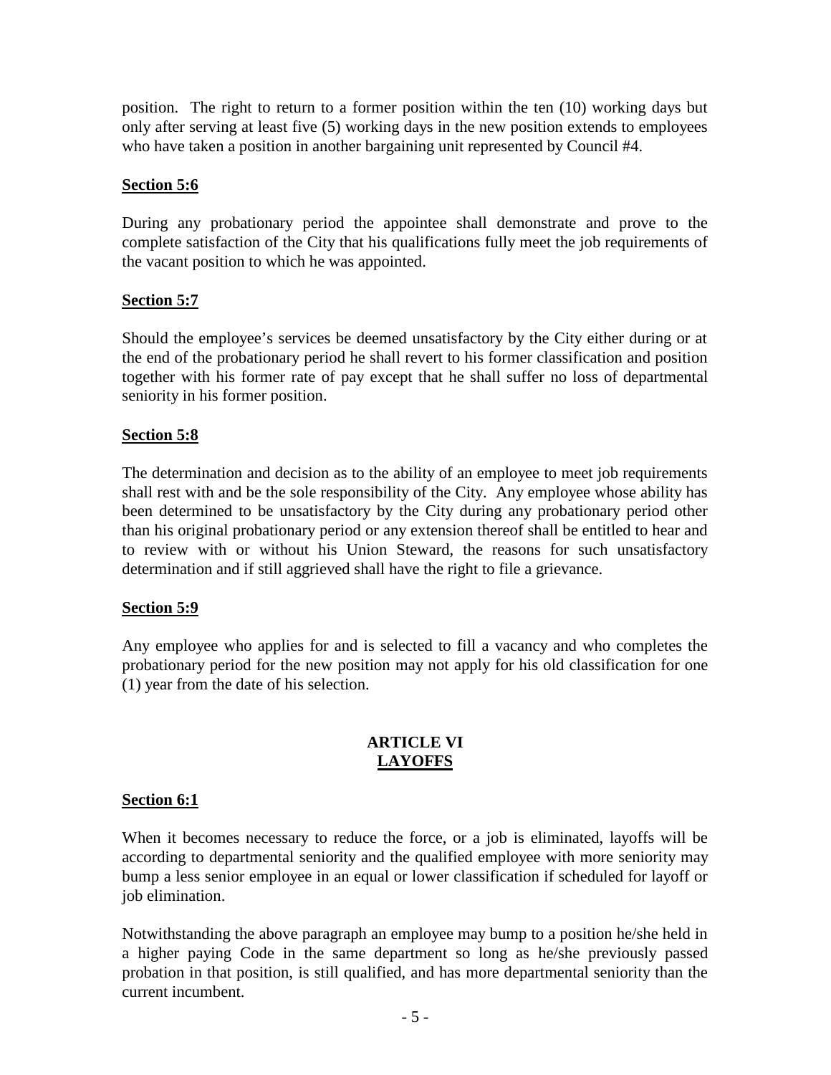position. The right to return to a former position within the ten (10) working days but only after serving at least five (5) working days in the new position extends to employees who have taken a position in another bargaining unit represented by Council #4.

# **Section 5:6**

During any probationary period the appointee shall demonstrate and prove to the complete satisfaction of the City that his qualifications fully meet the job requirements of the vacant position to which he was appointed.

# **Section 5:7**

Should the employee's services be deemed unsatisfactory by the City either during or at the end of the probationary period he shall revert to his former classification and position together with his former rate of pay except that he shall suffer no loss of departmental seniority in his former position.

# **Section 5:8**

The determination and decision as to the ability of an employee to meet job requirements shall rest with and be the sole responsibility of the City. Any employee whose ability has been determined to be unsatisfactory by the City during any probationary period other than his original probationary period or any extension thereof shall be entitled to hear and to review with or without his Union Steward, the reasons for such unsatisfactory determination and if still aggrieved shall have the right to file a grievance.

## **Section 5:9**

Any employee who applies for and is selected to fill a vacancy and who completes the probationary period for the new position may not apply for his old classification for one (1) year from the date of his selection.

## **ARTICLE VI LAYOFFS**

## **Section 6:1**

When it becomes necessary to reduce the force, or a job is eliminated, layoffs will be according to departmental seniority and the qualified employee with more seniority may bump a less senior employee in an equal or lower classification if scheduled for layoff or job elimination.

Notwithstanding the above paragraph an employee may bump to a position he/she held in a higher paying Code in the same department so long as he/she previously passed probation in that position, is still qualified, and has more departmental seniority than the current incumbent.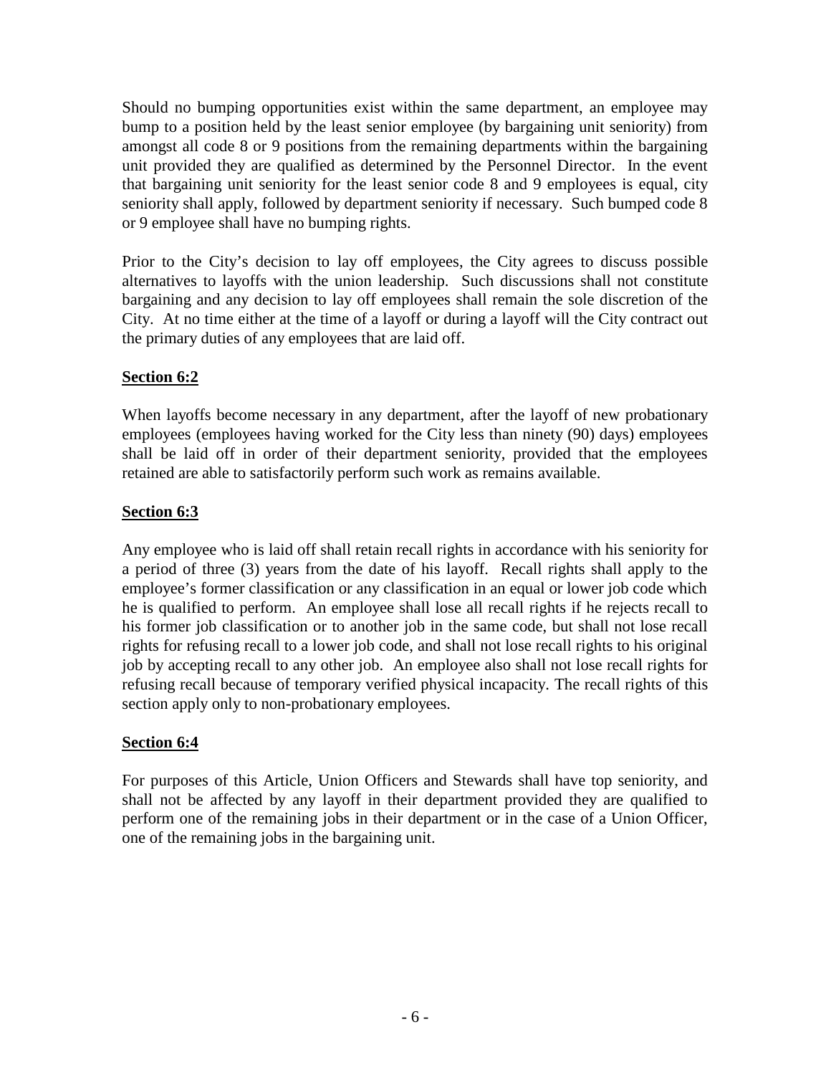Should no bumping opportunities exist within the same department, an employee may bump to a position held by the least senior employee (by bargaining unit seniority) from amongst all code 8 or 9 positions from the remaining departments within the bargaining unit provided they are qualified as determined by the Personnel Director. In the event that bargaining unit seniority for the least senior code 8 and 9 employees is equal, city seniority shall apply, followed by department seniority if necessary. Such bumped code 8 or 9 employee shall have no bumping rights.

Prior to the City's decision to lay off employees, the City agrees to discuss possible alternatives to layoffs with the union leadership. Such discussions shall not constitute bargaining and any decision to lay off employees shall remain the sole discretion of the City. At no time either at the time of a layoff or during a layoff will the City contract out the primary duties of any employees that are laid off.

# **Section 6:2**

When layoffs become necessary in any department, after the layoff of new probationary employees (employees having worked for the City less than ninety (90) days) employees shall be laid off in order of their department seniority, provided that the employees retained are able to satisfactorily perform such work as remains available.

# **Section 6:3**

Any employee who is laid off shall retain recall rights in accordance with his seniority for a period of three (3) years from the date of his layoff. Recall rights shall apply to the employee's former classification or any classification in an equal or lower job code which he is qualified to perform. An employee shall lose all recall rights if he rejects recall to his former job classification or to another job in the same code, but shall not lose recall rights for refusing recall to a lower job code, and shall not lose recall rights to his original job by accepting recall to any other job. An employee also shall not lose recall rights for refusing recall because of temporary verified physical incapacity. The recall rights of this section apply only to non-probationary employees.

# **Section 6:4**

For purposes of this Article, Union Officers and Stewards shall have top seniority, and shall not be affected by any layoff in their department provided they are qualified to perform one of the remaining jobs in their department or in the case of a Union Officer, one of the remaining jobs in the bargaining unit.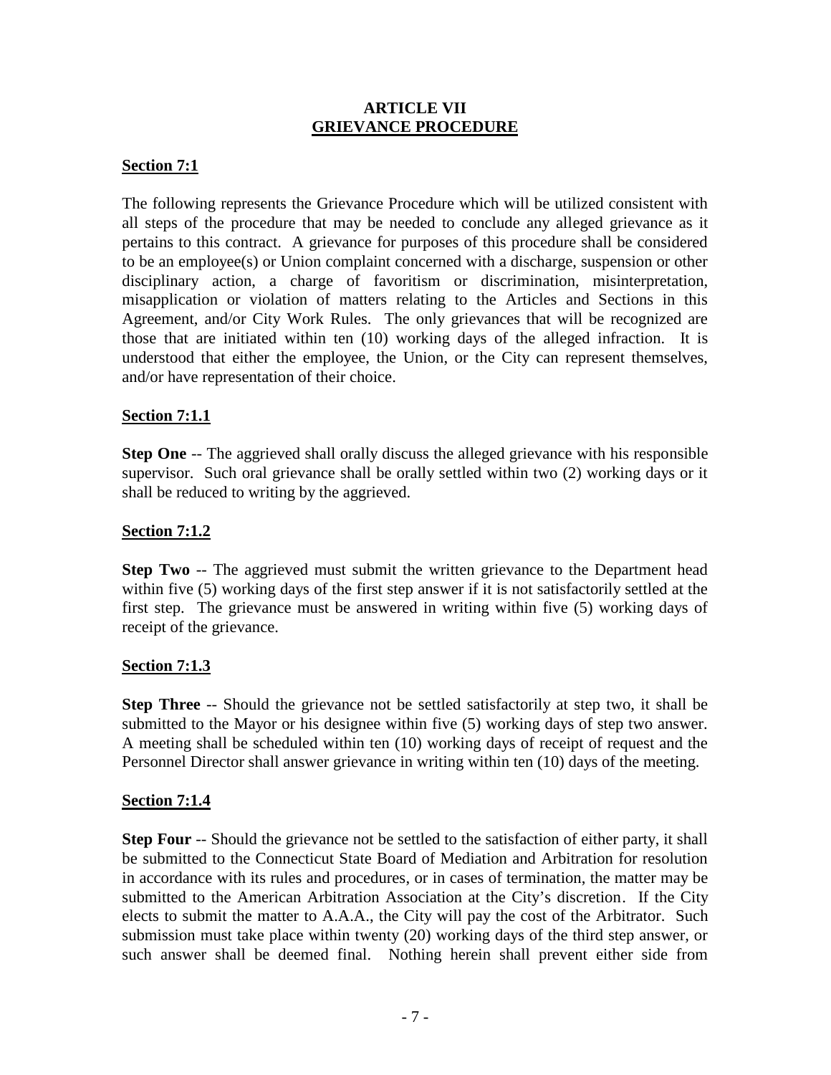#### **ARTICLE VII GRIEVANCE PROCEDURE**

#### **Section 7:1**

The following represents the Grievance Procedure which will be utilized consistent with all steps of the procedure that may be needed to conclude any alleged grievance as it pertains to this contract. A grievance for purposes of this procedure shall be considered to be an employee(s) or Union complaint concerned with a discharge, suspension or other disciplinary action, a charge of favoritism or discrimination, misinterpretation, misapplication or violation of matters relating to the Articles and Sections in this Agreement, and/or City Work Rules. The only grievances that will be recognized are those that are initiated within ten (10) working days of the alleged infraction. It is understood that either the employee, the Union, or the City can represent themselves, and/or have representation of their choice.

#### **Section 7:1.1**

**Step One** -- The aggrieved shall orally discuss the alleged grievance with his responsible supervisor. Such oral grievance shall be orally settled within two (2) working days or it shall be reduced to writing by the aggrieved.

#### **Section 7:1.2**

**Step Two** -- The aggrieved must submit the written grievance to the Department head within five (5) working days of the first step answer if it is not satisfactorily settled at the first step. The grievance must be answered in writing within five (5) working days of receipt of the grievance.

#### **Section 7:1.3**

**Step Three** -- Should the grievance not be settled satisfactorily at step two, it shall be submitted to the Mayor or his designee within five (5) working days of step two answer. A meeting shall be scheduled within ten (10) working days of receipt of request and the Personnel Director shall answer grievance in writing within ten (10) days of the meeting.

#### **Section 7:1.4**

**Step Four** -- Should the grievance not be settled to the satisfaction of either party, it shall be submitted to the Connecticut State Board of Mediation and Arbitration for resolution in accordance with its rules and procedures, or in cases of termination, the matter may be submitted to the American Arbitration Association at the City's discretion. If the City elects to submit the matter to A.A.A., the City will pay the cost of the Arbitrator. Such submission must take place within twenty (20) working days of the third step answer, or such answer shall be deemed final. Nothing herein shall prevent either side from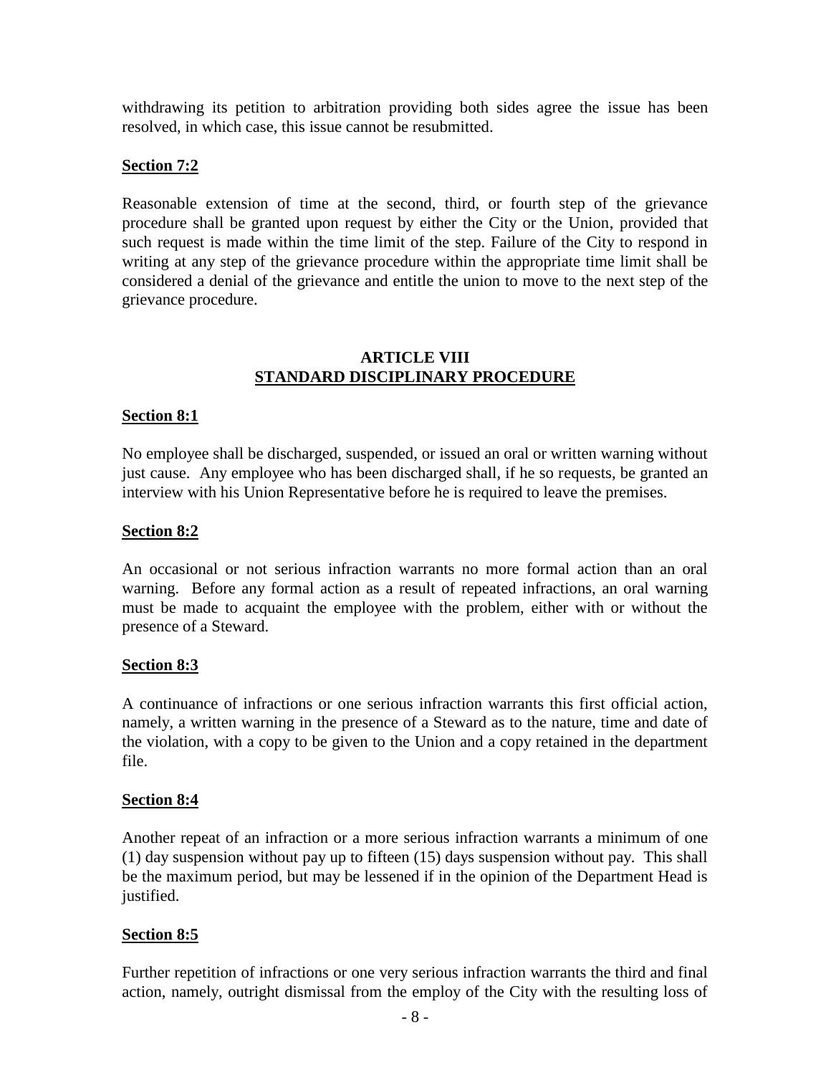withdrawing its petition to arbitration providing both sides agree the issue has been resolved, in which case, this issue cannot be resubmitted.

#### **Section 7:2**

Reasonable extension of time at the second, third, or fourth step of the grievance procedure shall be granted upon request by either the City or the Union, provided that such request is made within the time limit of the step. Failure of the City to respond in writing at any step of the grievance procedure within the appropriate time limit shall be considered a denial of the grievance and entitle the union to move to the next step of the grievance procedure.

#### **ARTICLE VIII STANDARD DISCIPLINARY PROCEDURE**

#### **Section 8:1**

No employee shall be discharged, suspended, or issued an oral or written warning without just cause. Any employee who has been discharged shall, if he so requests, be granted an interview with his Union Representative before he is required to leave the premises.

#### **Section 8:2**

An occasional or not serious infraction warrants no more formal action than an oral warning. Before any formal action as a result of repeated infractions, an oral warning must be made to acquaint the employee with the problem, either with or without the presence of a Steward.

#### **Section 8:3**

A continuance of infractions or one serious infraction warrants this first official action, namely, a written warning in the presence of a Steward as to the nature, time and date of the violation, with a copy to be given to the Union and a copy retained in the department file.

#### **Section 8:4**

Another repeat of an infraction or a more serious infraction warrants a minimum of one (1) day suspension without pay up to fifteen (15) days suspension without pay. This shall be the maximum period, but may be lessened if in the opinion of the Department Head is justified.

## **Section 8:5**

Further repetition of infractions or one very serious infraction warrants the third and final action, namely, outright dismissal from the employ of the City with the resulting loss of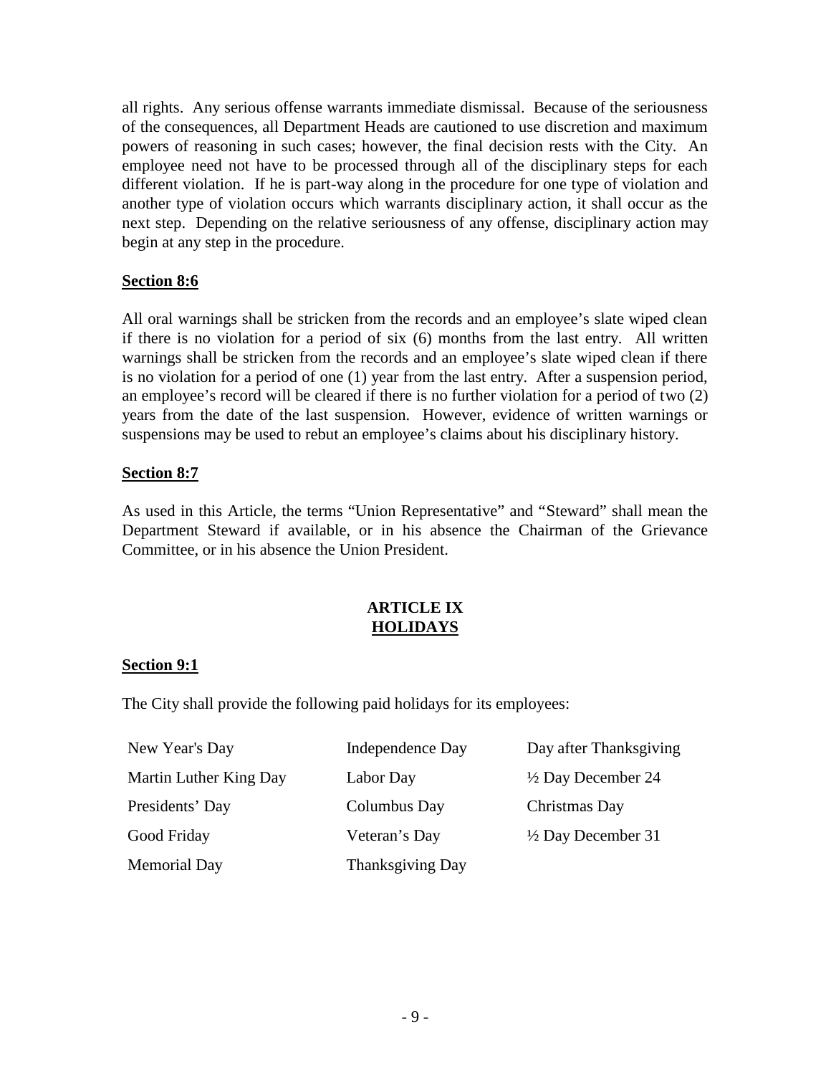all rights. Any serious offense warrants immediate dismissal. Because of the seriousness of the consequences, all Department Heads are cautioned to use discretion and maximum powers of reasoning in such cases; however, the final decision rests with the City. An employee need not have to be processed through all of the disciplinary steps for each different violation. If he is part-way along in the procedure for one type of violation and another type of violation occurs which warrants disciplinary action, it shall occur as the next step. Depending on the relative seriousness of any offense, disciplinary action may begin at any step in the procedure.

## **Section 8:6**

All oral warnings shall be stricken from the records and an employee's slate wiped clean if there is no violation for a period of six (6) months from the last entry. All written warnings shall be stricken from the records and an employee's slate wiped clean if there is no violation for a period of one (1) year from the last entry. After a suspension period, an employee's record will be cleared if there is no further violation for a period of two (2) years from the date of the last suspension. However, evidence of written warnings or suspensions may be used to rebut an employee's claims about his disciplinary history.

# **Section 8:7**

As used in this Article, the terms "Union Representative" and "Steward" shall mean the Department Steward if available, or in his absence the Chairman of the Grievance Committee, or in his absence the Union President.

## **ARTICLE IX HOLIDAYS**

## **Section 9:1**

The City shall provide the following paid holidays for its employees:

| New Year's Day         | Independence Day | Day after Thanksgiving        |
|------------------------|------------------|-------------------------------|
| Martin Luther King Day | Labor Day        | $\frac{1}{2}$ Day December 24 |
| Presidents' Day        | Columbus Day     | Christmas Day                 |
| Good Friday            | Veteran's Day    | $\frac{1}{2}$ Day December 31 |
| <b>Memorial Day</b>    | Thanksgiving Day |                               |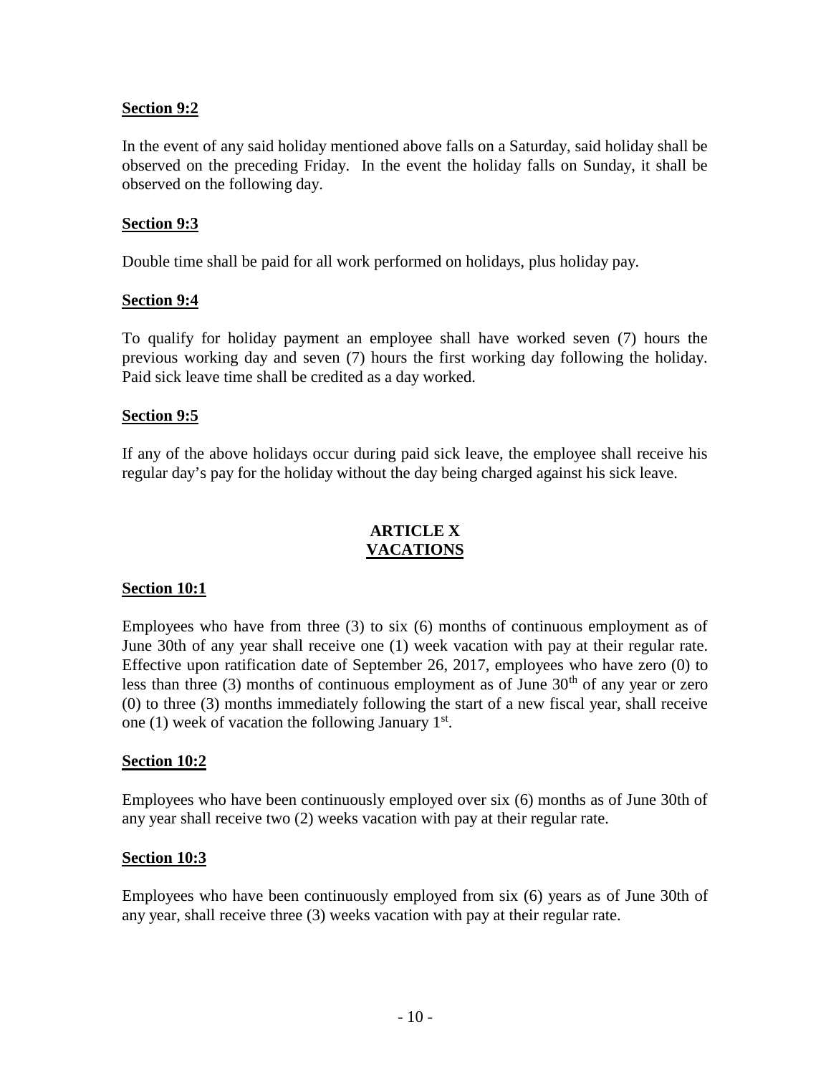#### **Section 9:2**

In the event of any said holiday mentioned above falls on a Saturday, said holiday shall be observed on the preceding Friday. In the event the holiday falls on Sunday, it shall be observed on the following day.

#### **Section 9:3**

Double time shall be paid for all work performed on holidays, plus holiday pay.

#### **Section 9:4**

To qualify for holiday payment an employee shall have worked seven (7) hours the previous working day and seven (7) hours the first working day following the holiday. Paid sick leave time shall be credited as a day worked.

#### **Section 9:5**

If any of the above holidays occur during paid sick leave, the employee shall receive his regular day's pay for the holiday without the day being charged against his sick leave.

## **ARTICLE X VACATIONS**

#### **Section 10:1**

Employees who have from three (3) to six (6) months of continuous employment as of June 30th of any year shall receive one (1) week vacation with pay at their regular rate. Effective upon ratification date of September 26, 2017, employees who have zero (0) to less than three  $(3)$  months of continuous employment as of June  $30<sup>th</sup>$  of any year or zero (0) to three (3) months immediately following the start of a new fiscal year, shall receive one (1) week of vacation the following January  $1<sup>st</sup>$ .

## **Section 10:2**

Employees who have been continuously employed over six (6) months as of June 30th of any year shall receive two (2) weeks vacation with pay at their regular rate.

#### **Section 10:3**

Employees who have been continuously employed from six (6) years as of June 30th of any year, shall receive three (3) weeks vacation with pay at their regular rate.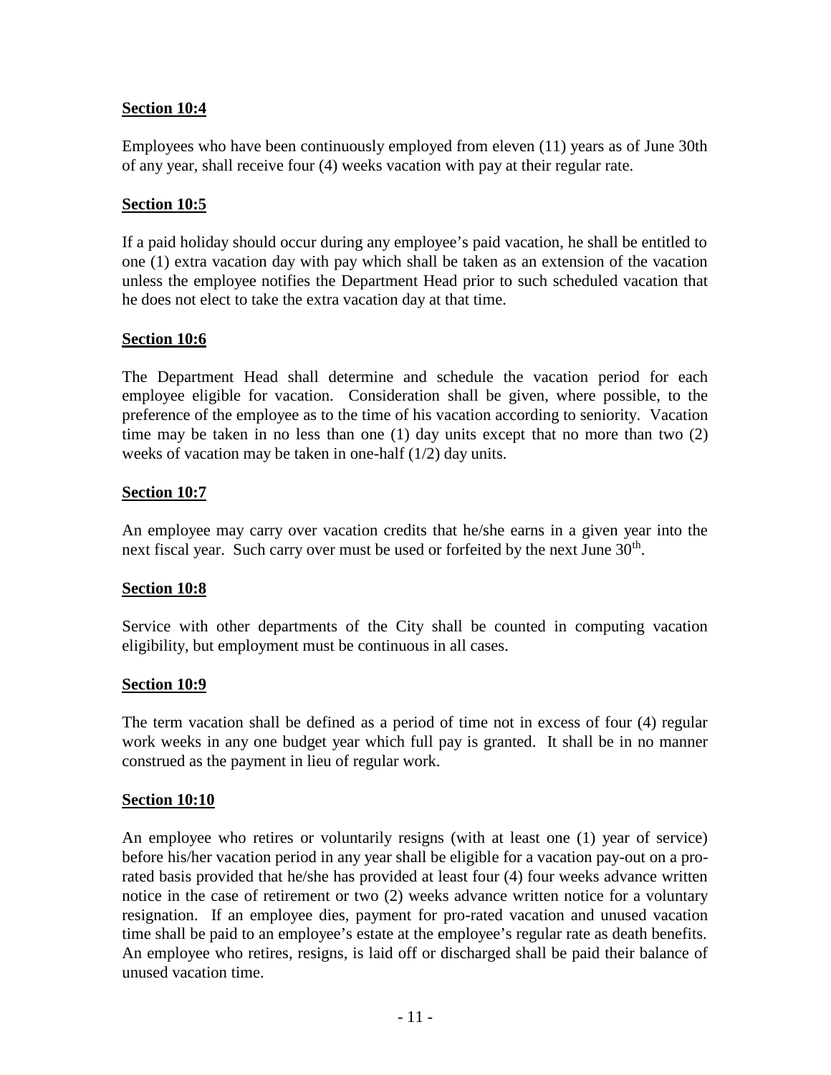# **Section 10:4**

Employees who have been continuously employed from eleven (11) years as of June 30th of any year, shall receive four (4) weeks vacation with pay at their regular rate.

# **Section 10:5**

If a paid holiday should occur during any employee's paid vacation, he shall be entitled to one (1) extra vacation day with pay which shall be taken as an extension of the vacation unless the employee notifies the Department Head prior to such scheduled vacation that he does not elect to take the extra vacation day at that time.

# **Section 10:6**

The Department Head shall determine and schedule the vacation period for each employee eligible for vacation. Consideration shall be given, where possible, to the preference of the employee as to the time of his vacation according to seniority. Vacation time may be taken in no less than one (1) day units except that no more than two (2) weeks of vacation may be taken in one-half (1/2) day units.

# **Section 10:7**

An employee may carry over vacation credits that he/she earns in a given year into the next fiscal year. Such carry over must be used or forfeited by the next June  $30<sup>th</sup>$ .

## **Section 10:8**

Service with other departments of the City shall be counted in computing vacation eligibility, but employment must be continuous in all cases.

## **Section 10:9**

The term vacation shall be defined as a period of time not in excess of four (4) regular work weeks in any one budget year which full pay is granted. It shall be in no manner construed as the payment in lieu of regular work.

## **Section 10:10**

An employee who retires or voluntarily resigns (with at least one (1) year of service) before his/her vacation period in any year shall be eligible for a vacation pay-out on a prorated basis provided that he/she has provided at least four (4) four weeks advance written notice in the case of retirement or two (2) weeks advance written notice for a voluntary resignation. If an employee dies, payment for pro-rated vacation and unused vacation time shall be paid to an employee's estate at the employee's regular rate as death benefits. An employee who retires, resigns, is laid off or discharged shall be paid their balance of unused vacation time.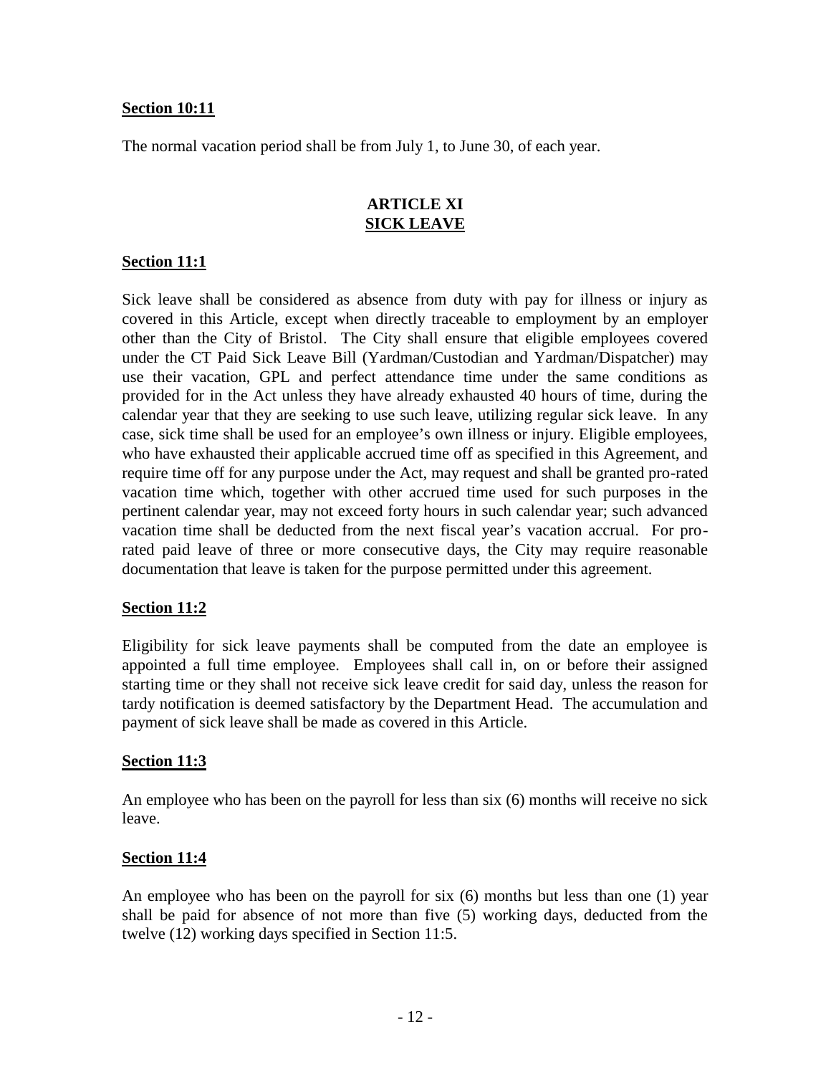#### **Section 10:11**

The normal vacation period shall be from July 1, to June 30, of each year.

#### **ARTICLE XI SICK LEAVE**

#### **Section 11:1**

Sick leave shall be considered as absence from duty with pay for illness or injury as covered in this Article, except when directly traceable to employment by an employer other than the City of Bristol. The City shall ensure that eligible employees covered under the CT Paid Sick Leave Bill (Yardman/Custodian and Yardman/Dispatcher) may use their vacation, GPL and perfect attendance time under the same conditions as provided for in the Act unless they have already exhausted 40 hours of time, during the calendar year that they are seeking to use such leave, utilizing regular sick leave. In any case, sick time shall be used for an employee's own illness or injury. Eligible employees, who have exhausted their applicable accrued time off as specified in this Agreement, and require time off for any purpose under the Act, may request and shall be granted pro-rated vacation time which, together with other accrued time used for such purposes in the pertinent calendar year, may not exceed forty hours in such calendar year; such advanced vacation time shall be deducted from the next fiscal year's vacation accrual. For prorated paid leave of three or more consecutive days, the City may require reasonable documentation that leave is taken for the purpose permitted under this agreement.

#### **Section 11:2**

Eligibility for sick leave payments shall be computed from the date an employee is appointed a full time employee. Employees shall call in, on or before their assigned starting time or they shall not receive sick leave credit for said day, unless the reason for tardy notification is deemed satisfactory by the Department Head. The accumulation and payment of sick leave shall be made as covered in this Article.

#### **Section 11:3**

An employee who has been on the payroll for less than six (6) months will receive no sick leave.

#### **Section 11:4**

An employee who has been on the payroll for six (6) months but less than one (1) year shall be paid for absence of not more than five (5) working days, deducted from the twelve (12) working days specified in Section 11:5.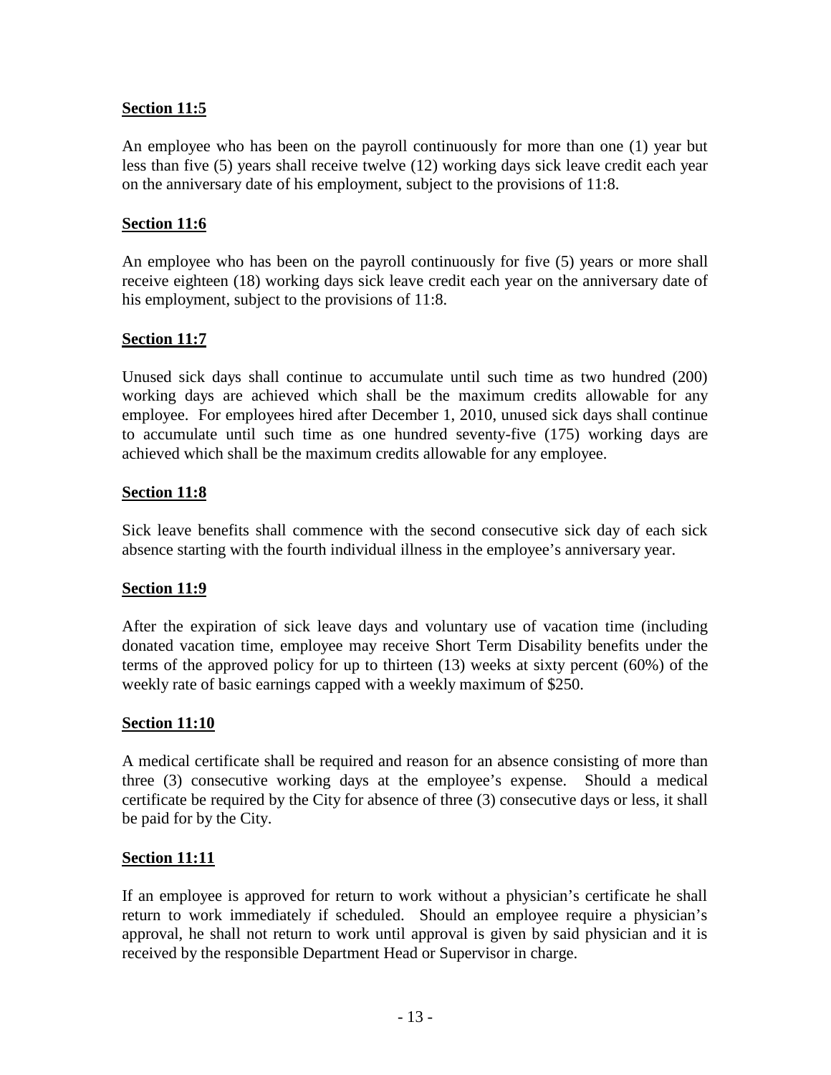## **Section 11:5**

An employee who has been on the payroll continuously for more than one (1) year but less than five (5) years shall receive twelve (12) working days sick leave credit each year on the anniversary date of his employment, subject to the provisions of 11:8.

# **Section 11:6**

An employee who has been on the payroll continuously for five (5) years or more shall receive eighteen (18) working days sick leave credit each year on the anniversary date of his employment, subject to the provisions of 11:8.

# **Section 11:7**

Unused sick days shall continue to accumulate until such time as two hundred (200) working days are achieved which shall be the maximum credits allowable for any employee. For employees hired after December 1, 2010, unused sick days shall continue to accumulate until such time as one hundred seventy-five (175) working days are achieved which shall be the maximum credits allowable for any employee.

# **Section 11:8**

Sick leave benefits shall commence with the second consecutive sick day of each sick absence starting with the fourth individual illness in the employee's anniversary year.

## **Section 11:9**

After the expiration of sick leave days and voluntary use of vacation time (including donated vacation time, employee may receive Short Term Disability benefits under the terms of the approved policy for up to thirteen (13) weeks at sixty percent (60%) of the weekly rate of basic earnings capped with a weekly maximum of \$250.

## **Section 11:10**

A medical certificate shall be required and reason for an absence consisting of more than three (3) consecutive working days at the employee's expense. Should a medical certificate be required by the City for absence of three (3) consecutive days or less, it shall be paid for by the City.

## **Section 11:11**

If an employee is approved for return to work without a physician's certificate he shall return to work immediately if scheduled. Should an employee require a physician's approval, he shall not return to work until approval is given by said physician and it is received by the responsible Department Head or Supervisor in charge.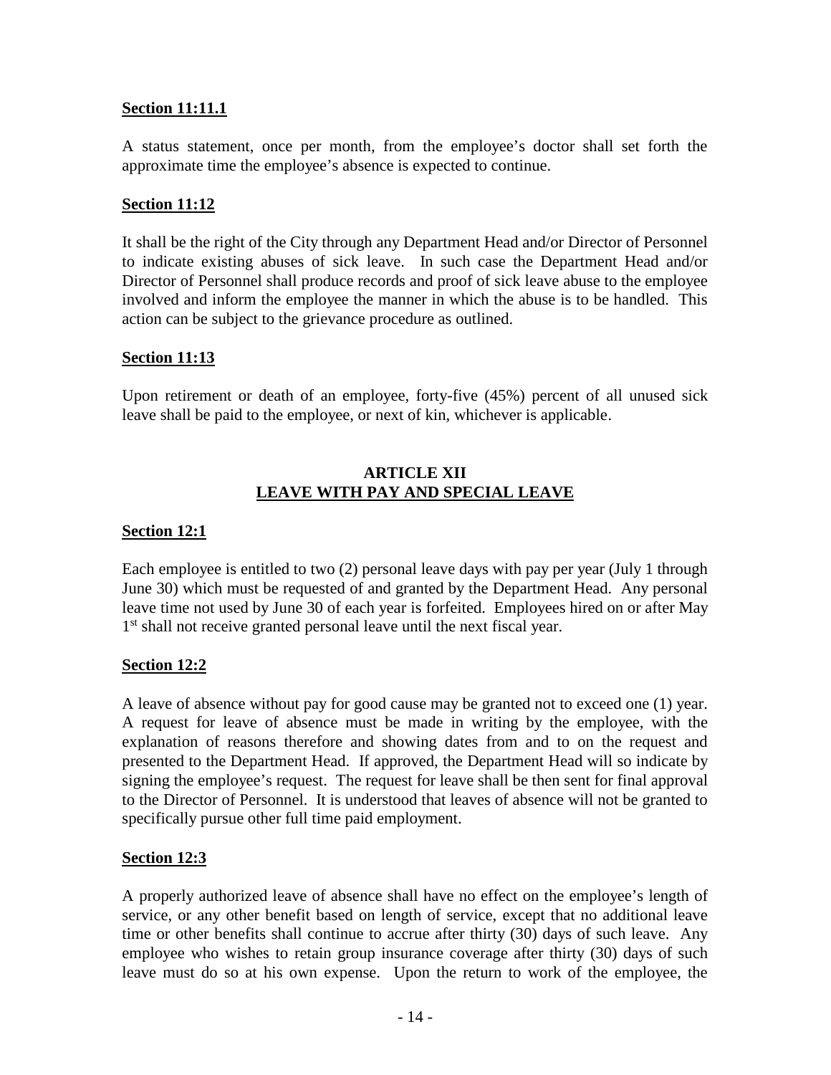## **Section 11:11.1**

A status statement, once per month, from the employee's doctor shall set forth the approximate time the employee's absence is expected to continue.

# **Section 11:12**

It shall be the right of the City through any Department Head and/or Director of Personnel to indicate existing abuses of sick leave. In such case the Department Head and/or Director of Personnel shall produce records and proof of sick leave abuse to the employee involved and inform the employee the manner in which the abuse is to be handled. This action can be subject to the grievance procedure as outlined.

# **Section 11:13**

Upon retirement or death of an employee, forty-five (45%) percent of all unused sick leave shall be paid to the employee, or next of kin, whichever is applicable.

## **ARTICLE XII LEAVE WITH PAY AND SPECIAL LEAVE**

## **Section 12:1**

Each employee is entitled to two (2) personal leave days with pay per year (July 1 through June 30) which must be requested of and granted by the Department Head. Any personal leave time not used by June 30 of each year is forfeited. Employees hired on or after May 1<sup>st</sup> shall not receive granted personal leave until the next fiscal year.

## **Section 12:2**

A leave of absence without pay for good cause may be granted not to exceed one (1) year. A request for leave of absence must be made in writing by the employee, with the explanation of reasons therefore and showing dates from and to on the request and presented to the Department Head. If approved, the Department Head will so indicate by signing the employee's request. The request for leave shall be then sent for final approval to the Director of Personnel. It is understood that leaves of absence will not be granted to specifically pursue other full time paid employment.

## **Section 12:3**

A properly authorized leave of absence shall have no effect on the employee's length of service, or any other benefit based on length of service, except that no additional leave time or other benefits shall continue to accrue after thirty (30) days of such leave. Any employee who wishes to retain group insurance coverage after thirty (30) days of such leave must do so at his own expense. Upon the return to work of the employee, the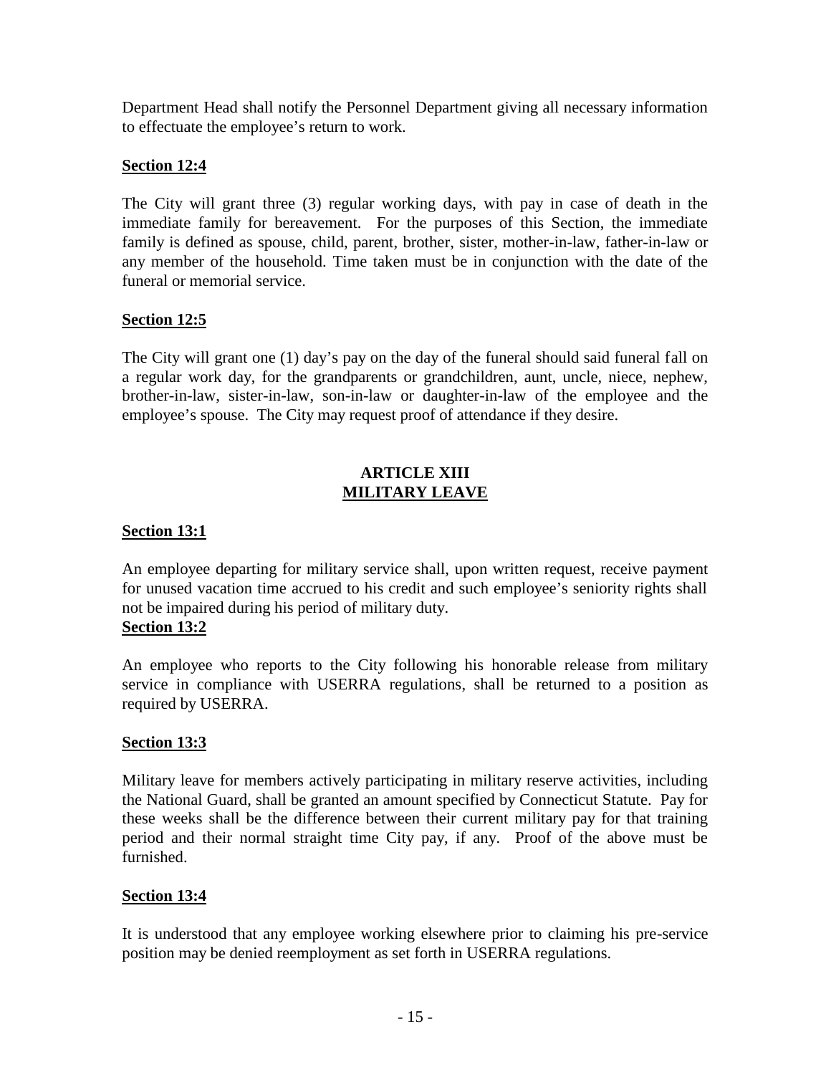Department Head shall notify the Personnel Department giving all necessary information to effectuate the employee's return to work.

# **Section 12:4**

The City will grant three (3) regular working days, with pay in case of death in the immediate family for bereavement. For the purposes of this Section, the immediate family is defined as spouse, child, parent, brother, sister, mother-in-law, father-in-law or any member of the household. Time taken must be in conjunction with the date of the funeral or memorial service.

# **Section 12:5**

The City will grant one (1) day's pay on the day of the funeral should said funeral fall on a regular work day, for the grandparents or grandchildren, aunt, uncle, niece, nephew, brother-in-law, sister-in-law, son-in-law or daughter-in-law of the employee and the employee's spouse. The City may request proof of attendance if they desire.

# **ARTICLE XIII MILITARY LEAVE**

# **Section 13:1**

An employee departing for military service shall, upon written request, receive payment for unused vacation time accrued to his credit and such employee's seniority rights shall not be impaired during his period of military duty. **Section 13:2**

## An employee who reports to the City following his honorable release from military service in compliance with USERRA regulations, shall be returned to a position as required by USERRA.

# **Section 13:3**

Military leave for members actively participating in military reserve activities, including the National Guard, shall be granted an amount specified by Connecticut Statute. Pay for these weeks shall be the difference between their current military pay for that training period and their normal straight time City pay, if any. Proof of the above must be furnished.

## **Section 13:4**

It is understood that any employee working elsewhere prior to claiming his pre-service position may be denied reemployment as set forth in USERRA regulations.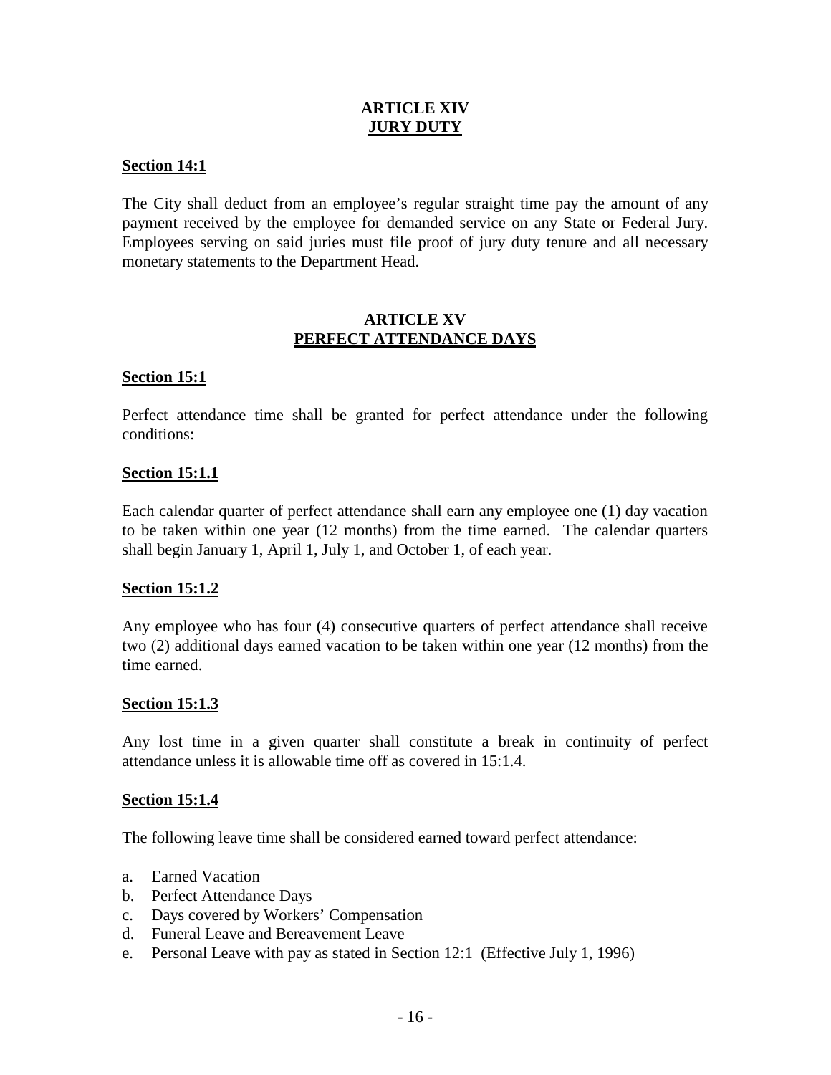## **ARTICLE XIV JURY DUTY**

#### **Section 14:1**

The City shall deduct from an employee's regular straight time pay the amount of any payment received by the employee for demanded service on any State or Federal Jury. Employees serving on said juries must file proof of jury duty tenure and all necessary monetary statements to the Department Head.

#### **ARTICLE XV PERFECT ATTENDANCE DAYS**

#### **Section 15:1**

Perfect attendance time shall be granted for perfect attendance under the following conditions:

#### **Section 15:1.1**

Each calendar quarter of perfect attendance shall earn any employee one (1) day vacation to be taken within one year (12 months) from the time earned. The calendar quarters shall begin January 1, April 1, July 1, and October 1, of each year.

#### **Section 15:1.2**

Any employee who has four (4) consecutive quarters of perfect attendance shall receive two (2) additional days earned vacation to be taken within one year (12 months) from the time earned.

#### **Section 15:1.3**

Any lost time in a given quarter shall constitute a break in continuity of perfect attendance unless it is allowable time off as covered in 15:1.4.

#### **Section 15:1.4**

The following leave time shall be considered earned toward perfect attendance:

- a. Earned Vacation
- b. Perfect Attendance Days
- c. Days covered by Workers' Compensation
- d. Funeral Leave and Bereavement Leave
- e. Personal Leave with pay as stated in Section 12:1 (Effective July 1, 1996)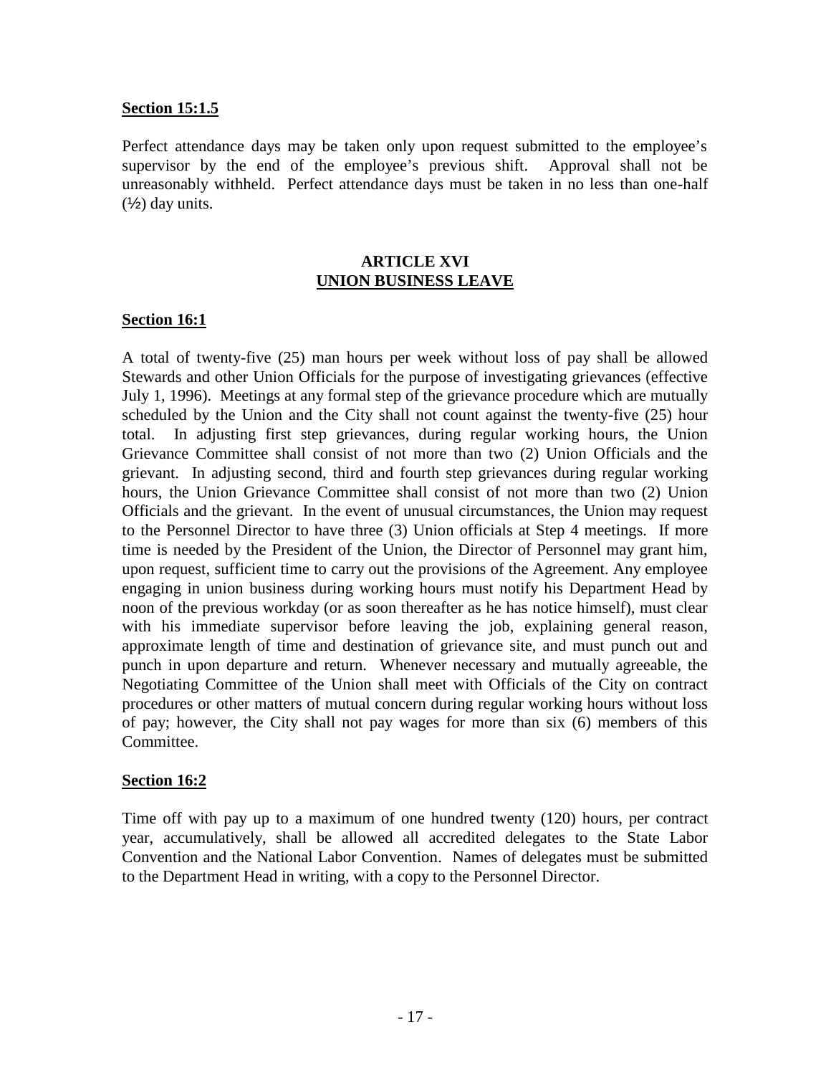#### **Section 15:1.5**

Perfect attendance days may be taken only upon request submitted to the employee's supervisor by the end of the employee's previous shift. Approval shall not be unreasonably withheld. Perfect attendance days must be taken in no less than one-half  $(\frac{1}{2})$  day units.

#### **ARTICLE XVI UNION BUSINESS LEAVE**

#### **Section 16:1**

A total of twenty-five (25) man hours per week without loss of pay shall be allowed Stewards and other Union Officials for the purpose of investigating grievances (effective July 1, 1996). Meetings at any formal step of the grievance procedure which are mutually scheduled by the Union and the City shall not count against the twenty-five (25) hour total. In adjusting first step grievances, during regular working hours, the Union Grievance Committee shall consist of not more than two (2) Union Officials and the grievant. In adjusting second, third and fourth step grievances during regular working hours, the Union Grievance Committee shall consist of not more than two (2) Union Officials and the grievant. In the event of unusual circumstances, the Union may request to the Personnel Director to have three (3) Union officials at Step 4 meetings. If more time is needed by the President of the Union, the Director of Personnel may grant him, upon request, sufficient time to carry out the provisions of the Agreement. Any employee engaging in union business during working hours must notify his Department Head by noon of the previous workday (or as soon thereafter as he has notice himself), must clear with his immediate supervisor before leaving the job, explaining general reason, approximate length of time and destination of grievance site, and must punch out and punch in upon departure and return. Whenever necessary and mutually agreeable, the Negotiating Committee of the Union shall meet with Officials of the City on contract procedures or other matters of mutual concern during regular working hours without loss of pay; however, the City shall not pay wages for more than six (6) members of this Committee.

## **Section 16:2**

Time off with pay up to a maximum of one hundred twenty (120) hours, per contract year, accumulatively, shall be allowed all accredited delegates to the State Labor Convention and the National Labor Convention. Names of delegates must be submitted to the Department Head in writing, with a copy to the Personnel Director.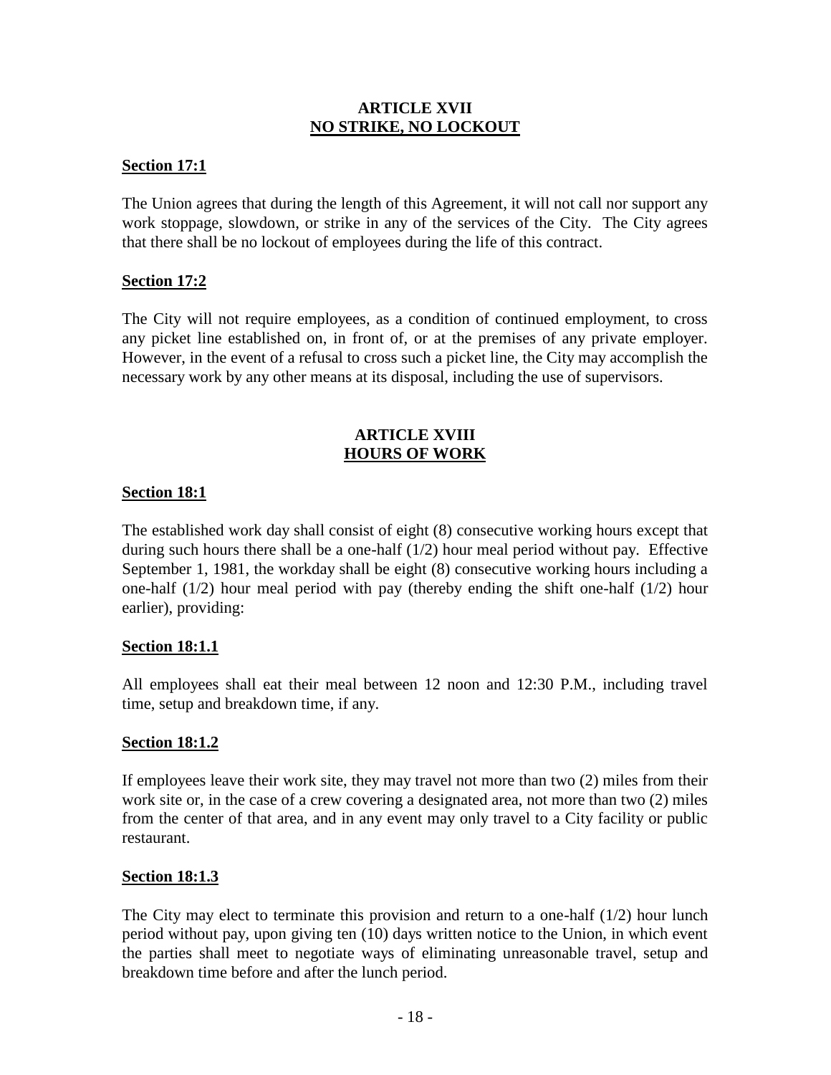#### **ARTICLE XVII NO STRIKE, NO LOCKOUT**

#### **Section 17:1**

The Union agrees that during the length of this Agreement, it will not call nor support any work stoppage, slowdown, or strike in any of the services of the City. The City agrees that there shall be no lockout of employees during the life of this contract.

#### **Section 17:2**

The City will not require employees, as a condition of continued employment, to cross any picket line established on, in front of, or at the premises of any private employer. However, in the event of a refusal to cross such a picket line, the City may accomplish the necessary work by any other means at its disposal, including the use of supervisors.

#### **ARTICLE XVIII HOURS OF WORK**

#### **Section 18:1**

The established work day shall consist of eight (8) consecutive working hours except that during such hours there shall be a one-half  $(1/2)$  hour meal period without pay. Effective September 1, 1981, the workday shall be eight (8) consecutive working hours including a one-half (1/2) hour meal period with pay (thereby ending the shift one-half (1/2) hour earlier), providing:

#### **Section 18:1.1**

All employees shall eat their meal between 12 noon and 12:30 P.M., including travel time, setup and breakdown time, if any.

#### **Section 18:1.2**

If employees leave their work site, they may travel not more than two (2) miles from their work site or, in the case of a crew covering a designated area, not more than two (2) miles from the center of that area, and in any event may only travel to a City facility or public restaurant.

#### **Section 18:1.3**

The City may elect to terminate this provision and return to a one-half (1/2) hour lunch period without pay, upon giving ten (10) days written notice to the Union, in which event the parties shall meet to negotiate ways of eliminating unreasonable travel, setup and breakdown time before and after the lunch period.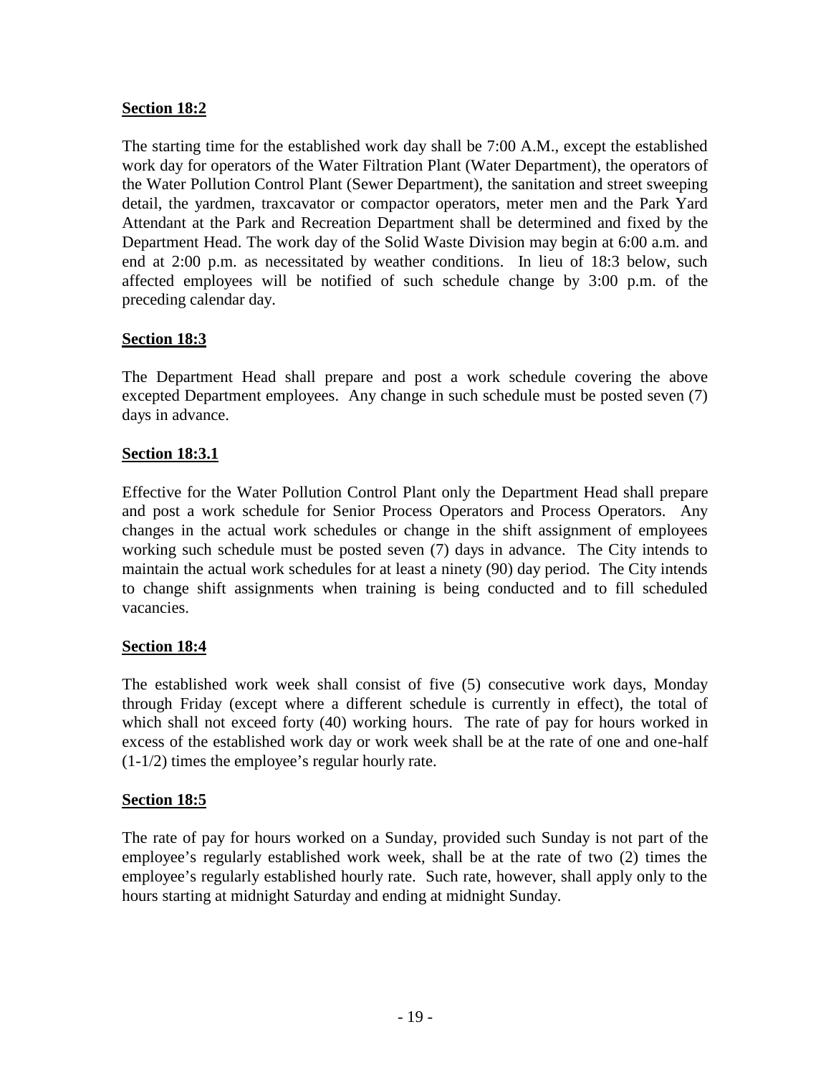# **Section 18:2**

The starting time for the established work day shall be 7:00 A.M., except the established work day for operators of the Water Filtration Plant (Water Department), the operators of the Water Pollution Control Plant (Sewer Department), the sanitation and street sweeping detail, the yardmen, traxcavator or compactor operators, meter men and the Park Yard Attendant at the Park and Recreation Department shall be determined and fixed by the Department Head. The work day of the Solid Waste Division may begin at 6:00 a.m. and end at 2:00 p.m. as necessitated by weather conditions. In lieu of 18:3 below, such affected employees will be notified of such schedule change by 3:00 p.m. of the preceding calendar day.

# **Section 18:3**

The Department Head shall prepare and post a work schedule covering the above excepted Department employees. Any change in such schedule must be posted seven (7) days in advance.

# **Section 18:3.1**

Effective for the Water Pollution Control Plant only the Department Head shall prepare and post a work schedule for Senior Process Operators and Process Operators. Any changes in the actual work schedules or change in the shift assignment of employees working such schedule must be posted seven (7) days in advance. The City intends to maintain the actual work schedules for at least a ninety (90) day period. The City intends to change shift assignments when training is being conducted and to fill scheduled vacancies.

# **Section 18:4**

The established work week shall consist of five (5) consecutive work days, Monday through Friday (except where a different schedule is currently in effect), the total of which shall not exceed forty (40) working hours. The rate of pay for hours worked in excess of the established work day or work week shall be at the rate of one and one-half (1-1/2) times the employee's regular hourly rate.

## **Section 18:5**

The rate of pay for hours worked on a Sunday, provided such Sunday is not part of the employee's regularly established work week, shall be at the rate of two (2) times the employee's regularly established hourly rate. Such rate, however, shall apply only to the hours starting at midnight Saturday and ending at midnight Sunday.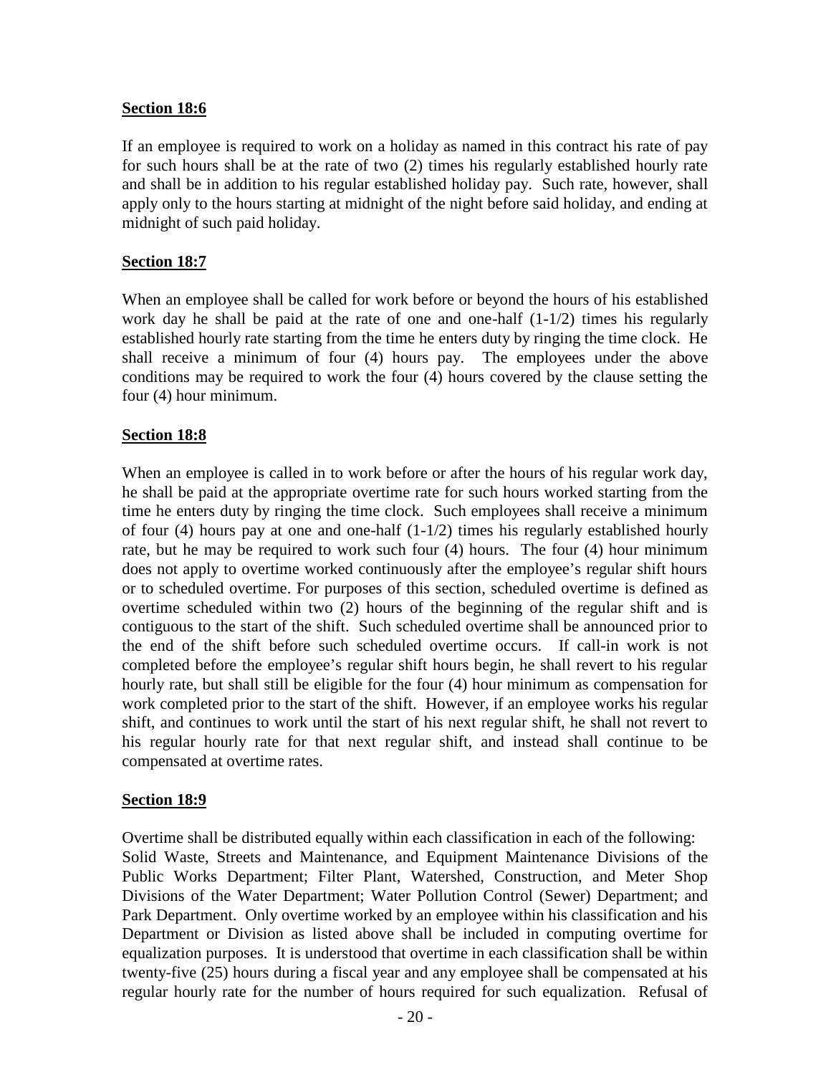#### **Section 18:6**

If an employee is required to work on a holiday as named in this contract his rate of pay for such hours shall be at the rate of two (2) times his regularly established hourly rate and shall be in addition to his regular established holiday pay. Such rate, however, shall apply only to the hours starting at midnight of the night before said holiday, and ending at midnight of such paid holiday.

#### **Section 18:7**

When an employee shall be called for work before or beyond the hours of his established work day he shall be paid at the rate of one and one-half  $(1-1/2)$  times his regularly established hourly rate starting from the time he enters duty by ringing the time clock. He shall receive a minimum of four (4) hours pay. The employees under the above conditions may be required to work the four (4) hours covered by the clause setting the four (4) hour minimum.

#### **Section 18:8**

When an employee is called in to work before or after the hours of his regular work day, he shall be paid at the appropriate overtime rate for such hours worked starting from the time he enters duty by ringing the time clock. Such employees shall receive a minimum of four (4) hours pay at one and one-half  $(1-1/2)$  times his regularly established hourly rate, but he may be required to work such four (4) hours. The four (4) hour minimum does not apply to overtime worked continuously after the employee's regular shift hours or to scheduled overtime. For purposes of this section, scheduled overtime is defined as overtime scheduled within two (2) hours of the beginning of the regular shift and is contiguous to the start of the shift. Such scheduled overtime shall be announced prior to the end of the shift before such scheduled overtime occurs. If call-in work is not completed before the employee's regular shift hours begin, he shall revert to his regular hourly rate, but shall still be eligible for the four (4) hour minimum as compensation for work completed prior to the start of the shift. However, if an employee works his regular shift, and continues to work until the start of his next regular shift, he shall not revert to his regular hourly rate for that next regular shift, and instead shall continue to be compensated at overtime rates.

#### **Section 18:9**

Overtime shall be distributed equally within each classification in each of the following: Solid Waste, Streets and Maintenance, and Equipment Maintenance Divisions of the Public Works Department; Filter Plant, Watershed, Construction, and Meter Shop Divisions of the Water Department; Water Pollution Control (Sewer) Department; and Park Department. Only overtime worked by an employee within his classification and his Department or Division as listed above shall be included in computing overtime for equalization purposes. It is understood that overtime in each classification shall be within twenty-five (25) hours during a fiscal year and any employee shall be compensated at his regular hourly rate for the number of hours required for such equalization. Refusal of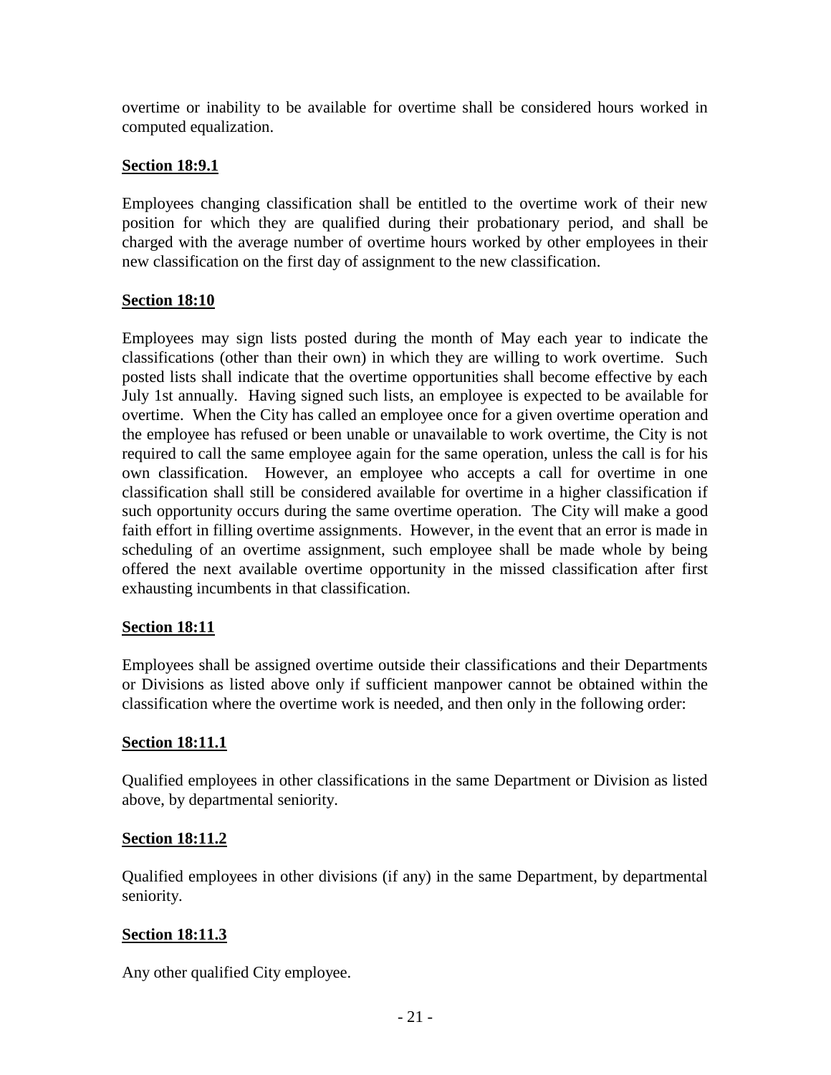overtime or inability to be available for overtime shall be considered hours worked in computed equalization.

## **Section 18:9.1**

Employees changing classification shall be entitled to the overtime work of their new position for which they are qualified during their probationary period, and shall be charged with the average number of overtime hours worked by other employees in their new classification on the first day of assignment to the new classification.

# **Section 18:10**

Employees may sign lists posted during the month of May each year to indicate the classifications (other than their own) in which they are willing to work overtime. Such posted lists shall indicate that the overtime opportunities shall become effective by each July 1st annually. Having signed such lists, an employee is expected to be available for overtime. When the City has called an employee once for a given overtime operation and the employee has refused or been unable or unavailable to work overtime, the City is not required to call the same employee again for the same operation, unless the call is for his own classification. However, an employee who accepts a call for overtime in one classification shall still be considered available for overtime in a higher classification if such opportunity occurs during the same overtime operation. The City will make a good faith effort in filling overtime assignments. However, in the event that an error is made in scheduling of an overtime assignment, such employee shall be made whole by being offered the next available overtime opportunity in the missed classification after first exhausting incumbents in that classification.

# **Section 18:11**

Employees shall be assigned overtime outside their classifications and their Departments or Divisions as listed above only if sufficient manpower cannot be obtained within the classification where the overtime work is needed, and then only in the following order:

## **Section 18:11.1**

Qualified employees in other classifications in the same Department or Division as listed above, by departmental seniority.

## **Section 18:11.2**

Qualified employees in other divisions (if any) in the same Department, by departmental seniority.

# **Section 18:11.3**

Any other qualified City employee.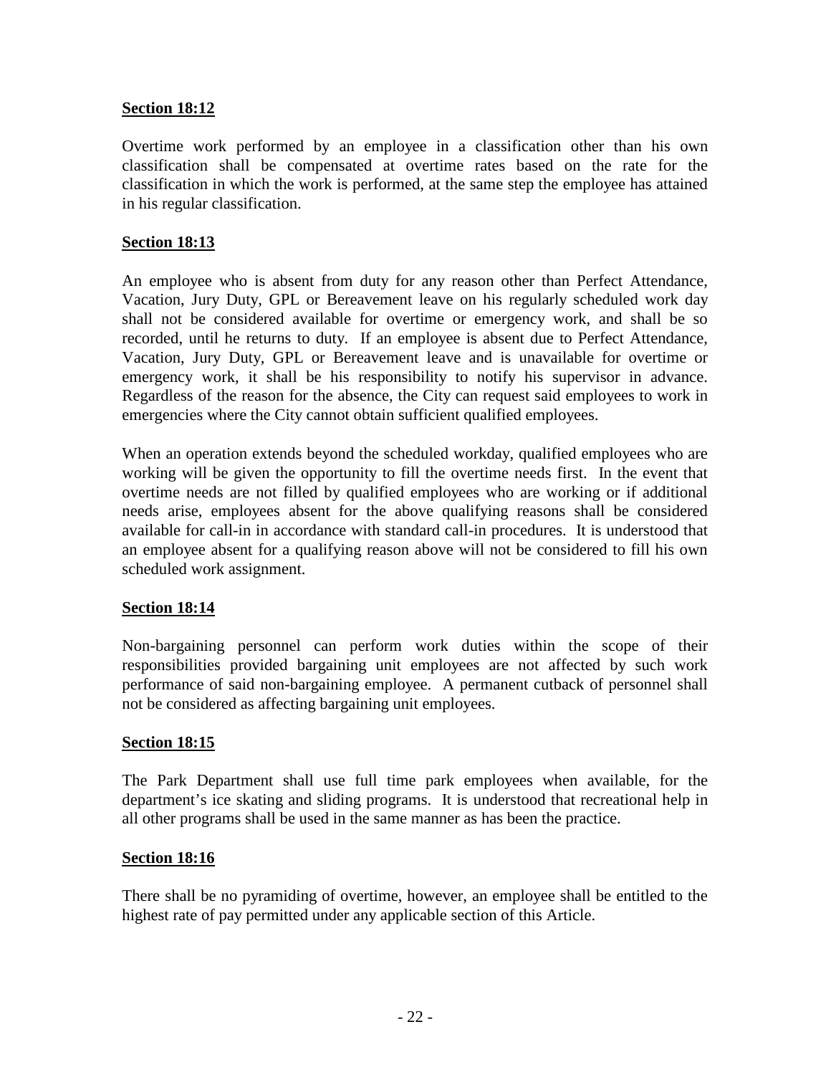## **Section 18:12**

Overtime work performed by an employee in a classification other than his own classification shall be compensated at overtime rates based on the rate for the classification in which the work is performed, at the same step the employee has attained in his regular classification.

# **Section 18:13**

An employee who is absent from duty for any reason other than Perfect Attendance, Vacation, Jury Duty, GPL or Bereavement leave on his regularly scheduled work day shall not be considered available for overtime or emergency work, and shall be so recorded, until he returns to duty. If an employee is absent due to Perfect Attendance, Vacation, Jury Duty, GPL or Bereavement leave and is unavailable for overtime or emergency work, it shall be his responsibility to notify his supervisor in advance. Regardless of the reason for the absence, the City can request said employees to work in emergencies where the City cannot obtain sufficient qualified employees.

When an operation extends beyond the scheduled workday, qualified employees who are working will be given the opportunity to fill the overtime needs first. In the event that overtime needs are not filled by qualified employees who are working or if additional needs arise, employees absent for the above qualifying reasons shall be considered available for call-in in accordance with standard call-in procedures. It is understood that an employee absent for a qualifying reason above will not be considered to fill his own scheduled work assignment.

## **Section 18:14**

Non-bargaining personnel can perform work duties within the scope of their responsibilities provided bargaining unit employees are not affected by such work performance of said non-bargaining employee. A permanent cutback of personnel shall not be considered as affecting bargaining unit employees.

## **Section 18:15**

The Park Department shall use full time park employees when available, for the department's ice skating and sliding programs. It is understood that recreational help in all other programs shall be used in the same manner as has been the practice.

## **Section 18:16**

There shall be no pyramiding of overtime, however, an employee shall be entitled to the highest rate of pay permitted under any applicable section of this Article.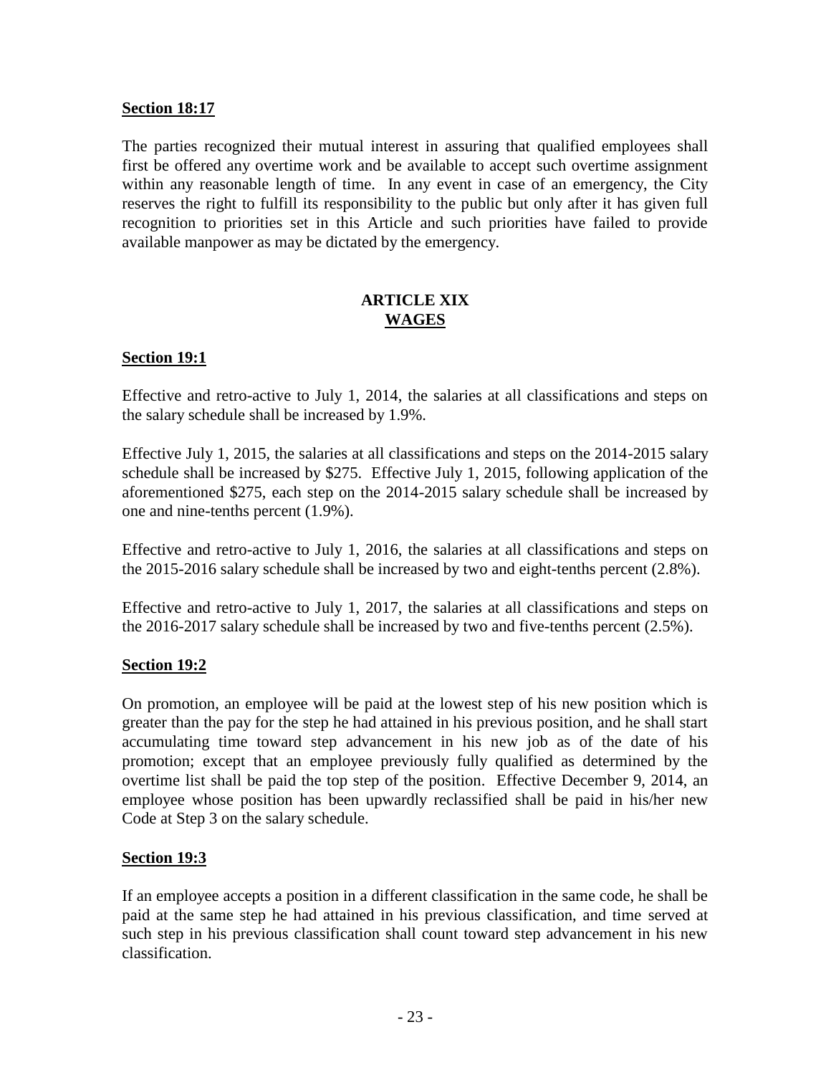## **Section 18:17**

The parties recognized their mutual interest in assuring that qualified employees shall first be offered any overtime work and be available to accept such overtime assignment within any reasonable length of time. In any event in case of an emergency, the City reserves the right to fulfill its responsibility to the public but only after it has given full recognition to priorities set in this Article and such priorities have failed to provide available manpower as may be dictated by the emergency.

## **ARTICLE XIX WAGES**

# **Section 19:1**

Effective and retro-active to July 1, 2014, the salaries at all classifications and steps on the salary schedule shall be increased by 1.9%.

Effective July 1, 2015, the salaries at all classifications and steps on the 2014-2015 salary schedule shall be increased by \$275. Effective July 1, 2015, following application of the aforementioned \$275, each step on the 2014-2015 salary schedule shall be increased by one and nine-tenths percent (1.9%).

Effective and retro-active to July 1, 2016, the salaries at all classifications and steps on the 2015-2016 salary schedule shall be increased by two and eight-tenths percent (2.8%).

Effective and retro-active to July 1, 2017, the salaries at all classifications and steps on the 2016-2017 salary schedule shall be increased by two and five-tenths percent (2.5%).

## **Section 19:2**

On promotion, an employee will be paid at the lowest step of his new position which is greater than the pay for the step he had attained in his previous position, and he shall start accumulating time toward step advancement in his new job as of the date of his promotion; except that an employee previously fully qualified as determined by the overtime list shall be paid the top step of the position. Effective December 9, 2014, an employee whose position has been upwardly reclassified shall be paid in his/her new Code at Step 3 on the salary schedule.

## **Section 19:3**

If an employee accepts a position in a different classification in the same code, he shall be paid at the same step he had attained in his previous classification, and time served at such step in his previous classification shall count toward step advancement in his new classification.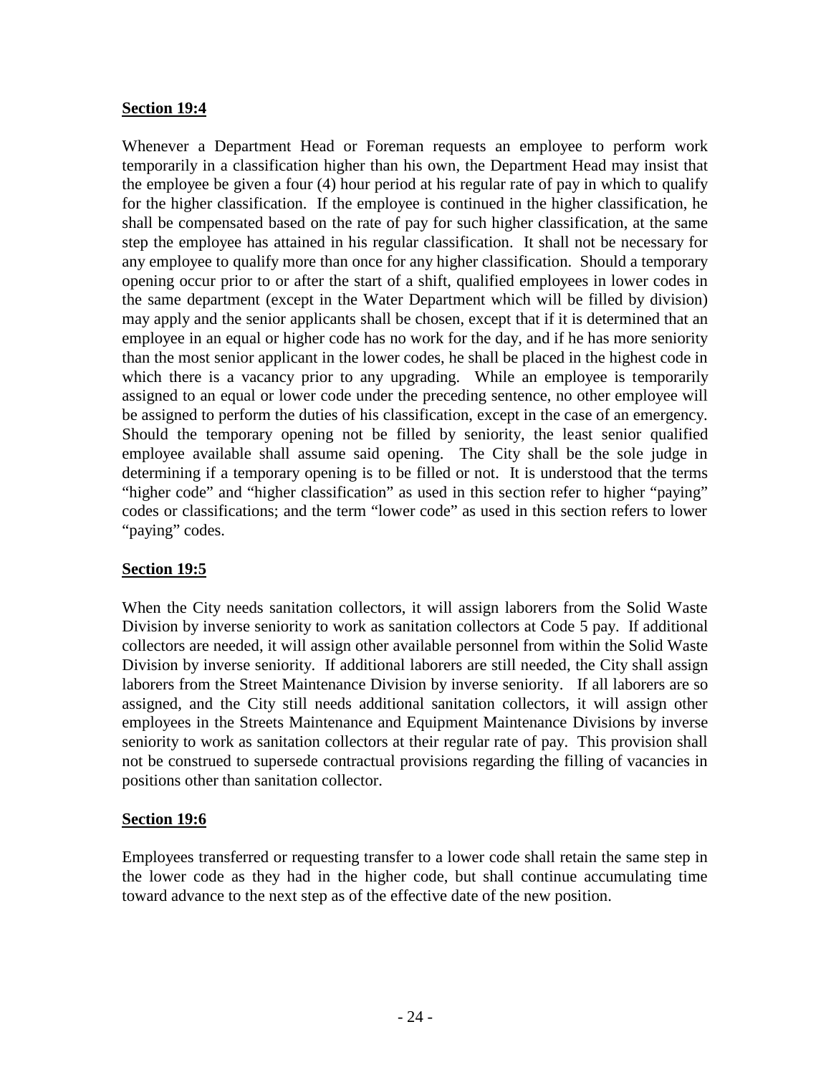## **Section 19:4**

Whenever a Department Head or Foreman requests an employee to perform work temporarily in a classification higher than his own, the Department Head may insist that the employee be given a four (4) hour period at his regular rate of pay in which to qualify for the higher classification. If the employee is continued in the higher classification, he shall be compensated based on the rate of pay for such higher classification, at the same step the employee has attained in his regular classification. It shall not be necessary for any employee to qualify more than once for any higher classification. Should a temporary opening occur prior to or after the start of a shift, qualified employees in lower codes in the same department (except in the Water Department which will be filled by division) may apply and the senior applicants shall be chosen, except that if it is determined that an employee in an equal or higher code has no work for the day, and if he has more seniority than the most senior applicant in the lower codes, he shall be placed in the highest code in which there is a vacancy prior to any upgrading. While an employee is temporarily assigned to an equal or lower code under the preceding sentence, no other employee will be assigned to perform the duties of his classification, except in the case of an emergency. Should the temporary opening not be filled by seniority, the least senior qualified employee available shall assume said opening. The City shall be the sole judge in determining if a temporary opening is to be filled or not. It is understood that the terms "higher code" and "higher classification" as used in this section refer to higher "paying" codes or classifications; and the term "lower code" as used in this section refers to lower "paying" codes.

## **Section 19:5**

When the City needs sanitation collectors, it will assign laborers from the Solid Waste Division by inverse seniority to work as sanitation collectors at Code 5 pay. If additional collectors are needed, it will assign other available personnel from within the Solid Waste Division by inverse seniority. If additional laborers are still needed, the City shall assign laborers from the Street Maintenance Division by inverse seniority. If all laborers are so assigned, and the City still needs additional sanitation collectors, it will assign other employees in the Streets Maintenance and Equipment Maintenance Divisions by inverse seniority to work as sanitation collectors at their regular rate of pay. This provision shall not be construed to supersede contractual provisions regarding the filling of vacancies in positions other than sanitation collector.

## **Section 19:6**

Employees transferred or requesting transfer to a lower code shall retain the same step in the lower code as they had in the higher code, but shall continue accumulating time toward advance to the next step as of the effective date of the new position.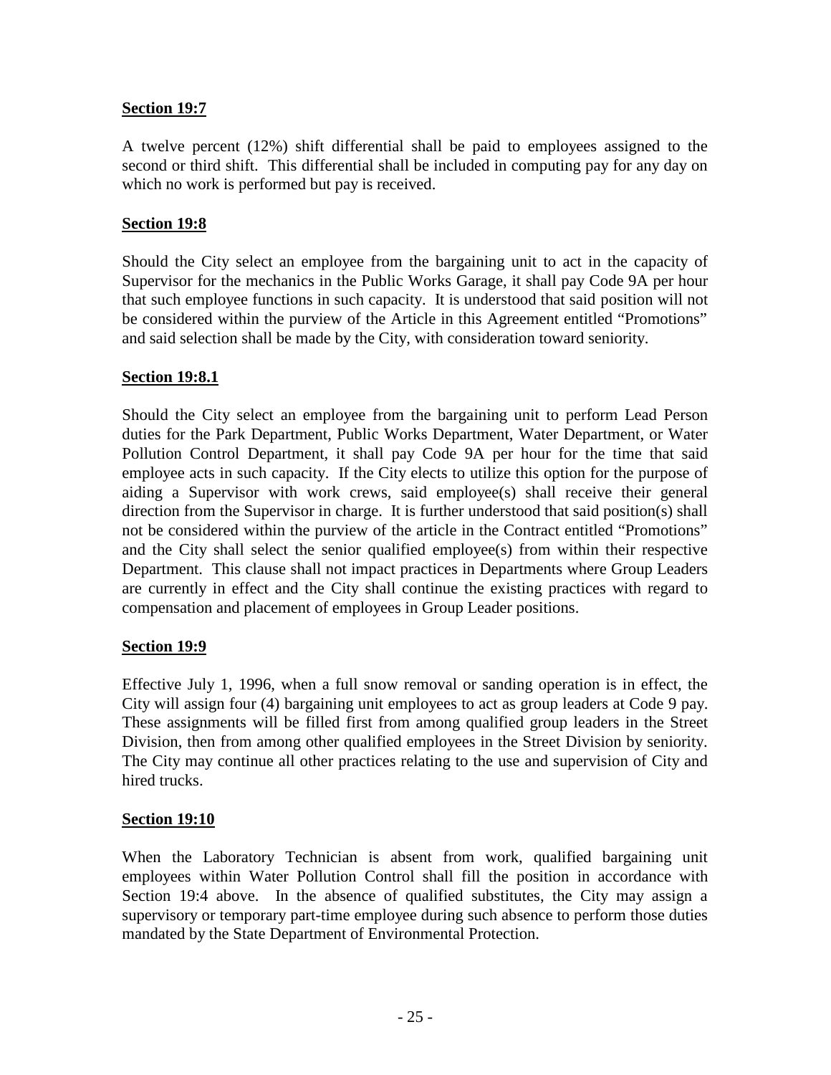# **Section 19:7**

A twelve percent (12%) shift differential shall be paid to employees assigned to the second or third shift. This differential shall be included in computing pay for any day on which no work is performed but pay is received.

# **Section 19:8**

Should the City select an employee from the bargaining unit to act in the capacity of Supervisor for the mechanics in the Public Works Garage, it shall pay Code 9A per hour that such employee functions in such capacity. It is understood that said position will not be considered within the purview of the Article in this Agreement entitled "Promotions" and said selection shall be made by the City, with consideration toward seniority.

## **Section 19:8.1**

Should the City select an employee from the bargaining unit to perform Lead Person duties for the Park Department, Public Works Department, Water Department, or Water Pollution Control Department, it shall pay Code 9A per hour for the time that said employee acts in such capacity. If the City elects to utilize this option for the purpose of aiding a Supervisor with work crews, said employee(s) shall receive their general direction from the Supervisor in charge. It is further understood that said position(s) shall not be considered within the purview of the article in the Contract entitled "Promotions" and the City shall select the senior qualified employee(s) from within their respective Department. This clause shall not impact practices in Departments where Group Leaders are currently in effect and the City shall continue the existing practices with regard to compensation and placement of employees in Group Leader positions.

## **Section 19:9**

Effective July 1, 1996, when a full snow removal or sanding operation is in effect, the City will assign four (4) bargaining unit employees to act as group leaders at Code 9 pay. These assignments will be filled first from among qualified group leaders in the Street Division, then from among other qualified employees in the Street Division by seniority. The City may continue all other practices relating to the use and supervision of City and hired trucks.

## **Section 19:10**

When the Laboratory Technician is absent from work, qualified bargaining unit employees within Water Pollution Control shall fill the position in accordance with Section 19:4 above. In the absence of qualified substitutes, the City may assign a supervisory or temporary part-time employee during such absence to perform those duties mandated by the State Department of Environmental Protection.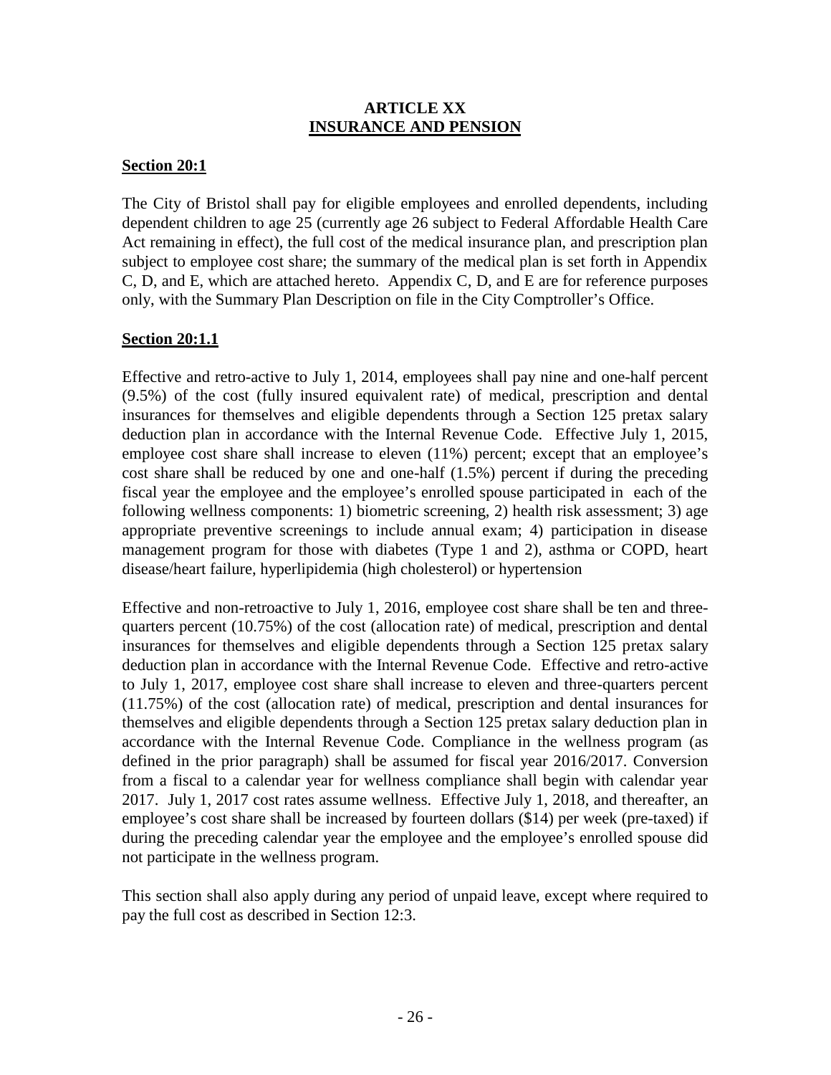#### **ARTICLE XX INSURANCE AND PENSION**

#### **Section 20:1**

The City of Bristol shall pay for eligible employees and enrolled dependents, including dependent children to age 25 (currently age 26 subject to Federal Affordable Health Care Act remaining in effect), the full cost of the medical insurance plan, and prescription plan subject to employee cost share; the summary of the medical plan is set forth in Appendix C, D, and E, which are attached hereto. Appendix C, D, and E are for reference purposes only, with the Summary Plan Description on file in the City Comptroller's Office.

## **Section 20:1.1**

Effective and retro-active to July 1, 2014, employees shall pay nine and one-half percent (9.5%) of the cost (fully insured equivalent rate) of medical, prescription and dental insurances for themselves and eligible dependents through a Section 125 pretax salary deduction plan in accordance with the Internal Revenue Code. Effective July 1, 2015, employee cost share shall increase to eleven (11%) percent; except that an employee's cost share shall be reduced by one and one-half (1.5%) percent if during the preceding fiscal year the employee and the employee's enrolled spouse participated in each of the following wellness components: 1) biometric screening, 2) health risk assessment; 3) age appropriate preventive screenings to include annual exam; 4) participation in disease management program for those with diabetes (Type 1 and 2), asthma or COPD, heart disease/heart failure, hyperlipidemia (high cholesterol) or hypertension

Effective and non-retroactive to July 1, 2016, employee cost share shall be ten and three quarters percent (10.75%) of the cost (allocation rate) of medical, prescription and dental insurances for themselves and eligible dependents through a Section 125 pretax salary deduction plan in accordance with the Internal Revenue Code. Effective and retro-active to July 1, 2017, employee cost share shall increase to eleven and three-quarters percent (11.75%) of the cost (allocation rate) of medical, prescription and dental insurances for themselves and eligible dependents through a Section 125 pretax salary deduction plan in accordance with the Internal Revenue Code. Compliance in the wellness program (as defined in the prior paragraph) shall be assumed for fiscal year 2016/2017. Conversion from a fiscal to a calendar year for wellness compliance shall begin with calendar year 2017. July 1, 2017 cost rates assume wellness. Effective July 1, 2018, and thereafter, an employee's cost share shall be increased by fourteen dollars (\$14) per week (pre-taxed) if during the preceding calendar year the employee and the employee's enrolled spouse did not participate in the wellness program.

This section shall also apply during any period of unpaid leave, except where required to pay the full cost as described in Section 12:3.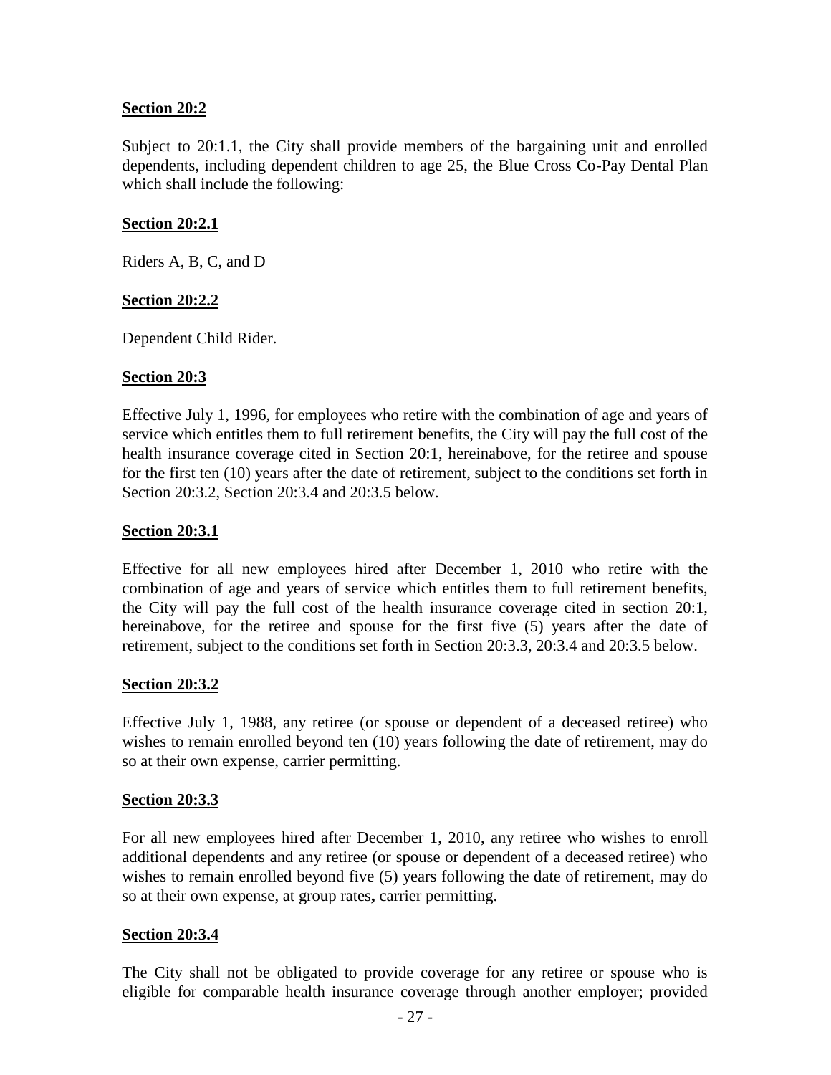#### **Section 20:2**

Subject to 20:1.1, the City shall provide members of the bargaining unit and enrolled dependents, including dependent children to age 25, the Blue Cross Co-Pay Dental Plan which shall include the following:

#### **Section 20:2.1**

Riders A, B, C, and D

#### **Section 20:2.2**

Dependent Child Rider.

#### **Section 20:3**

Effective July 1, 1996, for employees who retire with the combination of age and years of service which entitles them to full retirement benefits, the City will pay the full cost of the health insurance coverage cited in Section 20:1, hereinabove, for the retiree and spouse for the first ten (10) years after the date of retirement, subject to the conditions set forth in Section 20:3.2, Section 20:3.4 and 20:3.5 below.

#### **Section 20:3.1**

Effective for all new employees hired after December 1, 2010 who retire with the combination of age and years of service which entitles them to full retirement benefits, the City will pay the full cost of the health insurance coverage cited in section 20:1, hereinabove, for the retiree and spouse for the first five (5) years after the date of retirement, subject to the conditions set forth in Section 20:3.3, 20:3.4 and 20:3.5 below.

#### **Section 20:3.2**

Effective July 1, 1988, any retiree (or spouse or dependent of a deceased retiree) who wishes to remain enrolled beyond ten (10) years following the date of retirement, may do so at their own expense, carrier permitting.

#### **Section 20:3.3**

For all new employees hired after December 1, 2010, any retiree who wishes to enroll additional dependents and any retiree (or spouse or dependent of a deceased retiree) who wishes to remain enrolled beyond five (5) years following the date of retirement, may do so at their own expense, at group rates**,** carrier permitting.

#### **Section 20:3.4**

The City shall not be obligated to provide coverage for any retiree or spouse who is eligible for comparable health insurance coverage through another employer; provided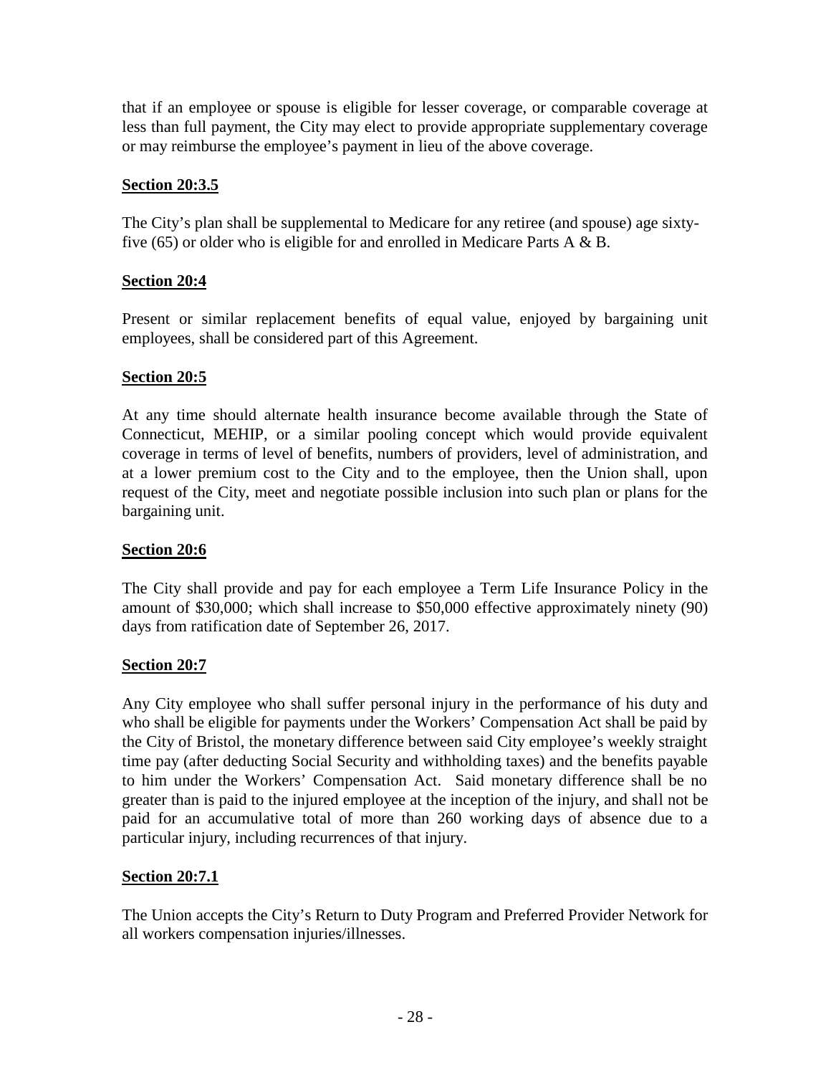that if an employee or spouse is eligible for lesser coverage, or comparable coverage at less than full payment, the City may elect to provide appropriate supplementary coverage or may reimburse the employee's payment in lieu of the above coverage.

# **Section 20:3.5**

The City's plan shall be supplemental to Medicare for any retiree (and spouse) age sixtyfive  $(65)$  or older who is eligible for and enrolled in Medicare Parts A & B.

# **Section 20:4**

Present or similar replacement benefits of equal value, enjoyed by bargaining unit employees, shall be considered part of this Agreement.

# **Section 20:5**

At any time should alternate health insurance become available through the State of Connecticut, MEHIP, or a similar pooling concept which would provide equivalent coverage in terms of level of benefits, numbers of providers, level of administration, and at a lower premium cost to the City and to the employee, then the Union shall, upon request of the City, meet and negotiate possible inclusion into such plan or plans for the bargaining unit.

# **Section 20:6**

The City shall provide and pay for each employee a Term Life Insurance Policy in the amount of \$30,000; which shall increase to \$50,000 effective approximately ninety (90) days from ratification date of September 26, 2017.

## **Section 20:7**

Any City employee who shall suffer personal injury in the performance of his duty and who shall be eligible for payments under the Workers' Compensation Act shall be paid by the City of Bristol, the monetary difference between said City employee's weekly straight time pay (after deducting Social Security and withholding taxes) and the benefits payable to him under the Workers' Compensation Act. Said monetary difference shall be no greater than is paid to the injured employee at the inception of the injury, and shall not be paid for an accumulative total of more than 260 working days of absence due to a particular injury, including recurrences of that injury.

# **Section 20:7.1**

The Union accepts the City's Return to Duty Program and Preferred Provider Network for all workers compensation injuries/illnesses.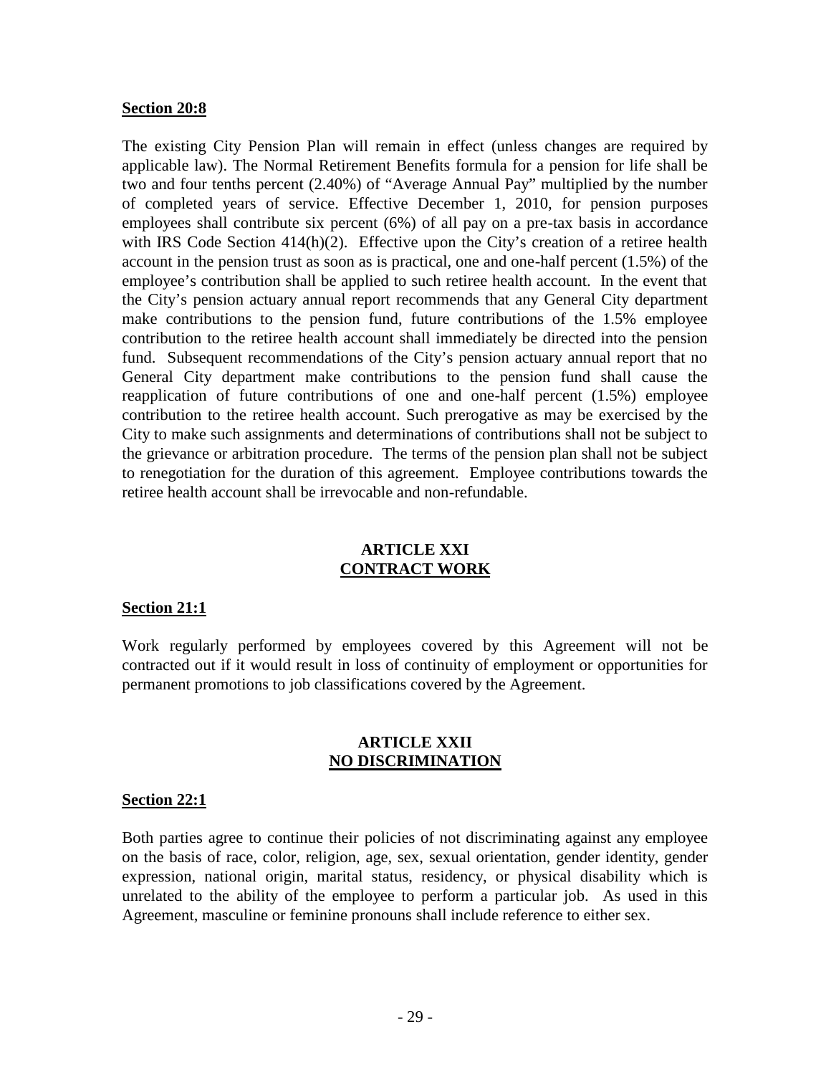#### **Section 20:8**

The existing City Pension Plan will remain in effect (unless changes are required by applicable law). The Normal Retirement Benefits formula for a pension for life shall be two and four tenths percent (2.40%) of "Average Annual Pay" multiplied by the number of completed years of service. Effective December 1, 2010, for pension purposes employees shall contribute six percent (6%) of all pay on a pre-tax basis in accordance with IRS Code Section 414(h)(2). Effective upon the City's creation of a retiree health account in the pension trust as soon as is practical, one and one-half percent (1.5%) of the employee's contribution shall be applied to such retiree health account. In the event that the City's pension actuary annual report recommends that any General City department make contributions to the pension fund, future contributions of the 1.5% employee contribution to the retiree health account shall immediately be directed into the pension fund. Subsequent recommendations of the City's pension actuary annual report that no General City department make contributions to the pension fund shall cause the reapplication of future contributions of one and one-half percent (1.5%) employee contribution to the retiree health account. Such prerogative as may be exercised by the City to make such assignments and determinations of contributions shall not be subject to the grievance or arbitration procedure. The terms of the pension plan shall not be subject to renegotiation for the duration of this agreement. Employee contributions towards the retiree health account shall be irrevocable and non-refundable.

#### **ARTICLE XXI CONTRACT WORK**

#### **Section 21:1**

Work regularly performed by employees covered by this Agreement will not be contracted out if it would result in loss of continuity of employment or opportunities for permanent promotions to job classifications covered by the Agreement.

#### **ARTICLE XXII NO DISCRIMINATION**

#### **Section 22:1**

Both parties agree to continue their policies of not discriminating against any employee on the basis of race, color, religion, age, sex, sexual orientation, gender identity, gender expression, national origin, marital status, residency, or physical disability which is unrelated to the ability of the employee to perform a particular job. As used in this Agreement, masculine or feminine pronouns shall include reference to either sex.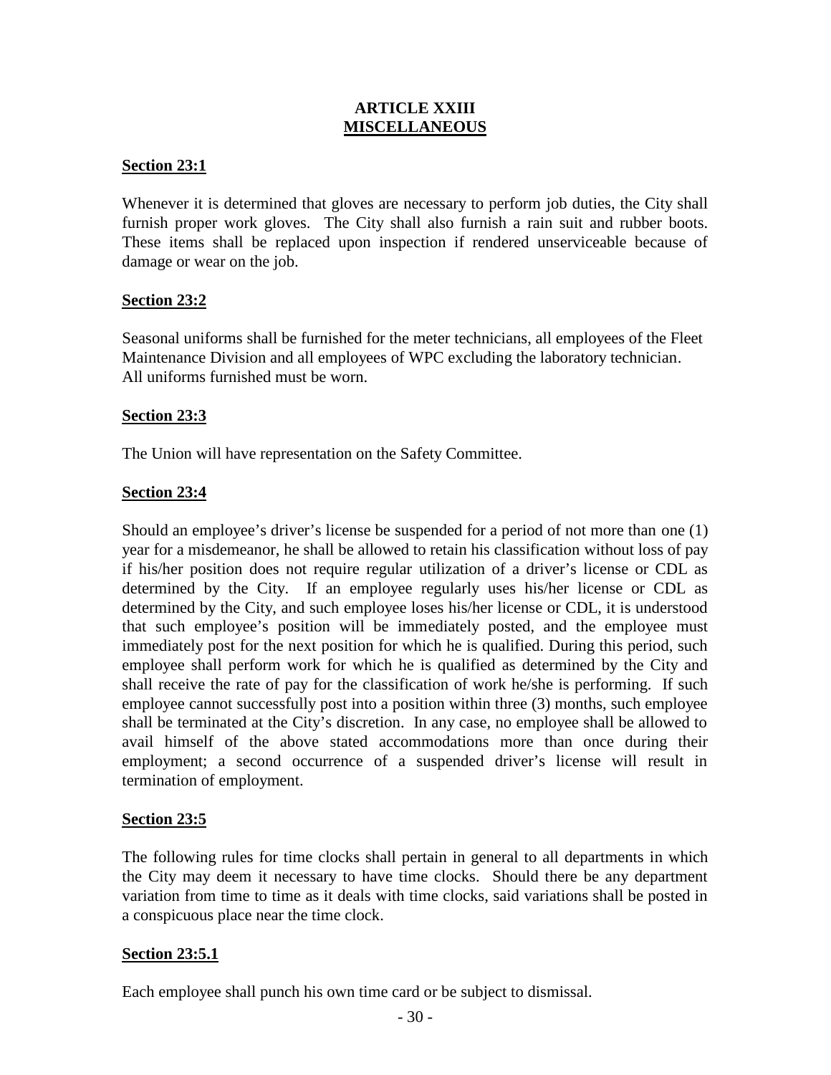## **ARTICLE XXIII MISCELLANEOUS**

#### **Section 23:1**

Whenever it is determined that gloves are necessary to perform job duties, the City shall furnish proper work gloves. The City shall also furnish a rain suit and rubber boots. These items shall be replaced upon inspection if rendered unserviceable because of damage or wear on the job.

#### **Section 23:2**

Seasonal uniforms shall be furnished for the meter technicians, all employees of the Fleet Maintenance Division and all employees of WPC excluding the laboratory technician. All uniforms furnished must be worn.

#### **Section 23:3**

The Union will have representation on the Safety Committee.

## **Section 23:4**

Should an employee's driver's license be suspended for a period of not more than one (1) year for a misdemeanor, he shall be allowed to retain his classification without loss of pay if his/her position does not require regular utilization of a driver's license or CDL as determined by the City. If an employee regularly uses his/her license or CDL as determined by the City, and such employee loses his/her license or CDL, it is understood that such employee's position will be immediately posted, and the employee must immediately post for the next position for which he is qualified. During this period, such employee shall perform work for which he is qualified as determined by the City and shall receive the rate of pay for the classification of work he/she is performing. If such employee cannot successfully post into a position within three (3) months, such employee shall be terminated at the City's discretion. In any case, no employee shall be allowed to avail himself of the above stated accommodations more than once during their employment; a second occurrence of a suspended driver's license will result in termination of employment.

#### **Section 23:5**

The following rules for time clocks shall pertain in general to all departments in which the City may deem it necessary to have time clocks. Should there be any department variation from time to time as it deals with time clocks, said variations shall be posted in a conspicuous place near the time clock.

#### **Section 23:5.1**

Each employee shall punch his own time card or be subject to dismissal.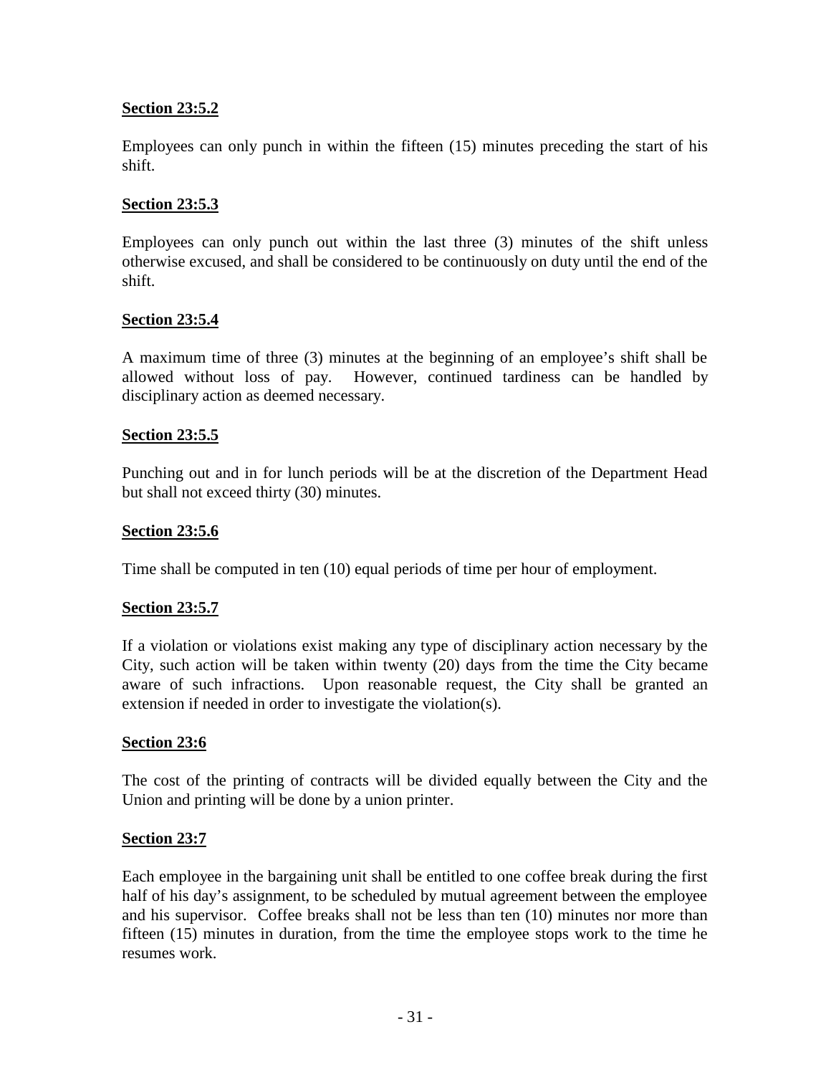## **Section 23:5.2**

Employees can only punch in within the fifteen (15) minutes preceding the start of his shift.

# **Section 23:5.3**

Employees can only punch out within the last three (3) minutes of the shift unless otherwise excused, and shall be considered to be continuously on duty until the end of the shift.

## **Section 23:5.4**

A maximum time of three (3) minutes at the beginning of an employee's shift shall be allowed without loss of pay. However, continued tardiness can be handled by disciplinary action as deemed necessary.

# **Section 23:5.5**

Punching out and in for lunch periods will be at the discretion of the Department Head but shall not exceed thirty (30) minutes.

# **Section 23:5.6**

Time shall be computed in ten (10) equal periods of time per hour of employment.

## **Section 23:5.7**

If a violation or violations exist making any type of disciplinary action necessary by the City, such action will be taken within twenty (20) days from the time the City became aware of such infractions. Upon reasonable request, the City shall be granted an extension if needed in order to investigate the violation(s).

## **Section 23:6**

The cost of the printing of contracts will be divided equally between the City and the Union and printing will be done by a union printer.

## **Section 23:7**

Each employee in the bargaining unit shall be entitled to one coffee break during the first half of his day's assignment, to be scheduled by mutual agreement between the employee and his supervisor. Coffee breaks shall not be less than ten (10) minutes nor more than fifteen (15) minutes in duration, from the time the employee stops work to the time he resumes work.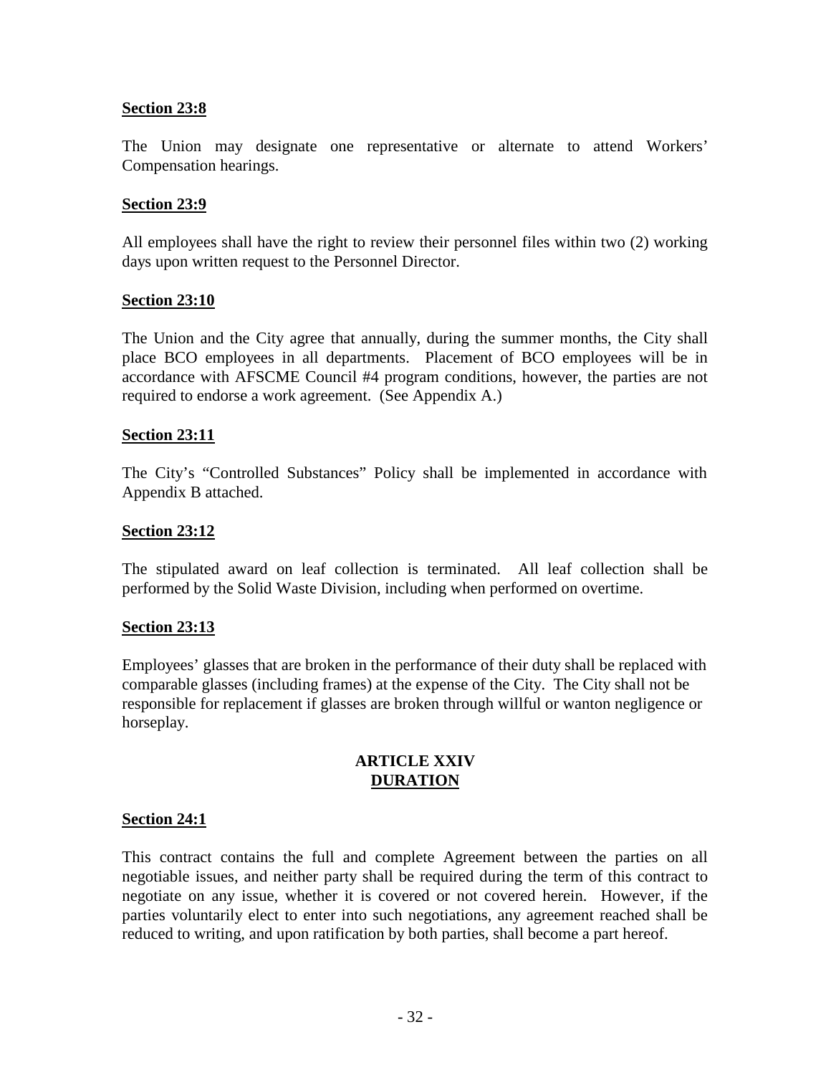#### **Section 23:8**

The Union may designate one representative or alternate to attend Workers' Compensation hearings.

#### **Section 23:9**

All employees shall have the right to review their personnel files within two (2) working days upon written request to the Personnel Director.

#### **Section 23:10**

The Union and the City agree that annually, during the summer months, the City shall place BCO employees in all departments. Placement of BCO employees will be in accordance with AFSCME Council #4 program conditions, however, the parties are not required to endorse a work agreement. (See Appendix A.)

#### **Section 23:11**

The City's "Controlled Substances" Policy shall be implemented in accordance with Appendix B attached.

#### **Section 23:12**

The stipulated award on leaf collection is terminated. All leaf collection shall be performed by the Solid Waste Division, including when performed on overtime.

#### **Section 23:13**

Employees' glasses that are broken in the performance of their duty shall be replaced with comparable glasses (including frames) at the expense of the City. The City shall not be responsible for replacement if glasses are broken through willful or wanton negligence or horseplay.

#### **ARTICLE XXIV DURATION**

#### **Section 24:1**

This contract contains the full and complete Agreement between the parties on all negotiable issues, and neither party shall be required during the term of this contract to negotiate on any issue, whether it is covered or not covered herein. However, if the parties voluntarily elect to enter into such negotiations, any agreement reached shall be reduced to writing, and upon ratification by both parties, shall become a part hereof.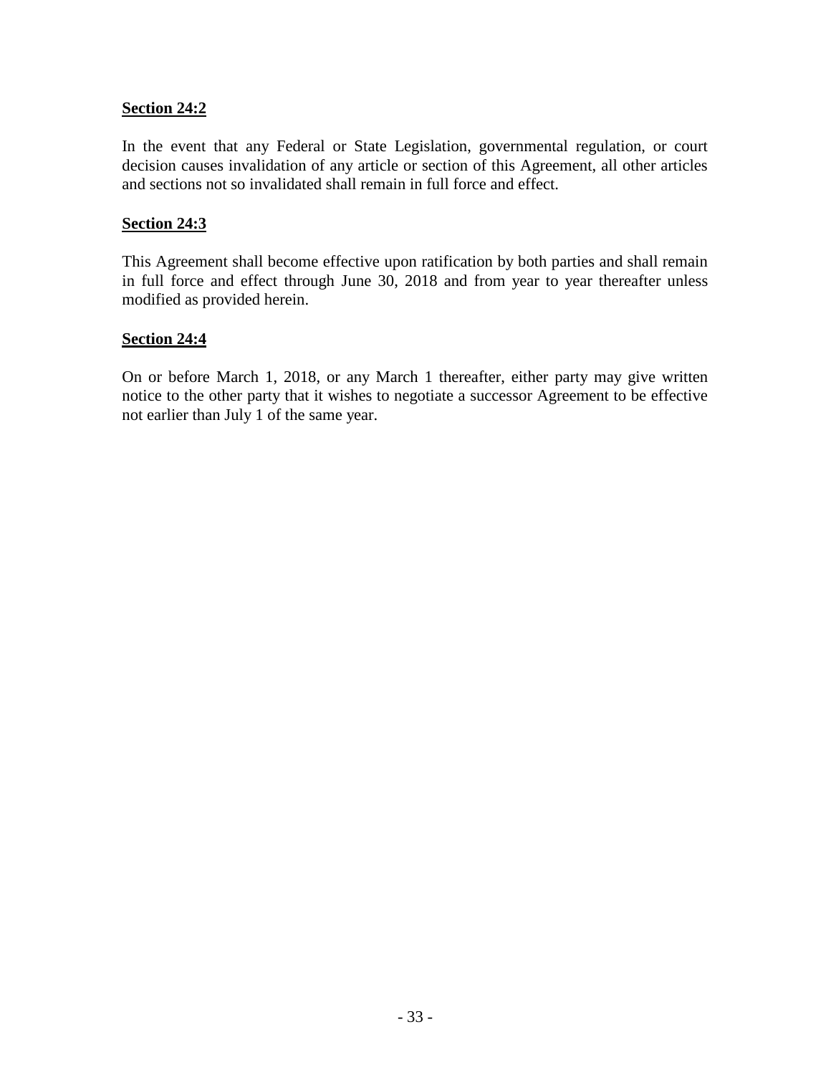#### **Section 24:2**

In the event that any Federal or State Legislation, governmental regulation, or court decision causes invalidation of any article or section of this Agreement, all other articles and sections not so invalidated shall remain in full force and effect.

#### **Section 24:3**

This Agreement shall become effective upon ratification by both parties and shall remain in full force and effect through June 30, 2018 and from year to year thereafter unless modified as provided herein.

#### **Section 24:4**

On or before March 1, 2018, or any March 1 thereafter, either party may give written notice to the other party that it wishes to negotiate a successor Agreement to be effective not earlier than July 1 of the same year.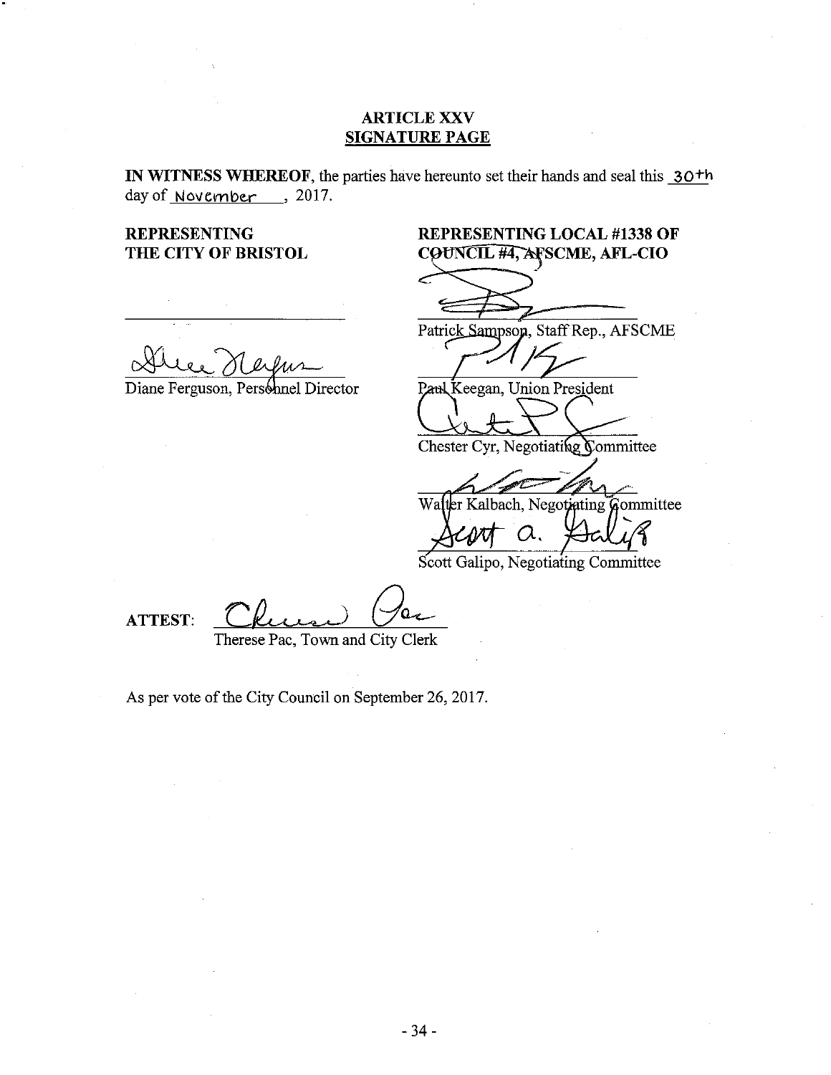#### **ARTICLE XXV SIGNATURE PAGE**

IN WITNESS WHEREOF, the parties have hereunto set their hands and seal this 30<sup>th</sup> day of <u>November</u>, 2017.

**REPRESENTING** THE CITY OF BRISTOL

# **REPRESENTING LOCAL #1338 OF** COUNCIL #4, AFSCME, AFL-CIO

Diane Ferguson, Personnel Director

Patrick Sampson, Staff Rep., AFSCME

٢

Paul Keegan, Union President

Chester Cyr, Negotiating Committee

Walter Kalbach, Negotiating Committee

 $\alpha$ .

Scott Galipo, Negotiating Committee

**ATTEST:** 

Therese Pac, Town and City Clerk

As per vote of the City Council on September 26, 2017.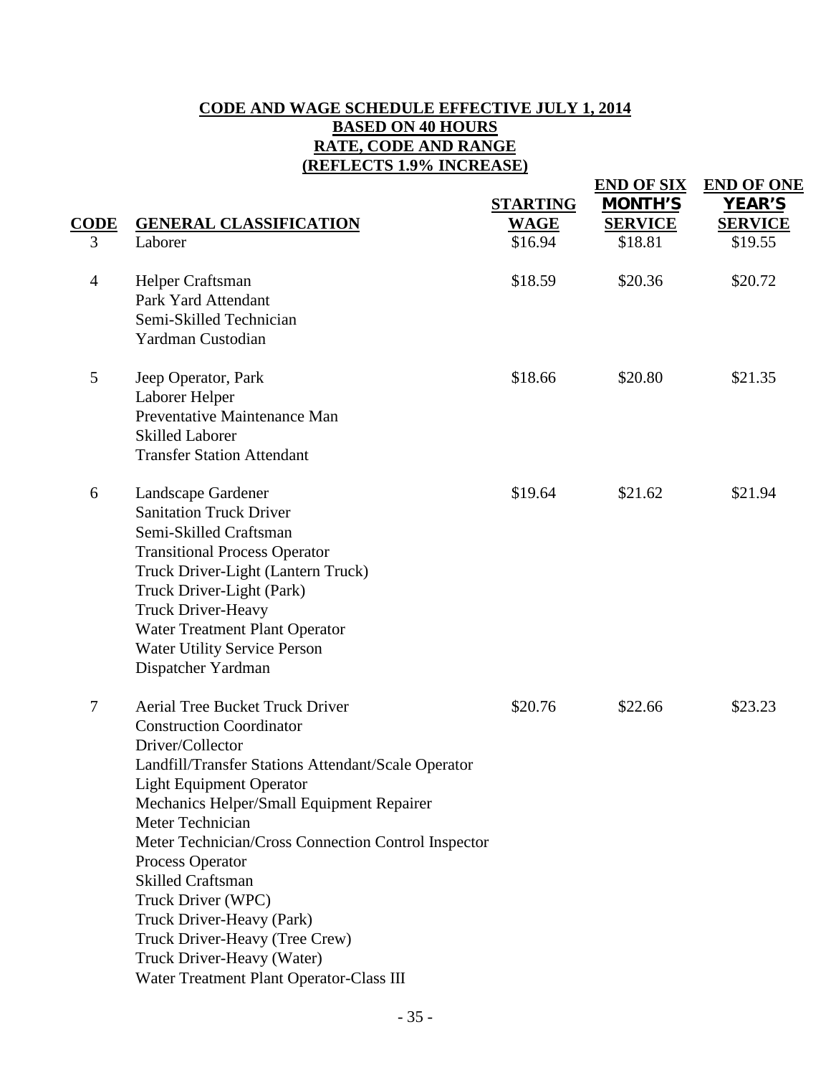## **CODE AND WAGE SCHEDULE EFFECTIVE JULY 1, 2014 BASED ON 40 HOURS RATE, CODE AND RANGE (REFLECTS 1.9% INCREASE)**

| CODE           | <b>GENERAL CLASSIFICATION</b>                                                                                                                                                                                                                                                                                                                                                                                                                                                                                                  | <b>STARTING</b>        | <b>END OF SIX</b><br><b>MONTH'S</b><br><b>SERVICE</b> | <b>END OF ONE</b><br><b>YEAR'S</b><br><b>SERVICE</b> |
|----------------|--------------------------------------------------------------------------------------------------------------------------------------------------------------------------------------------------------------------------------------------------------------------------------------------------------------------------------------------------------------------------------------------------------------------------------------------------------------------------------------------------------------------------------|------------------------|-------------------------------------------------------|------------------------------------------------------|
| 3              | Laborer                                                                                                                                                                                                                                                                                                                                                                                                                                                                                                                        | <b>WAGE</b><br>\$16.94 | \$18.81                                               | \$19.55                                              |
|                |                                                                                                                                                                                                                                                                                                                                                                                                                                                                                                                                |                        |                                                       |                                                      |
| $\overline{4}$ | Helper Craftsman<br>Park Yard Attendant<br>Semi-Skilled Technician<br>Yardman Custodian                                                                                                                                                                                                                                                                                                                                                                                                                                        | \$18.59                | \$20.36                                               | \$20.72                                              |
| 5              | Jeep Operator, Park<br>Laborer Helper<br>Preventative Maintenance Man<br><b>Skilled Laborer</b><br><b>Transfer Station Attendant</b>                                                                                                                                                                                                                                                                                                                                                                                           | \$18.66                | \$20.80                                               | \$21.35                                              |
| 6              | Landscape Gardener<br><b>Sanitation Truck Driver</b><br>Semi-Skilled Craftsman<br><b>Transitional Process Operator</b><br>Truck Driver-Light (Lantern Truck)<br>Truck Driver-Light (Park)<br><b>Truck Driver-Heavy</b><br>Water Treatment Plant Operator<br><b>Water Utility Service Person</b><br>Dispatcher Yardman                                                                                                                                                                                                          | \$19.64                | \$21.62                                               | \$21.94                                              |
| $\tau$         | <b>Aerial Tree Bucket Truck Driver</b><br><b>Construction Coordinator</b><br>Driver/Collector<br>Landfill/Transfer Stations Attendant/Scale Operator<br><b>Light Equipment Operator</b><br>Mechanics Helper/Small Equipment Repairer<br>Meter Technician<br>Meter Technician/Cross Connection Control Inspector<br>Process Operator<br><b>Skilled Craftsman</b><br>Truck Driver (WPC)<br>Truck Driver-Heavy (Park)<br>Truck Driver-Heavy (Tree Crew)<br>Truck Driver-Heavy (Water)<br>Water Treatment Plant Operator-Class III | \$20.76                | \$22.66                                               | \$23.23                                              |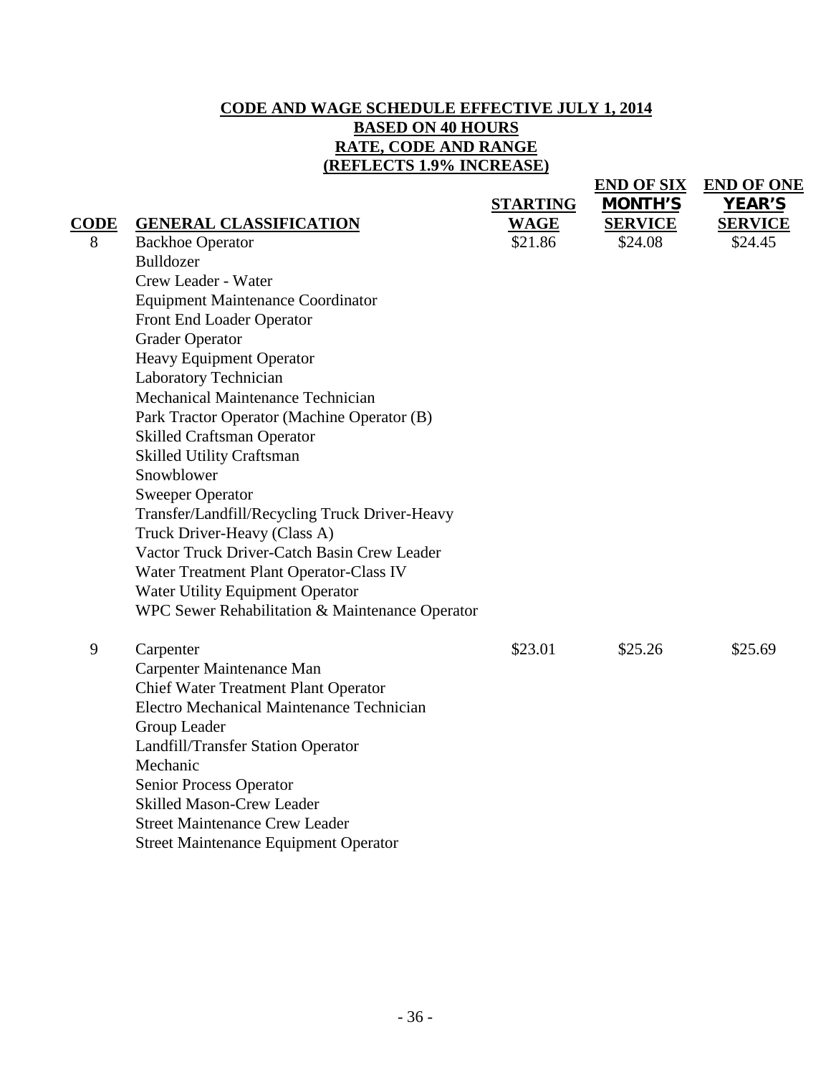## **CODE AND WAGE SCHEDULE EFFECTIVE JULY 1, 2014 BASED ON 40 HOURS RATE, CODE AND RANGE (REFLECTS 1.9% INCREASE)**

|             |                                                                    |                 | <b>END OF SIX</b> | <b>END OF ONE</b> |
|-------------|--------------------------------------------------------------------|-----------------|-------------------|-------------------|
|             |                                                                    | <b>STARTING</b> | <b>MONTH'S</b>    | <b>YEAR'S</b>     |
| <b>CODE</b> | <b>GENERAL CLASSIFICATION</b>                                      | <b>WAGE</b>     | <b>SERVICE</b>    | <b>SERVICE</b>    |
| 8           | <b>Backhoe Operator</b>                                            | \$21.86         | \$24.08           | \$24.45           |
|             | <b>Bulldozer</b>                                                   |                 |                   |                   |
|             | Crew Leader - Water                                                |                 |                   |                   |
|             | <b>Equipment Maintenance Coordinator</b>                           |                 |                   |                   |
|             | Front End Loader Operator                                          |                 |                   |                   |
|             | <b>Grader Operator</b>                                             |                 |                   |                   |
|             | Heavy Equipment Operator                                           |                 |                   |                   |
|             | Laboratory Technician                                              |                 |                   |                   |
|             | Mechanical Maintenance Technician                                  |                 |                   |                   |
|             | Park Tractor Operator (Machine Operator (B)                        |                 |                   |                   |
|             | <b>Skilled Craftsman Operator</b>                                  |                 |                   |                   |
|             | <b>Skilled Utility Craftsman</b>                                   |                 |                   |                   |
|             | Snowblower                                                         |                 |                   |                   |
|             | <b>Sweeper Operator</b>                                            |                 |                   |                   |
|             | Transfer/Landfill/Recycling Truck Driver-Heavy                     |                 |                   |                   |
|             | Truck Driver-Heavy (Class A)                                       |                 |                   |                   |
|             | Vactor Truck Driver-Catch Basin Crew Leader                        |                 |                   |                   |
|             | Water Treatment Plant Operator-Class IV                            |                 |                   |                   |
|             | Water Utility Equipment Operator                                   |                 |                   |                   |
|             | WPC Sewer Rehabilitation & Maintenance Operator                    |                 |                   |                   |
|             |                                                                    |                 |                   |                   |
| 9           | Carpenter                                                          | \$23.01         | \$25.26           | \$25.69           |
|             | Carpenter Maintenance Man                                          |                 |                   |                   |
|             | <b>Chief Water Treatment Plant Operator</b>                        |                 |                   |                   |
|             | Electro Mechanical Maintenance Technician                          |                 |                   |                   |
|             | Group Leader                                                       |                 |                   |                   |
|             | Landfill/Transfer Station Operator<br>Mechanic                     |                 |                   |                   |
|             |                                                                    |                 |                   |                   |
|             | <b>Senior Process Operator</b><br><b>Skilled Mason-Crew Leader</b> |                 |                   |                   |
|             | <b>Street Maintenance Crew Leader</b>                              |                 |                   |                   |
|             |                                                                    |                 |                   |                   |
|             | <b>Street Maintenance Equipment Operator</b>                       |                 |                   |                   |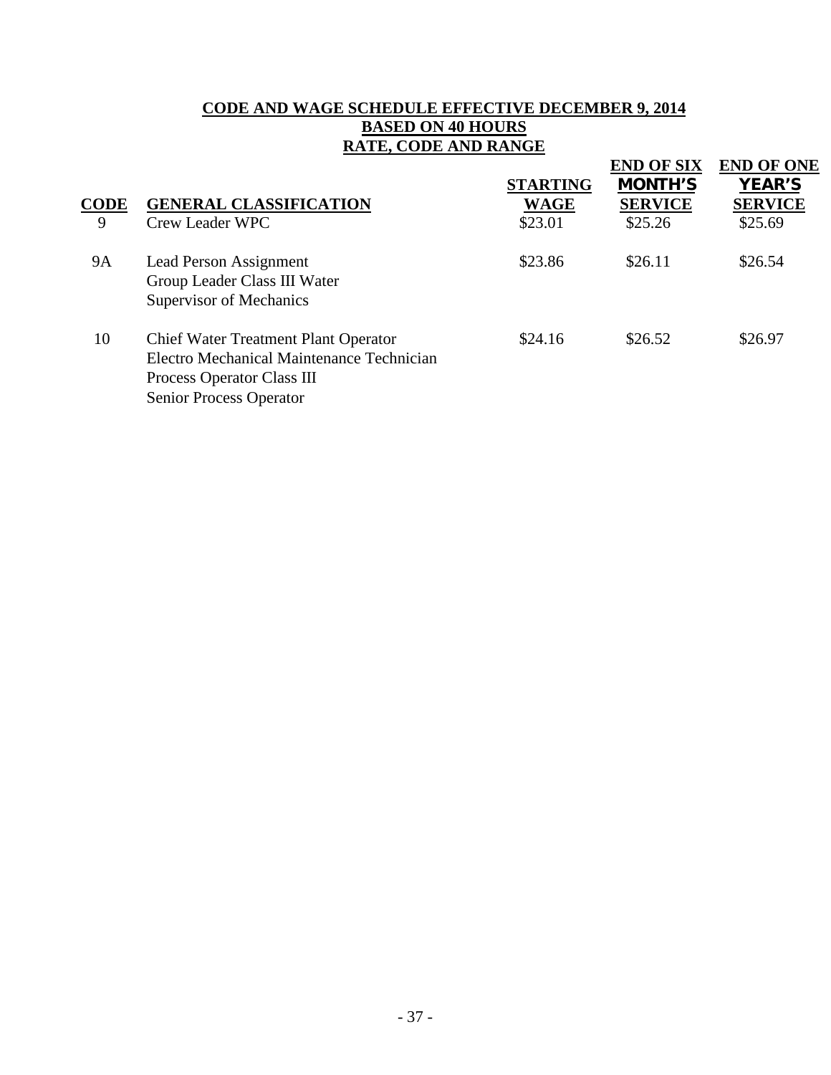# **CODE AND WAGE SCHEDULE EFFECTIVE DECEMBER 9, 2014 BASED ON 40 HOURS RATE, CODE AND RANGE**

| <b>CODE</b><br>9 | <b>GENERAL CLASSIFICATION</b><br><b>Crew Leader WPC</b>                                                                                           | <b>STARTING</b><br><b>WAGE</b><br>\$23.01 | <b>END OF SIX</b><br><b>MONTH'S</b><br><b>SERVICE</b><br>\$25.26 | <b>END OF ONE</b><br><b>YEAR'S</b><br><b>SERVICE</b><br>\$25.69 |
|------------------|---------------------------------------------------------------------------------------------------------------------------------------------------|-------------------------------------------|------------------------------------------------------------------|-----------------------------------------------------------------|
| <b>9A</b>        | Lead Person Assignment<br>Group Leader Class III Water<br>Supervisor of Mechanics                                                                 | \$23.86                                   | \$26.11                                                          | \$26.54                                                         |
| 10               | <b>Chief Water Treatment Plant Operator</b><br>Electro Mechanical Maintenance Technician<br>Process Operator Class III<br>Senior Process Operator | \$24.16                                   | \$26.52                                                          | \$26.97                                                         |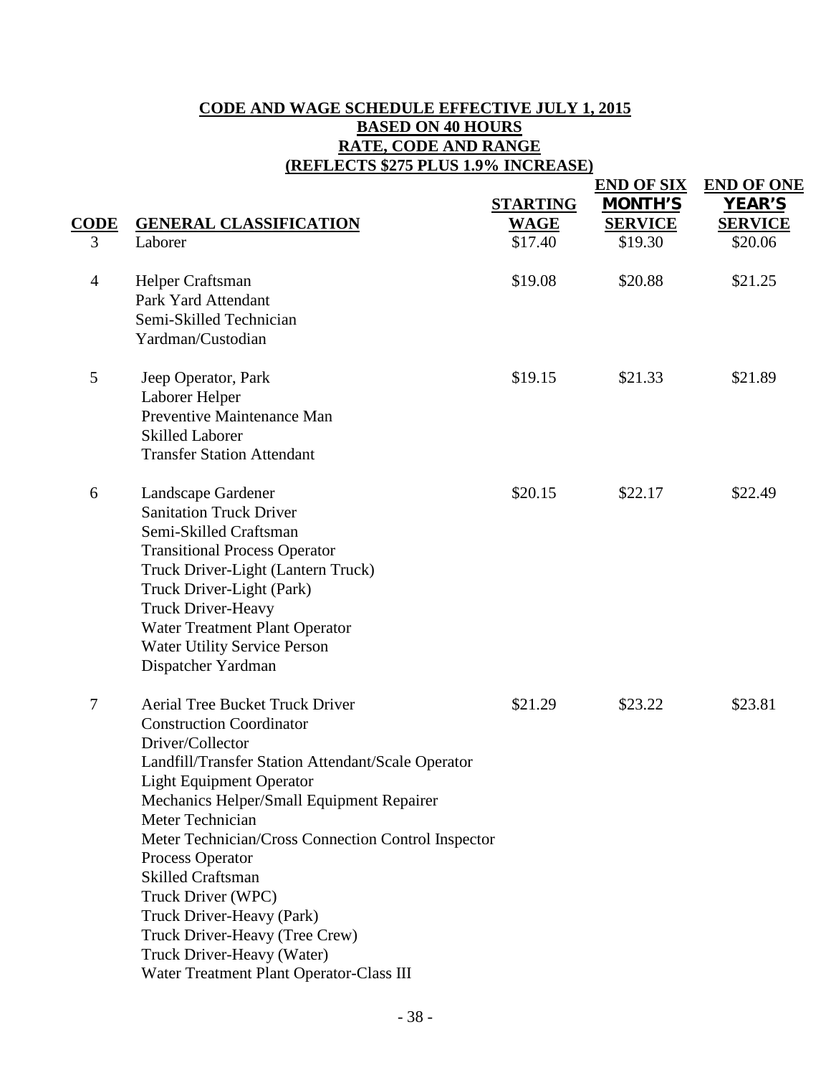# **CODE AND WAGE SCHEDULE EFFECTIVE JULY 1, 2015 BASED ON 40 HOURS RATE, CODE AND RANGE (REFLECTS \$275 PLUS 1.9% INCREASE)**

|                |                                                                                                                                                                                                                                                                                                                                                                                                                                                                                                                               | <b>STARTING</b> | <b>END OF SIX</b><br><b>MONTH'S</b> | <b>END OF ONE</b><br><b>YEAR'S</b> |
|----------------|-------------------------------------------------------------------------------------------------------------------------------------------------------------------------------------------------------------------------------------------------------------------------------------------------------------------------------------------------------------------------------------------------------------------------------------------------------------------------------------------------------------------------------|-----------------|-------------------------------------|------------------------------------|
| CODE           | <b>GENERAL CLASSIFICATION</b>                                                                                                                                                                                                                                                                                                                                                                                                                                                                                                 | <b>WAGE</b>     | <b>SERVICE</b>                      | <b>SERVICE</b>                     |
| 3              | Laborer                                                                                                                                                                                                                                                                                                                                                                                                                                                                                                                       | \$17.40         | \$19.30                             | \$20.06                            |
| $\overline{4}$ | Helper Craftsman<br>Park Yard Attendant<br>Semi-Skilled Technician<br>Yardman/Custodian                                                                                                                                                                                                                                                                                                                                                                                                                                       | \$19.08         | \$20.88                             | \$21.25                            |
| 5              | Jeep Operator, Park<br>Laborer Helper<br>Preventive Maintenance Man<br><b>Skilled Laborer</b><br><b>Transfer Station Attendant</b>                                                                                                                                                                                                                                                                                                                                                                                            | \$19.15         | \$21.33                             | \$21.89                            |
| 6              | Landscape Gardener<br><b>Sanitation Truck Driver</b><br>Semi-Skilled Craftsman<br><b>Transitional Process Operator</b><br>Truck Driver-Light (Lantern Truck)<br>Truck Driver-Light (Park)<br><b>Truck Driver-Heavy</b><br>Water Treatment Plant Operator<br><b>Water Utility Service Person</b><br>Dispatcher Yardman                                                                                                                                                                                                         | \$20.15         | \$22.17                             | \$22.49                            |
| $\overline{7}$ | <b>Aerial Tree Bucket Truck Driver</b><br><b>Construction Coordinator</b><br>Driver/Collector<br>Landfill/Transfer Station Attendant/Scale Operator<br><b>Light Equipment Operator</b><br>Mechanics Helper/Small Equipment Repairer<br>Meter Technician<br>Meter Technician/Cross Connection Control Inspector<br>Process Operator<br><b>Skilled Craftsman</b><br>Truck Driver (WPC)<br>Truck Driver-Heavy (Park)<br>Truck Driver-Heavy (Tree Crew)<br>Truck Driver-Heavy (Water)<br>Water Treatment Plant Operator-Class III | \$21.29         | \$23.22                             | \$23.81                            |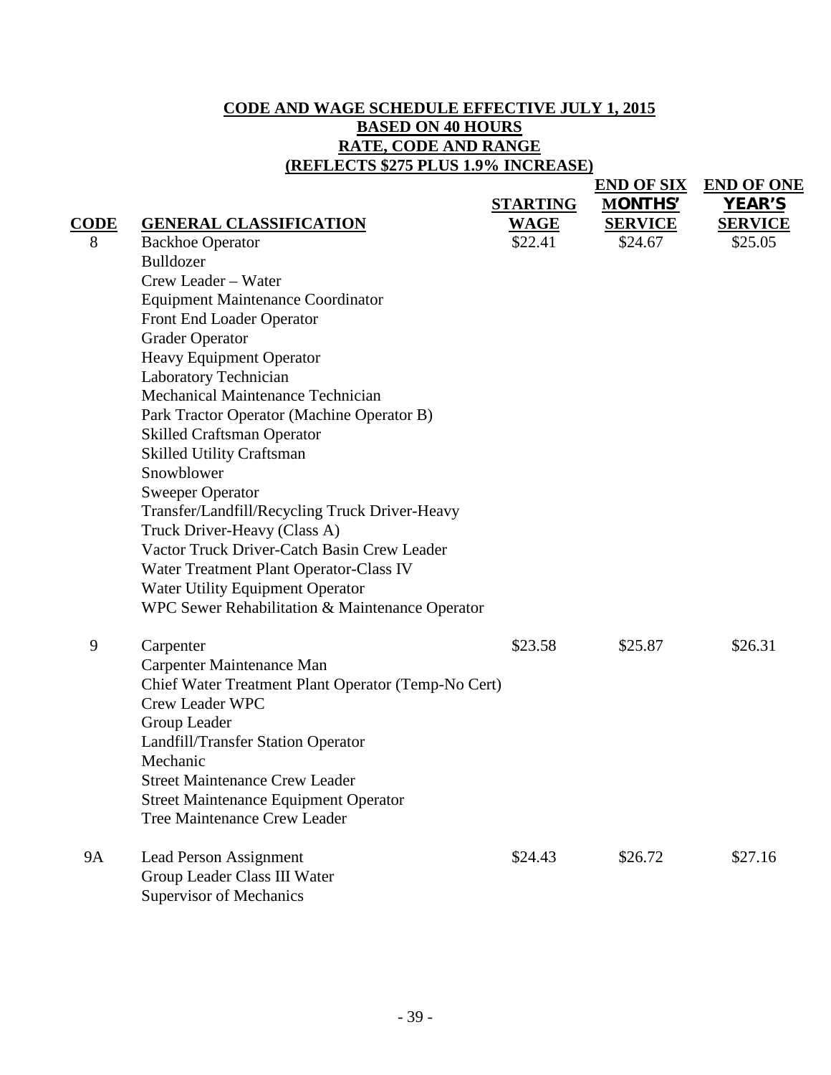# **CODE AND WAGE SCHEDULE EFFECTIVE JULY 1, 2015 BASED ON 40 HOURS RATE, CODE AND RANGE (REFLECTS \$275 PLUS 1.9% INCREASE)**

**END OF SIX END OF ONE**

| CODE      | <b>GENERAL CLASSIFICATION</b>                                                                                                                                                                                                                                                                                                                                                                                                                                                                                                                                                                                                                                                                      | <b>STARTING</b><br><b>WAGE</b> | <b>MONTHS'</b><br><b>SERVICE</b> | <b>YEAR'S</b><br><b>SERVICE</b> |
|-----------|----------------------------------------------------------------------------------------------------------------------------------------------------------------------------------------------------------------------------------------------------------------------------------------------------------------------------------------------------------------------------------------------------------------------------------------------------------------------------------------------------------------------------------------------------------------------------------------------------------------------------------------------------------------------------------------------------|--------------------------------|----------------------------------|---------------------------------|
| 8         | <b>Backhoe Operator</b><br>Bulldozer<br>Crew Leader - Water<br><b>Equipment Maintenance Coordinator</b><br>Front End Loader Operator<br><b>Grader Operator</b><br><b>Heavy Equipment Operator</b><br>Laboratory Technician<br>Mechanical Maintenance Technician<br>Park Tractor Operator (Machine Operator B)<br><b>Skilled Craftsman Operator</b><br><b>Skilled Utility Craftsman</b><br>Snowblower<br><b>Sweeper Operator</b><br>Transfer/Landfill/Recycling Truck Driver-Heavy<br>Truck Driver-Heavy (Class A)<br>Vactor Truck Driver-Catch Basin Crew Leader<br>Water Treatment Plant Operator-Class IV<br>Water Utility Equipment Operator<br>WPC Sewer Rehabilitation & Maintenance Operator | \$22.41                        | \$24.67                          | \$25.05                         |
| 9         | Carpenter<br>Carpenter Maintenance Man<br>Chief Water Treatment Plant Operator (Temp-No Cert)<br><b>Crew Leader WPC</b><br>Group Leader<br>Landfill/Transfer Station Operator<br>Mechanic<br><b>Street Maintenance Crew Leader</b><br><b>Street Maintenance Equipment Operator</b><br><b>Tree Maintenance Crew Leader</b>                                                                                                                                                                                                                                                                                                                                                                          | \$23.58                        | \$25.87                          | \$26.31                         |
| <b>9A</b> | <b>Lead Person Assignment</b><br>Group Leader Class III Water<br><b>Supervisor of Mechanics</b>                                                                                                                                                                                                                                                                                                                                                                                                                                                                                                                                                                                                    | \$24.43                        | \$26.72                          | \$27.16                         |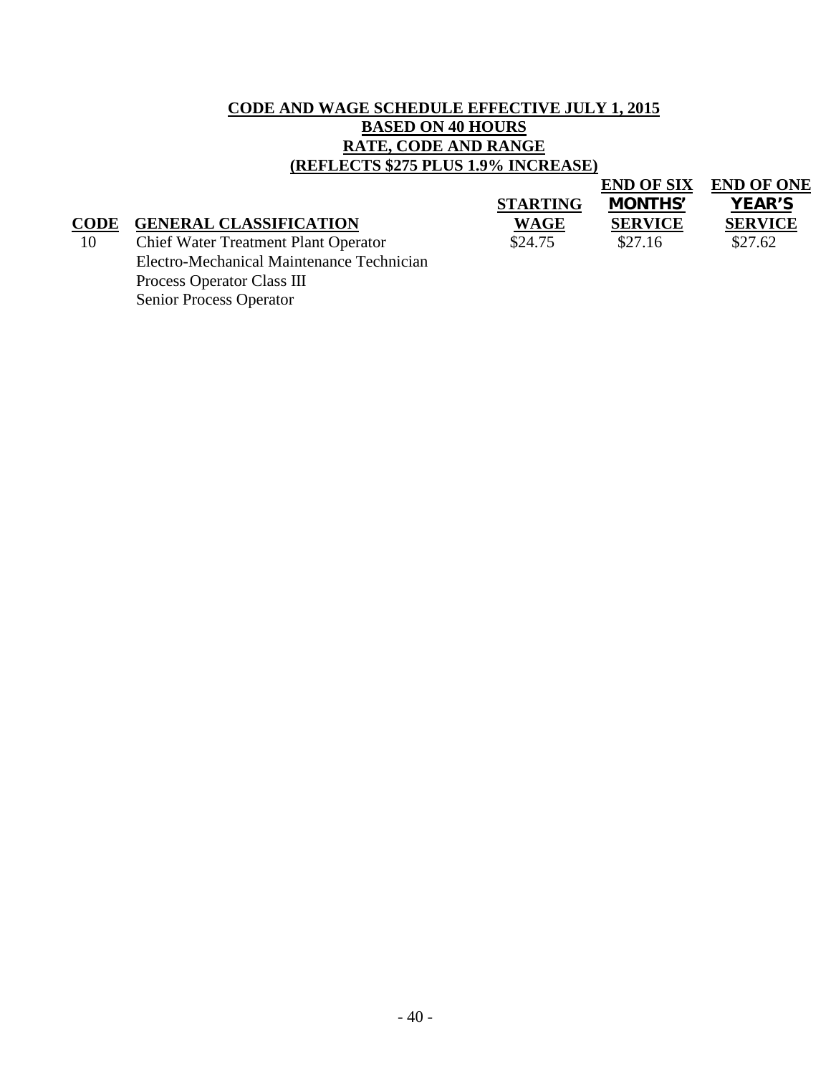# **CODE AND WAGE SCHEDULE EFFECTIVE JULY 1, 2015 BASED ON 40 HOURS RATE, CODE AND RANGE (REFLECTS \$275 PLUS 1.9% INCREASE)**

|                                             |                 | <b>END OF SIX</b> | <b>END OF ONE</b> |
|---------------------------------------------|-----------------|-------------------|-------------------|
|                                             | <b>STARTING</b> | <b>MONTHS'</b>    | <b>YEAR'S</b>     |
| <b>GENERAL CLASSIFICATION</b>               | <b>WAGE</b>     | <b>SERVICE</b>    | <b>SERVICE</b>    |
| <b>Chief Water Treatment Plant Operator</b> | \$24.75         | \$27.16           | \$27.62           |
| Electro-Mechanical Maintenance Technician   |                 |                   |                   |
| Process Operator Class III                  |                 |                   |                   |
| <b>Senior Process Operator</b>              |                 |                   |                   |
|                                             |                 |                   |                   |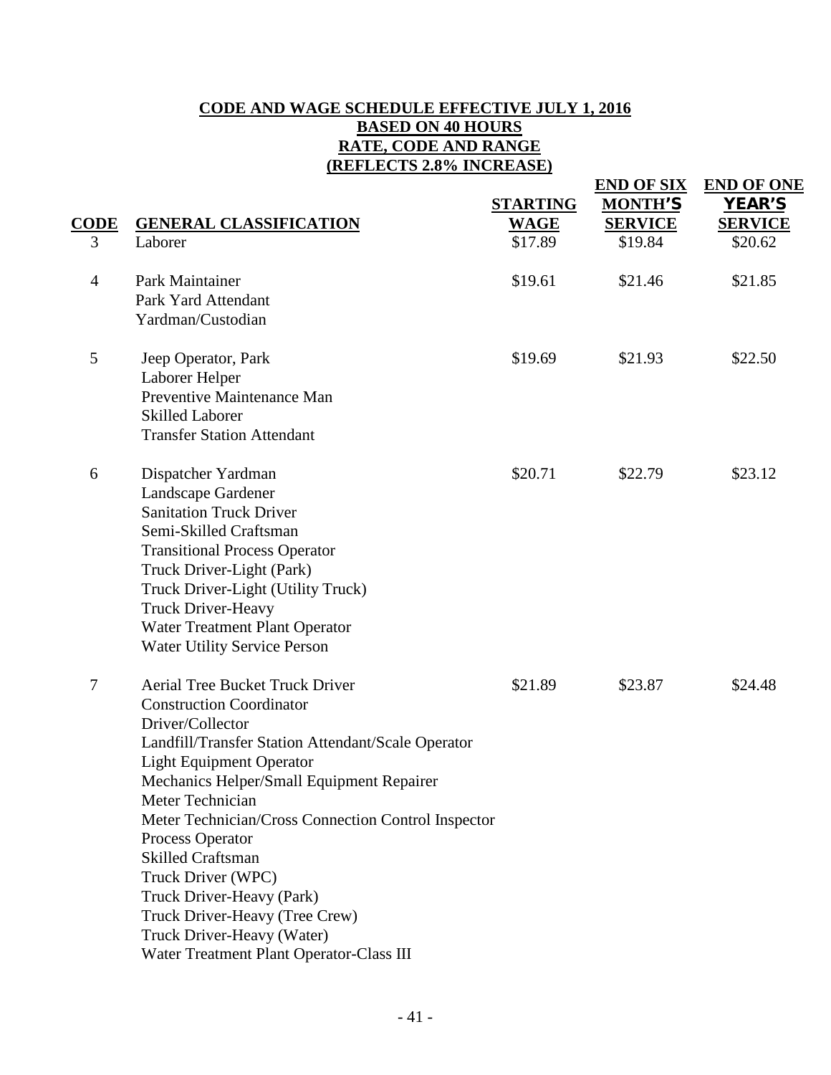## **CODE AND WAGE SCHEDULE EFFECTIVE JULY 1, 2016 BASED ON 40 HOURS RATE, CODE AND RANGE (REFLECTS 2.8% INCREASE)**

|                |                                                                                                                                                                                                                                                                                                                                                                                                                                                                                                                               | <b>STARTING</b> | <b>END OF SIX</b><br><b>MONTH'S</b> | <b>END OF ONE</b><br><b>YEAR'S</b> |
|----------------|-------------------------------------------------------------------------------------------------------------------------------------------------------------------------------------------------------------------------------------------------------------------------------------------------------------------------------------------------------------------------------------------------------------------------------------------------------------------------------------------------------------------------------|-----------------|-------------------------------------|------------------------------------|
| CODE           | <b>GENERAL CLASSIFICATION</b>                                                                                                                                                                                                                                                                                                                                                                                                                                                                                                 | <b>WAGE</b>     | <b>SERVICE</b>                      | <b>SERVICE</b>                     |
| 3              | Laborer                                                                                                                                                                                                                                                                                                                                                                                                                                                                                                                       | \$17.89         | \$19.84                             | \$20.62                            |
| $\overline{4}$ | Park Maintainer<br>Park Yard Attendant<br>Yardman/Custodian                                                                                                                                                                                                                                                                                                                                                                                                                                                                   | \$19.61         | \$21.46                             | \$21.85                            |
| 5              | Jeep Operator, Park<br>Laborer Helper<br>Preventive Maintenance Man<br><b>Skilled Laborer</b><br><b>Transfer Station Attendant</b>                                                                                                                                                                                                                                                                                                                                                                                            | \$19.69         | \$21.93                             | \$22.50                            |
| 6              | Dispatcher Yardman<br>Landscape Gardener<br><b>Sanitation Truck Driver</b><br>Semi-Skilled Craftsman<br><b>Transitional Process Operator</b><br>Truck Driver-Light (Park)<br>Truck Driver-Light (Utility Truck)<br><b>Truck Driver-Heavy</b><br>Water Treatment Plant Operator<br><b>Water Utility Service Person</b>                                                                                                                                                                                                         | \$20.71         | \$22.79                             | \$23.12                            |
| 7              | <b>Aerial Tree Bucket Truck Driver</b><br><b>Construction Coordinator</b><br>Driver/Collector<br>Landfill/Transfer Station Attendant/Scale Operator<br><b>Light Equipment Operator</b><br>Mechanics Helper/Small Equipment Repairer<br>Meter Technician<br>Meter Technician/Cross Connection Control Inspector<br>Process Operator<br><b>Skilled Craftsman</b><br>Truck Driver (WPC)<br>Truck Driver-Heavy (Park)<br>Truck Driver-Heavy (Tree Crew)<br>Truck Driver-Heavy (Water)<br>Water Treatment Plant Operator-Class III | \$21.89         | \$23.87                             | \$24.48                            |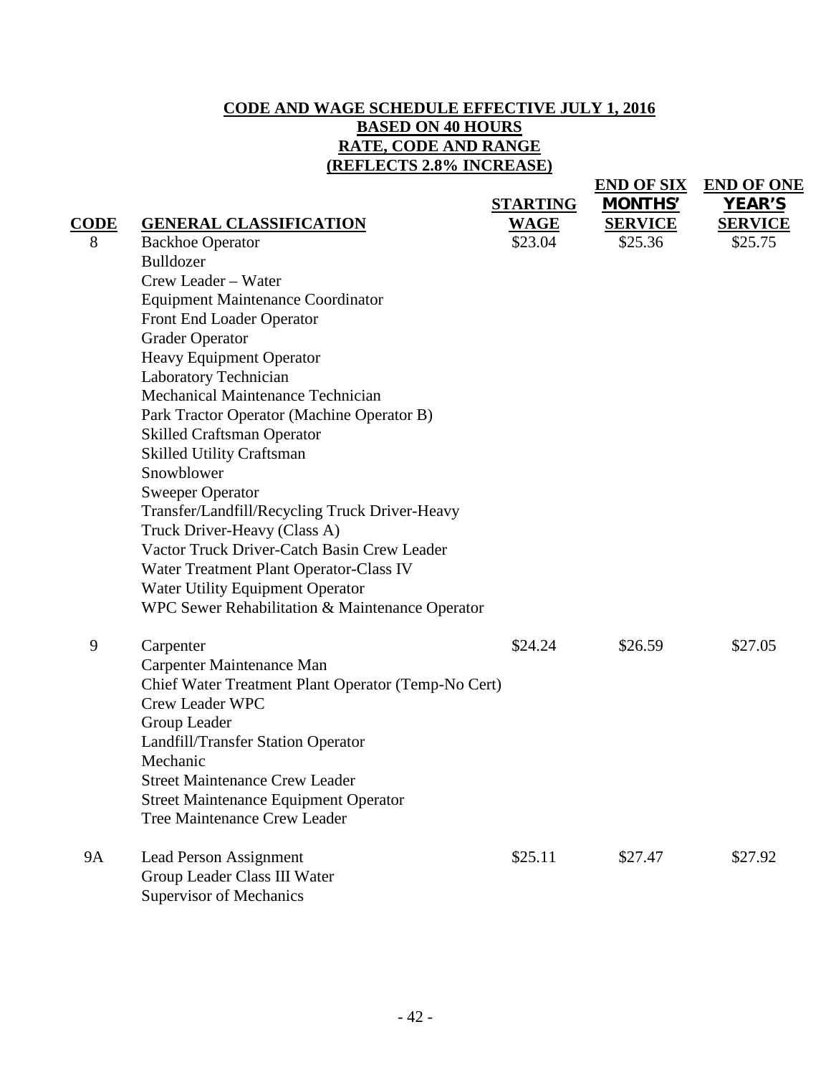# **CODE AND WAGE SCHEDULE EFFECTIVE JULY 1, 2016 BASED ON 40 HOURS RATE, CODE AND RANGE (REFLECTS 2.8% INCREASE)**

**END OF SIX END OF ONE**

|             |                                                     | <b>STARTING</b> | <b>MONTHS'</b> | <b>YEAR'S</b>  |
|-------------|-----------------------------------------------------|-----------------|----------------|----------------|
| <b>CODE</b> | <b>GENERAL CLASSIFICATION</b>                       | <b>WAGE</b>     | <b>SERVICE</b> | <b>SERVICE</b> |
| 8           | <b>Backhoe Operator</b>                             | \$23.04         | \$25.36        | \$25.75        |
|             | Bulldozer                                           |                 |                |                |
|             | Crew Leader - Water                                 |                 |                |                |
|             | <b>Equipment Maintenance Coordinator</b>            |                 |                |                |
|             | Front End Loader Operator                           |                 |                |                |
|             | <b>Grader Operator</b>                              |                 |                |                |
|             | Heavy Equipment Operator                            |                 |                |                |
|             | Laboratory Technician                               |                 |                |                |
|             | Mechanical Maintenance Technician                   |                 |                |                |
|             | Park Tractor Operator (Machine Operator B)          |                 |                |                |
|             | <b>Skilled Craftsman Operator</b>                   |                 |                |                |
|             | <b>Skilled Utility Craftsman</b>                    |                 |                |                |
|             | Snowblower                                          |                 |                |                |
|             | <b>Sweeper Operator</b>                             |                 |                |                |
|             | Transfer/Landfill/Recycling Truck Driver-Heavy      |                 |                |                |
|             | Truck Driver-Heavy (Class A)                        |                 |                |                |
|             | Vactor Truck Driver-Catch Basin Crew Leader         |                 |                |                |
|             | Water Treatment Plant Operator-Class IV             |                 |                |                |
|             | Water Utility Equipment Operator                    |                 |                |                |
|             | WPC Sewer Rehabilitation & Maintenance Operator     |                 |                |                |
| 9           | Carpenter                                           | \$24.24         | \$26.59        | \$27.05        |
|             | Carpenter Maintenance Man                           |                 |                |                |
|             | Chief Water Treatment Plant Operator (Temp-No Cert) |                 |                |                |
|             | <b>Crew Leader WPC</b>                              |                 |                |                |
|             | Group Leader                                        |                 |                |                |
|             | Landfill/Transfer Station Operator                  |                 |                |                |
|             | Mechanic                                            |                 |                |                |
|             | <b>Street Maintenance Crew Leader</b>               |                 |                |                |
|             | <b>Street Maintenance Equipment Operator</b>        |                 |                |                |
|             | <b>Tree Maintenance Crew Leader</b>                 |                 |                |                |
| <b>9A</b>   | <b>Lead Person Assignment</b>                       | \$25.11         | \$27.47        | \$27.92        |
|             | Group Leader Class III Water                        |                 |                |                |
|             | <b>Supervisor of Mechanics</b>                      |                 |                |                |
|             |                                                     |                 |                |                |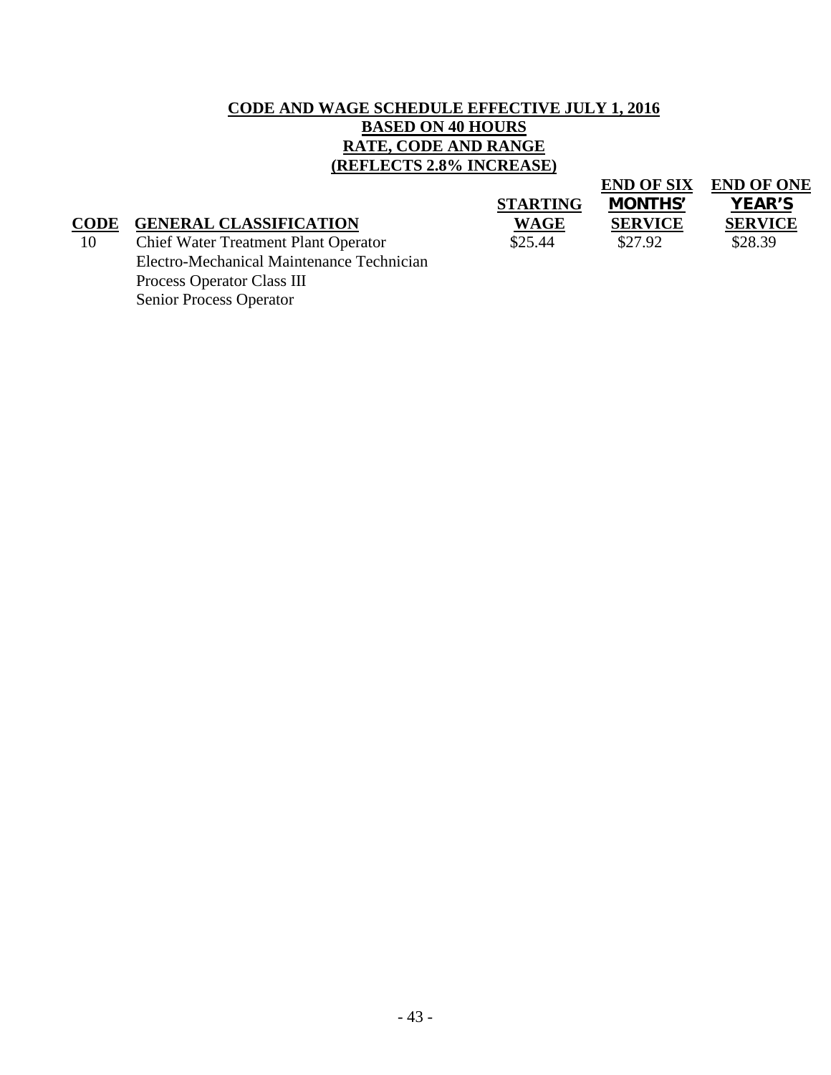## **CODE AND WAGE SCHEDULE EFFECTIVE JULY 1, 2016 BASED ON 40 HOURS RATE, CODE AND RANGE (REFLECTS 2.8% INCREASE)**

|                                             |                 | <b>END OF SIX</b> | <b>END OF ONE</b> |
|---------------------------------------------|-----------------|-------------------|-------------------|
|                                             | <b>STARTING</b> | <b>MONTHS'</b>    | <b>YEAR'S</b>     |
| <b>GENERAL CLASSIFICATION</b>               | <b>WAGE</b>     | <b>SERVICE</b>    | <b>SERVICE</b>    |
| <b>Chief Water Treatment Plant Operator</b> | \$25.44         | \$27.92           | \$28.39           |
| Electro-Mechanical Maintenance Technician   |                 |                   |                   |
| Process Operator Class III                  |                 |                   |                   |
|                                             |                 |                   |                   |

Senior Process Operator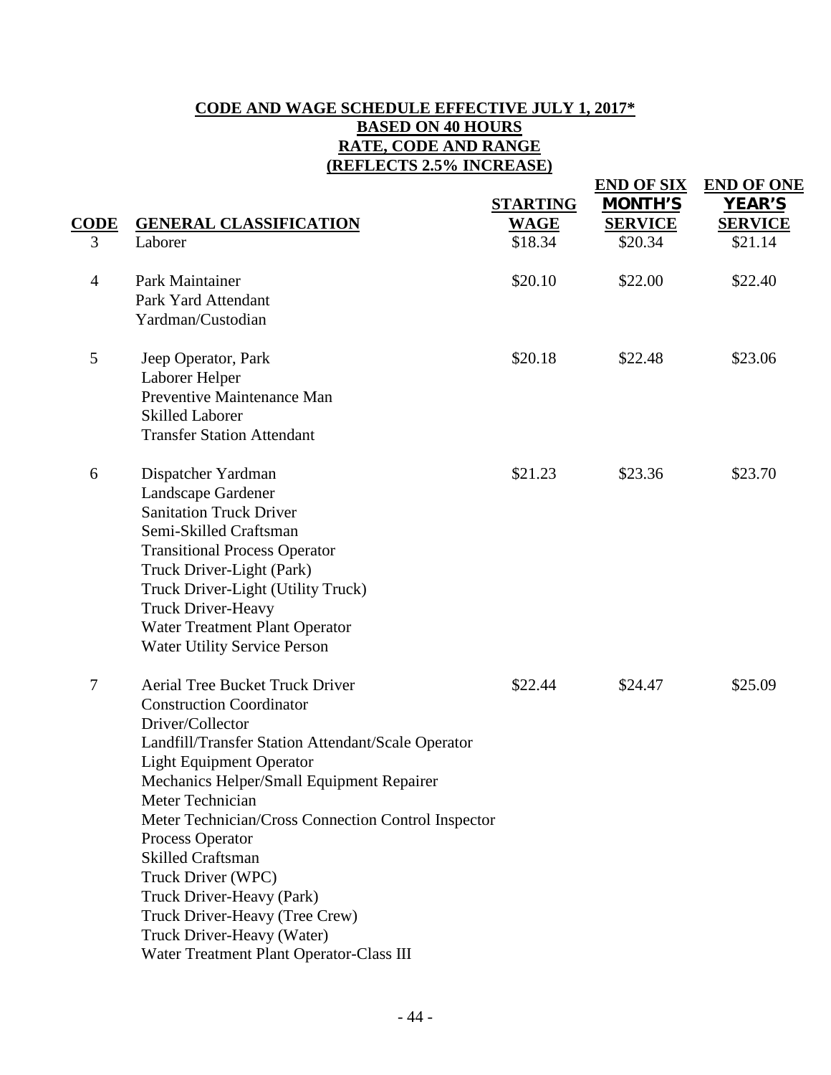## **CODE AND WAGE SCHEDULE EFFECTIVE JULY 1, 2017\* BASED ON 40 HOURS RATE, CODE AND RANGE (REFLECTS 2.5% INCREASE)**

| CODE<br>3      | <b>GENERAL CLASSIFICATION</b><br>Laborer                                                                                                                                                                                                                                                                                                                                                                                                                                                                                      | <b>STARTING</b><br><b>WAGE</b><br>\$18.34 | <b>END OF SIX</b><br><b>MONTH'S</b><br><b>SERVICE</b><br>\$20.34 | <b>END OF ONE</b><br><b>YEAR'S</b><br><b>SERVICE</b><br>\$21.14 |
|----------------|-------------------------------------------------------------------------------------------------------------------------------------------------------------------------------------------------------------------------------------------------------------------------------------------------------------------------------------------------------------------------------------------------------------------------------------------------------------------------------------------------------------------------------|-------------------------------------------|------------------------------------------------------------------|-----------------------------------------------------------------|
| $\overline{4}$ | Park Maintainer<br>Park Yard Attendant<br>Yardman/Custodian                                                                                                                                                                                                                                                                                                                                                                                                                                                                   | \$20.10                                   | \$22.00                                                          | \$22.40                                                         |
| 5              | Jeep Operator, Park<br>Laborer Helper<br>Preventive Maintenance Man<br><b>Skilled Laborer</b><br><b>Transfer Station Attendant</b>                                                                                                                                                                                                                                                                                                                                                                                            | \$20.18                                   | \$22.48                                                          | \$23.06                                                         |
| 6              | Dispatcher Yardman<br>Landscape Gardener<br><b>Sanitation Truck Driver</b><br>Semi-Skilled Craftsman<br><b>Transitional Process Operator</b><br>Truck Driver-Light (Park)<br>Truck Driver-Light (Utility Truck)<br><b>Truck Driver-Heavy</b><br>Water Treatment Plant Operator<br><b>Water Utility Service Person</b>                                                                                                                                                                                                         | \$21.23                                   | \$23.36                                                          | \$23.70                                                         |
| 7              | <b>Aerial Tree Bucket Truck Driver</b><br><b>Construction Coordinator</b><br>Driver/Collector<br>Landfill/Transfer Station Attendant/Scale Operator<br><b>Light Equipment Operator</b><br>Mechanics Helper/Small Equipment Repairer<br>Meter Technician<br>Meter Technician/Cross Connection Control Inspector<br>Process Operator<br><b>Skilled Craftsman</b><br>Truck Driver (WPC)<br>Truck Driver-Heavy (Park)<br>Truck Driver-Heavy (Tree Crew)<br>Truck Driver-Heavy (Water)<br>Water Treatment Plant Operator-Class III | \$22.44                                   | \$24.47                                                          | \$25.09                                                         |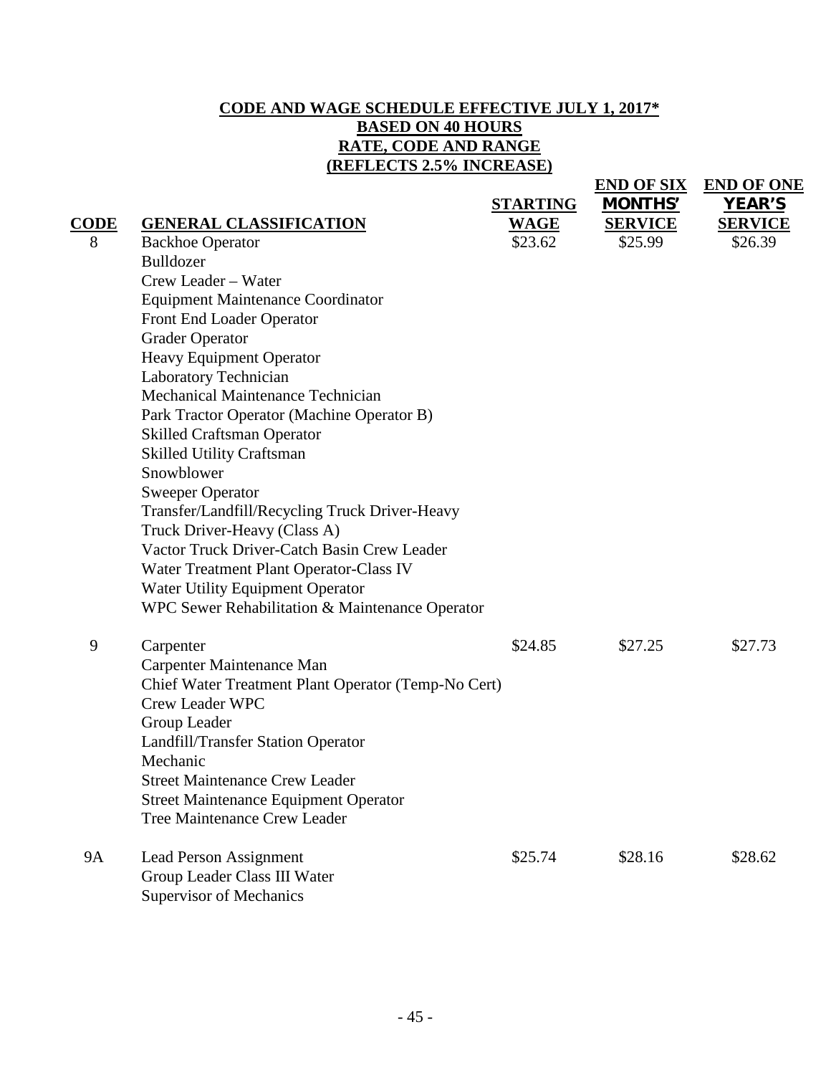# **CODE AND WAGE SCHEDULE EFFECTIVE JULY 1, 2017\* BASED ON 40 HOURS RATE, CODE AND RANGE (REFLECTS 2.5% INCREASE)**

**END OF SIX END OF ONE**

|             |                                                     | <b>STARTING</b> | MONTHS'        | <b>YEAR'S</b>  |
|-------------|-----------------------------------------------------|-----------------|----------------|----------------|
| <b>CODE</b> | <b>GENERAL CLASSIFICATION</b>                       | <b>WAGE</b>     | <b>SERVICE</b> | <b>SERVICE</b> |
| 8           | <b>Backhoe Operator</b>                             | \$23.62         | \$25.99        | \$26.39        |
|             | Bulldozer                                           |                 |                |                |
|             | Crew Leader - Water                                 |                 |                |                |
|             | <b>Equipment Maintenance Coordinator</b>            |                 |                |                |
|             | Front End Loader Operator                           |                 |                |                |
|             | <b>Grader Operator</b>                              |                 |                |                |
|             | Heavy Equipment Operator                            |                 |                |                |
|             | Laboratory Technician                               |                 |                |                |
|             | Mechanical Maintenance Technician                   |                 |                |                |
|             | Park Tractor Operator (Machine Operator B)          |                 |                |                |
|             | <b>Skilled Craftsman Operator</b>                   |                 |                |                |
|             | <b>Skilled Utility Craftsman</b>                    |                 |                |                |
|             | Snowblower                                          |                 |                |                |
|             | <b>Sweeper Operator</b>                             |                 |                |                |
|             | Transfer/Landfill/Recycling Truck Driver-Heavy      |                 |                |                |
|             | Truck Driver-Heavy (Class A)                        |                 |                |                |
|             | Vactor Truck Driver-Catch Basin Crew Leader         |                 |                |                |
|             | Water Treatment Plant Operator-Class IV             |                 |                |                |
|             | Water Utility Equipment Operator                    |                 |                |                |
|             | WPC Sewer Rehabilitation & Maintenance Operator     |                 |                |                |
| 9           | Carpenter                                           | \$24.85         | \$27.25        | \$27.73        |
|             | Carpenter Maintenance Man                           |                 |                |                |
|             | Chief Water Treatment Plant Operator (Temp-No Cert) |                 |                |                |
|             | <b>Crew Leader WPC</b>                              |                 |                |                |
|             | Group Leader                                        |                 |                |                |
|             | Landfill/Transfer Station Operator                  |                 |                |                |
|             | Mechanic                                            |                 |                |                |
|             | <b>Street Maintenance Crew Leader</b>               |                 |                |                |
|             | <b>Street Maintenance Equipment Operator</b>        |                 |                |                |
|             | <b>Tree Maintenance Crew Leader</b>                 |                 |                |                |
| <b>9A</b>   | <b>Lead Person Assignment</b>                       | \$25.74         | \$28.16        | \$28.62        |
|             | Group Leader Class III Water                        |                 |                |                |
|             | <b>Supervisor of Mechanics</b>                      |                 |                |                |
|             |                                                     |                 |                |                |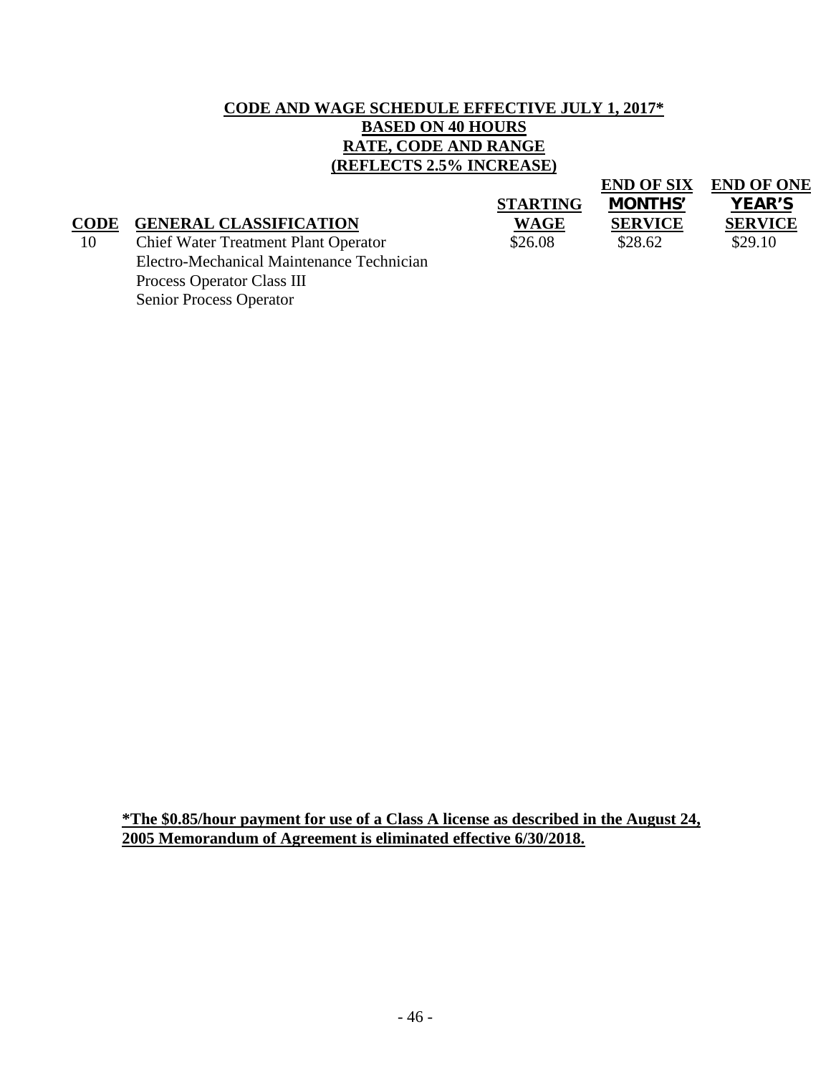## **CODE AND WAGE SCHEDULE EFFECTIVE JULY 1, 2017\* BASED ON 40 HOURS RATE, CODE AND RANGE (REFLECTS 2.5% INCREASE)**

|             |                                             |                 | <b>END OF SIX</b> | <b>END OF ONE</b> |
|-------------|---------------------------------------------|-----------------|-------------------|-------------------|
|             |                                             | <b>STARTING</b> | <b>MONTHS'</b>    | <b>YEAR'S</b>     |
| <b>CODE</b> | <b>GENERAL CLASSIFICATION</b>               | <b>WAGE</b>     | <b>SERVICE</b>    | <b>SERVICE</b>    |
| 10          | <b>Chief Water Treatment Plant Operator</b> | \$26.08         | \$28.62           | \$29.10           |
|             | Electro-Mechanical Maintenance Technician   |                 |                   |                   |
|             | Process Operator Class III                  |                 |                   |                   |

Senior Process Operator

**\*The \$0.85/hour payment for use of a Class A license as described in the August 24, 2005 Memorandum of Agreement is eliminated effective 6/30/2018.**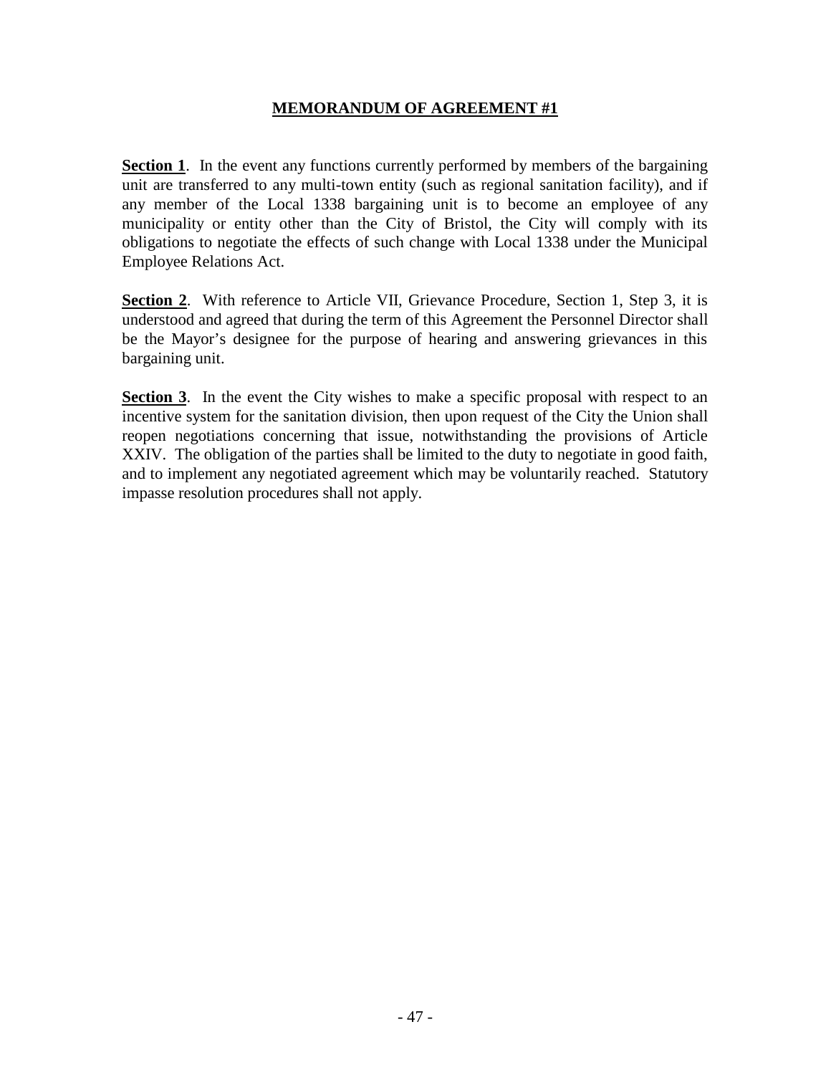#### **MEMORANDUM OF AGREEMENT #1**

**Section 1**. In the event any functions currently performed by members of the bargaining unit are transferred to any multi-town entity (such as regional sanitation facility), and if any member of the Local 1338 bargaining unit is to become an employee of any municipality or entity other than the City of Bristol, the City will comply with its obligations to negotiate the effects of such change with Local 1338 under the Municipal Employee Relations Act.

**Section 2**. With reference to Article VII, Grievance Procedure, Section 1, Step 3, it is understood and agreed that during the term of this Agreement the Personnel Director shall be the Mayor's designee for the purpose of hearing and answering grievances in this bargaining unit.

**Section 3.** In the event the City wishes to make a specific proposal with respect to an incentive system for the sanitation division, then upon request of the City the Union shall reopen negotiations concerning that issue, notwithstanding the provisions of Article XXIV. The obligation of the parties shall be limited to the duty to negotiate in good faith, and to implement any negotiated agreement which may be voluntarily reached. Statutory impasse resolution procedures shall not apply.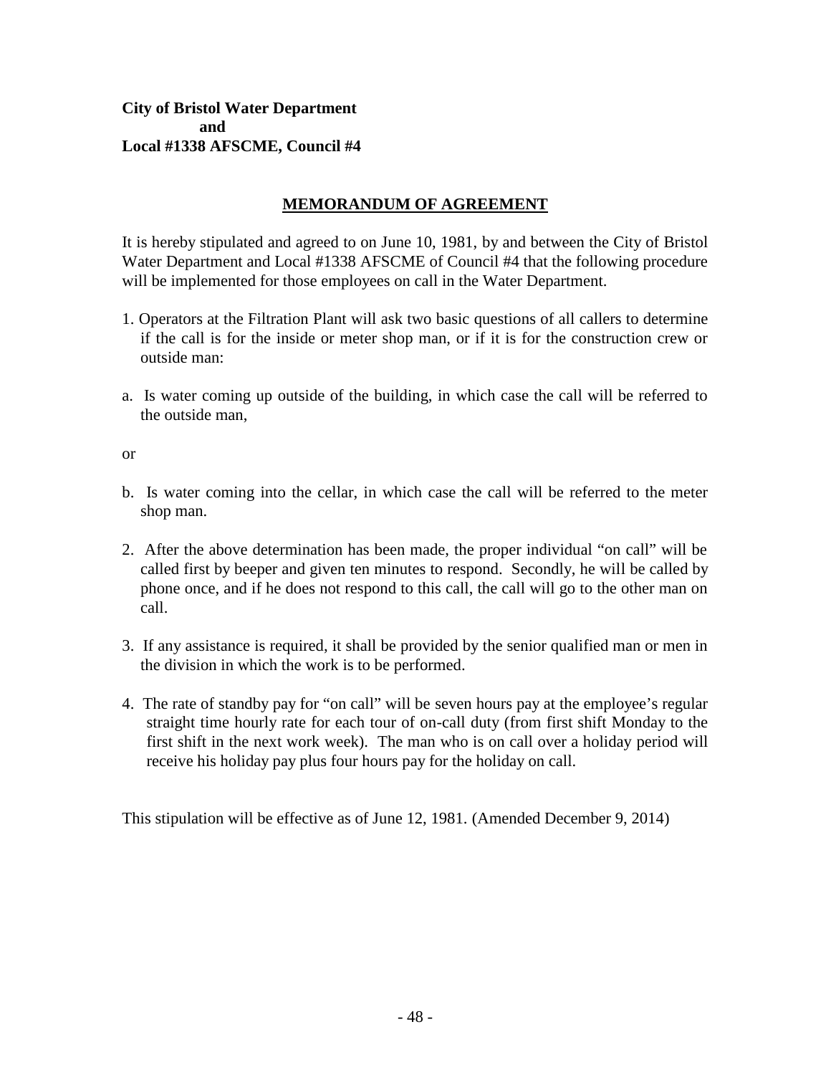## **City of Bristol Water Department and Local #1338 AFSCME, Council #4**

# **MEMORANDUM OF AGREEMENT**

It is hereby stipulated and agreed to on June 10, 1981, by and between the City of Bristol Water Department and Local #1338 AFSCME of Council #4 that the following procedure will be implemented for those employees on call in the Water Department.

- 1. Operators at the Filtration Plant will ask two basic questions of all callers to determine if the call is for the inside or meter shop man, or if it is for the construction crew or outside man:
- a. Is water coming up outside of the building, in which case the call will be referred to the outside man,

#### or

- b. Is water coming into the cellar, in which case the call will be referred to the meter shop man.
- 2. After the above determination has been made, the proper individual "on call" will be called first by beeper and given ten minutes to respond. Secondly, he will be called by phone once, and if he does not respond to this call, the call will go to the other man on call.
- 3. If any assistance is required, it shall be provided by the senior qualified man or men in the division in which the work is to be performed.
- 4. The rate of standby pay for "on call" will be seven hours pay at the employee's regular straight time hourly rate for each tour of on-call duty (from first shift Monday to the first shift in the next work week). The man who is on call over a holiday period will receive his holiday pay plus four hours pay for the holiday on call.

This stipulation will be effective as of June 12, 1981. (Amended December 9, 2014)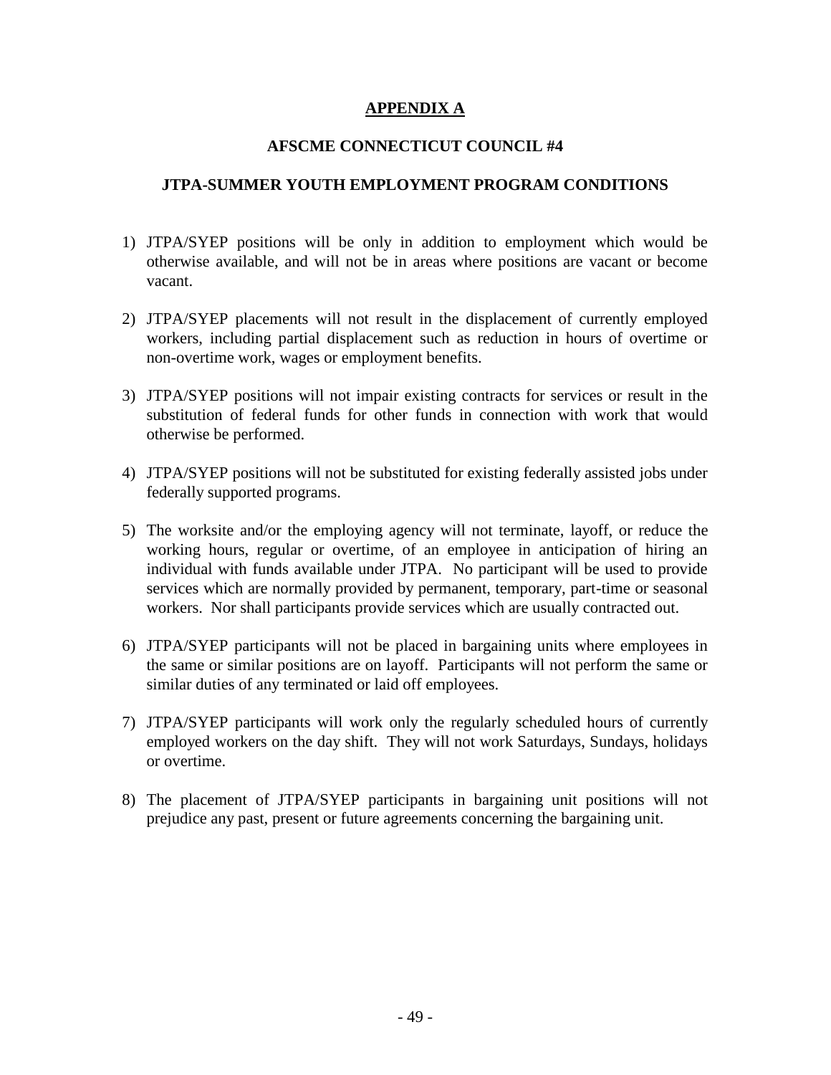## **APPENDIX A**

#### **AFSCME CONNECTICUT COUNCIL #4**

#### **JTPA-SUMMER YOUTH EMPLOYMENT PROGRAM CONDITIONS**

- 1) JTPA/SYEP positions will be only in addition to employment which would be otherwise available, and will not be in areas where positions are vacant or become vacant.
- 2) JTPA/SYEP placements will not result in the displacement of currently employed workers, including partial displacement such as reduction in hours of overtime or non-overtime work, wages or employment benefits.
- 3) JTPA/SYEP positions will not impair existing contracts for services or result in the substitution of federal funds for other funds in connection with work that would otherwise be performed.
- 4) JTPA/SYEP positions will not be substituted for existing federally assisted jobs under federally supported programs.
- 5) The worksite and/or the employing agency will not terminate, layoff, or reduce the working hours, regular or overtime, of an employee in anticipation of hiring an individual with funds available under JTPA. No participant will be used to provide services which are normally provided by permanent, temporary, part-time or seasonal workers. Nor shall participants provide services which are usually contracted out.
- 6) JTPA/SYEP participants will not be placed in bargaining units where employees in the same or similar positions are on layoff. Participants will not perform the same or similar duties of any terminated or laid off employees.
- 7) JTPA/SYEP participants will work only the regularly scheduled hours of currently employed workers on the day shift. They will not work Saturdays, Sundays, holidays or overtime.
- 8) The placement of JTPA/SYEP participants in bargaining unit positions will not prejudice any past, present or future agreements concerning the bargaining unit.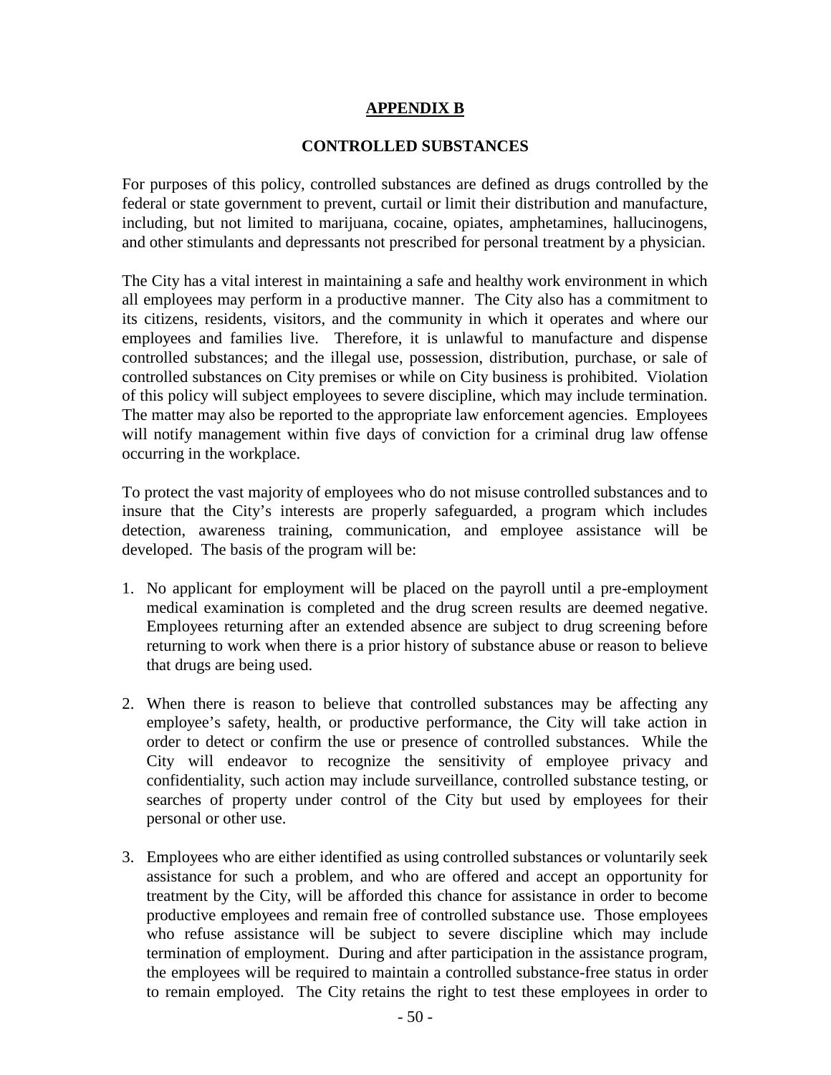#### **APPENDIX B**

#### **CONTROLLED SUBSTANCES**

For purposes of this policy, controlled substances are defined as drugs controlled by the federal or state government to prevent, curtail or limit their distribution and manufacture, including, but not limited to marijuana, cocaine, opiates, amphetamines, hallucinogens, and other stimulants and depressants not prescribed for personal treatment by a physician.

The City has a vital interest in maintaining a safe and healthy work environment in which all employees may perform in a productive manner. The City also has a commitment to its citizens, residents, visitors, and the community in which it operates and where our employees and families live. Therefore, it is unlawful to manufacture and dispense controlled substances; and the illegal use, possession, distribution, purchase, or sale of controlled substances on City premises or while on City business is prohibited. Violation of this policy will subject employees to severe discipline, which may include termination. The matter may also be reported to the appropriate law enforcement agencies. Employees will notify management within five days of conviction for a criminal drug law offense occurring in the workplace.

To protect the vast majority of employees who do not misuse controlled substances and to insure that the City's interests are properly safeguarded, a program which includes detection, awareness training, communication, and employee assistance will be developed. The basis of the program will be:

- 1. No applicant for employment will be placed on the payroll until a pre-employment medical examination is completed and the drug screen results are deemed negative. Employees returning after an extended absence are subject to drug screening before returning to work when there is a prior history of substance abuse or reason to believe that drugs are being used.
- 2. When there is reason to believe that controlled substances may be affecting any employee's safety, health, or productive performance, the City will take action in order to detect or confirm the use or presence of controlled substances. While the City will endeavor to recognize the sensitivity of employee privacy and confidentiality, such action may include surveillance, controlled substance testing, or searches of property under control of the City but used by employees for their personal or other use.
- 3. Employees who are either identified as using controlled substances or voluntarily seek assistance for such a problem, and who are offered and accept an opportunity for treatment by the City, will be afforded this chance for assistance in order to become productive employees and remain free of controlled substance use. Those employees who refuse assistance will be subject to severe discipline which may include termination of employment. During and after participation in the assistance program, the employees will be required to maintain a controlled substance-free status in order to remain employed. The City retains the right to test these employees in order to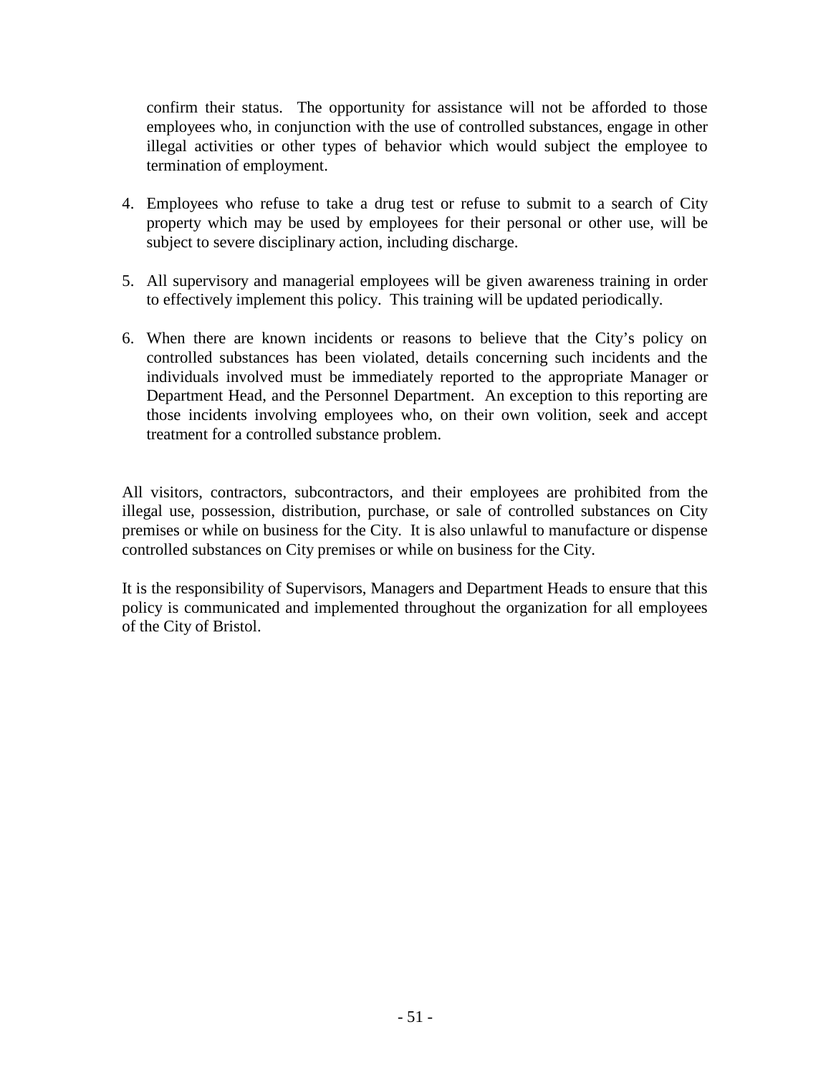confirm their status. The opportunity for assistance will not be afforded to those employees who, in conjunction with the use of controlled substances, engage in other illegal activities or other types of behavior which would subject the employee to termination of employment.

- 4. Employees who refuse to take a drug test or refuse to submit to a search of City property which may be used by employees for their personal or other use, will be subject to severe disciplinary action, including discharge.
- 5. All supervisory and managerial employees will be given awareness training in order to effectively implement this policy. This training will be updated periodically.
- 6. When there are known incidents or reasons to believe that the City's policy on controlled substances has been violated, details concerning such incidents and the individuals involved must be immediately reported to the appropriate Manager or Department Head, and the Personnel Department. An exception to this reporting are those incidents involving employees who, on their own volition, seek and accept treatment for a controlled substance problem.

All visitors, contractors, subcontractors, and their employees are prohibited from the illegal use, possession, distribution, purchase, or sale of controlled substances on City premises or while on business for the City. It is also unlawful to manufacture or dispense controlled substances on City premises or while on business for the City.

It is the responsibility of Supervisors, Managers and Department Heads to ensure that this policy is communicated and implemented throughout the organization for all employees of the City of Bristol.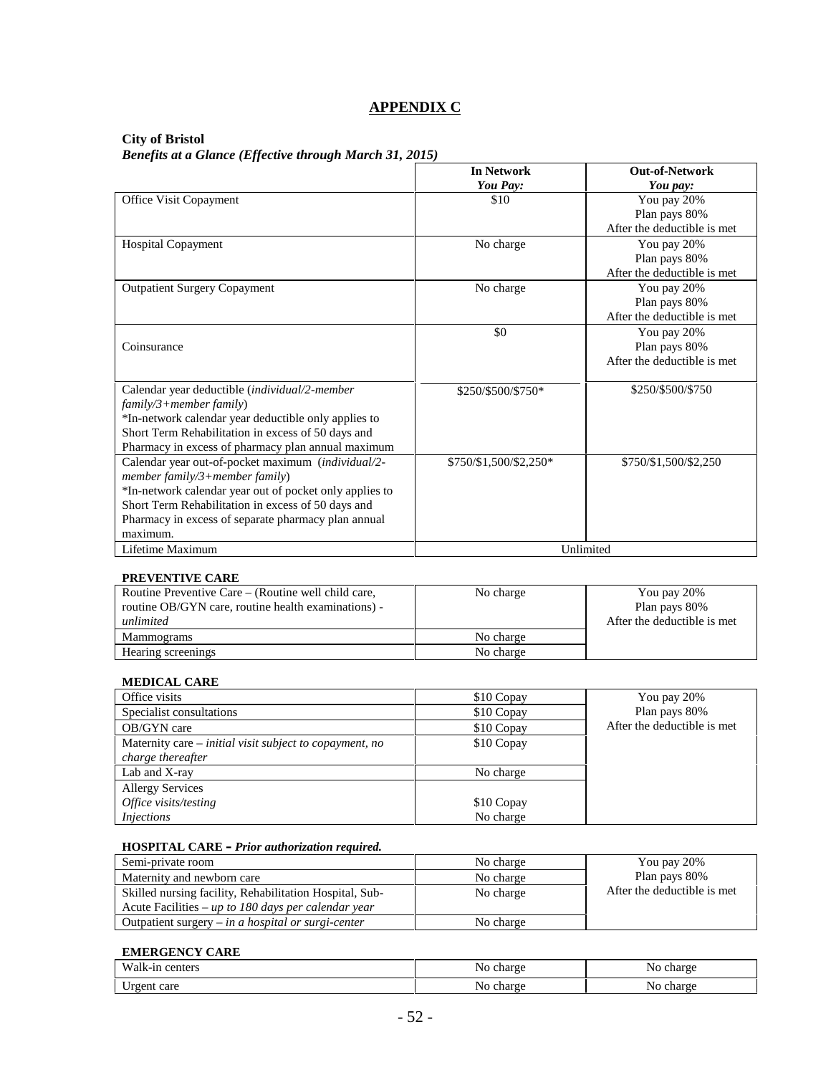# **APPENDIX C**

#### **City of Bristol**

*Benefits at a Glance (Effective through March 31, 2015)*

|                                                         | <b>In Network</b><br>You Pay: | <b>Out-of-Network</b><br>You pay: |
|---------------------------------------------------------|-------------------------------|-----------------------------------|
| <b>Office Visit Copayment</b>                           | \$10                          | You pay 20%                       |
|                                                         |                               | Plan pays 80%                     |
|                                                         |                               | After the deductible is met       |
| Hospital Copayment                                      | No charge                     | You pay 20%                       |
|                                                         |                               | Plan pays 80%                     |
|                                                         |                               | After the deductible is met       |
| <b>Outpatient Surgery Copayment</b>                     | No charge                     | You pay 20%                       |
|                                                         |                               | Plan pays 80%                     |
|                                                         |                               | After the deductible is met       |
|                                                         | \$0                           | You pay 20%                       |
| Coinsurance                                             |                               | Plan pays 80%                     |
|                                                         |                               | After the deductible is met       |
| Calendar year deductible (individual/2-member           | \$250/\$500/\$750*            | \$250/\$500/\$750                 |
| $family/3 + member family)$                             |                               |                                   |
| *In-network calendar year deductible only applies to    |                               |                                   |
| Short Term Rehabilitation in excess of 50 days and      |                               |                                   |
| Pharmacy in excess of pharmacy plan annual maximum      |                               |                                   |
| Calendar year out-of-pocket maximum (individual/2-      | \$750/\$1,500/\$2,250*        | \$750/\$1,500/\$2,250             |
| member family/3+member family)                          |                               |                                   |
| *In-network calendar year out of pocket only applies to |                               |                                   |
| Short Term Rehabilitation in excess of 50 days and      |                               |                                   |
| Pharmacy in excess of separate pharmacy plan annual     |                               |                                   |
| maximum.                                                |                               |                                   |
| Lifetime Maximum                                        |                               | Unlimited                         |

#### **PREVENTIVE CARE**

| Routine Preventive Care – (Routine well child care,<br>routine OB/GYN care, routine health examinations) - | No charge | You pay 20%<br>Plan pays 80% |
|------------------------------------------------------------------------------------------------------------|-----------|------------------------------|
| unlimited                                                                                                  |           | After the deductible is met. |
| Mammograms                                                                                                 | No charge |                              |
| Hearing screenings                                                                                         | No charge |                              |

#### **MEDICAL CARE**

| Office visits                                             | \$10 Copay | You pay 20%                 |
|-----------------------------------------------------------|------------|-----------------------------|
| Specialist consultations                                  | \$10 Copay | Plan pays 80%               |
| OB/GYN care                                               | \$10 Copay | After the deductible is met |
| Maternity care $-$ initial visit subject to copayment, no | \$10 Copay |                             |
| charge thereafter                                         |            |                             |
| Lab and X-ray                                             | No charge  |                             |
| <b>Allergy Services</b>                                   |            |                             |
| Office visits/testing                                     | \$10 Copay |                             |
| <i>Injections</i>                                         | No charge  |                             |

#### **HOSPITAL CARE –** *Prior authorization required.*

| Semi-private room                                       | No charge | You pay 20%                  |
|---------------------------------------------------------|-----------|------------------------------|
| Maternity and newborn care                              | No charge | Plan pays 80%                |
| Skilled nursing facility, Rehabilitation Hospital, Sub- | No charge | After the deductible is met. |
| Acute Facilities – up to 180 days per calendar year     |           |                              |
| Outpatient surgery $-$ in a hospital or surgi-center    | No charge |                              |

#### **EMERGENCY CARE**

| $\mathbf{X}$           | charac | charge             |
|------------------------|--------|--------------------|
| aantara                | Nc     | ΝC                 |
| спеть                  | ~      | $\sim$ 110 $\cdot$ |
| $ -$<br>care<br>.<br>◡ | Nο     | ΝC<br>um           |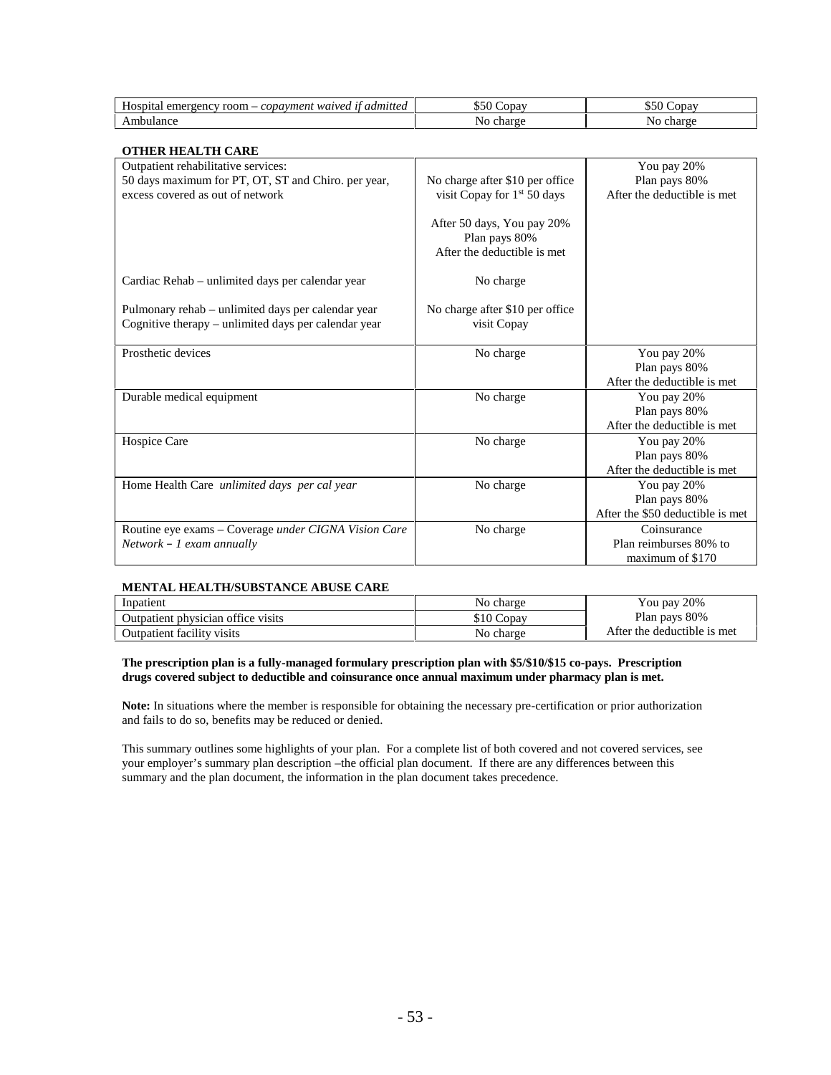| $-$<br>н.<br>room<br>admiti<br>$.$ wa $\sim$<br>1200<br><b>F</b><br>,,,,, | . ona "<br>ור | opay |
|---------------------------------------------------------------------------|---------------|------|
|                                                                           |               |      |

#### **OTHER HEALTH CARE**

| OTHER HEALTH CARE<br>Outpatient rehabilitative services:                                                   |                                                                            | You pay 20%                                                      |
|------------------------------------------------------------------------------------------------------------|----------------------------------------------------------------------------|------------------------------------------------------------------|
| 50 days maximum for PT, OT, ST and Chiro. per year,                                                        | No charge after \$10 per office                                            | Plan pays 80%                                                    |
| excess covered as out of network                                                                           | visit Copay for $1st 50$ days                                              | After the deductible is met                                      |
|                                                                                                            | After 50 days, You pay 20%<br>Plan pays 80%<br>After the deductible is met |                                                                  |
| Cardiac Rehab – unlimited days per calendar year                                                           | No charge                                                                  |                                                                  |
| Pulmonary rehab – unlimited days per calendar year<br>Cognitive therapy – unlimited days per calendar year | No charge after \$10 per office<br>visit Copay                             |                                                                  |
| Prosthetic devices                                                                                         | No charge                                                                  | You pay 20%<br>Plan pays 80%<br>After the deductible is met      |
| Durable medical equipment                                                                                  | No charge                                                                  | You pay 20%<br>Plan pays 80%<br>After the deductible is met.     |
| Hospice Care                                                                                               | No charge                                                                  | You pay 20%<br>Plan pays 80%<br>After the deductible is met      |
| Home Health Care unlimited days per cal year                                                               | No charge                                                                  | You pay 20%<br>Plan pays 80%<br>After the \$50 deductible is met |
| Routine eye exams – Coverage under CIGNA Vision Care<br>$Network - 1$ exam annually                        | No charge                                                                  | Coinsurance<br>Plan reimburses 80% to<br>maximum of \$170        |

#### **MENTAL HEALTH/SUBSTANCE ABUSE CARE**

| Inpatient                          | No charge     | You pay 20%                  |
|------------------------------------|---------------|------------------------------|
| Outpatient physician office visits | 510C<br>Copav | Plan pays 80%                |
| Outpatient facility visits         | No charge     | After the deductible is met. |

#### **The prescription plan is a fully-managed formulary prescription plan with \$5/\$10/\$15 co-pays. Prescription drugs covered subject to deductible and coinsurance once annual maximum under pharmacy plan is met.**

**Note:** In situations where the member is responsible for obtaining the necessary pre-certification or prior authorization and fails to do so, benefits may be reduced or denied.

This summary outlines some highlights of your plan. For a complete list of both covered and not covered services, see your employer's summary plan description –the official plan document. If there are any differences between this summary and the plan document, the information in the plan document takes precedence.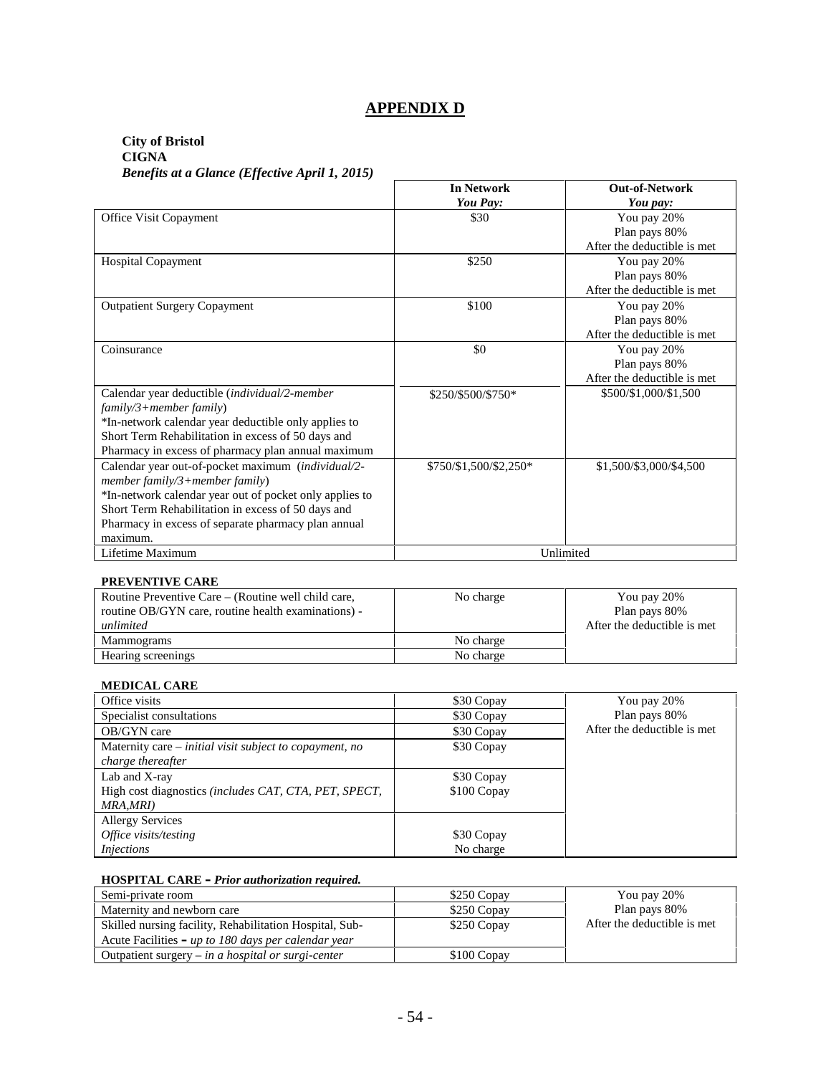# **APPENDIX D**

# **City of Bristol**

**CIGNA** *Benefits at a Glance (Effective April 1, 2015)*

|                                                         | <b>In Network</b>      | <b>Out-of-Network</b>       |
|---------------------------------------------------------|------------------------|-----------------------------|
|                                                         | You Pay:               | You pay:                    |
| Office Visit Copayment                                  | \$30                   | You pay 20%                 |
|                                                         |                        | Plan pays 80%               |
|                                                         |                        | After the deductible is met |
| <b>Hospital Copayment</b>                               | \$250                  | You pay 20%                 |
|                                                         |                        | Plan pays 80%               |
|                                                         |                        | After the deductible is met |
| <b>Outpatient Surgery Copayment</b>                     | \$100                  | You pay 20%                 |
|                                                         |                        | Plan pays 80%               |
|                                                         |                        | After the deductible is met |
| Coinsurance                                             | \$0                    | You pay 20%                 |
|                                                         |                        | Plan pays 80%               |
|                                                         |                        | After the deductible is met |
| Calendar year deductible (individual/2-member           | \$250/\$500/\$750*     | \$500/\$1,000/\$1,500       |
| family/3+member family)                                 |                        |                             |
| *In-network calendar year deductible only applies to    |                        |                             |
| Short Term Rehabilitation in excess of 50 days and      |                        |                             |
| Pharmacy in excess of pharmacy plan annual maximum      |                        |                             |
| Calendar year out-of-pocket maximum (individual/2-      | \$750/\$1,500/\$2,250* | \$1,500/\$3,000/\$4,500     |
| member $family/3 + member$ family)                      |                        |                             |
| *In-network calendar year out of pocket only applies to |                        |                             |
| Short Term Rehabilitation in excess of 50 days and      |                        |                             |
| Pharmacy in excess of separate pharmacy plan annual     |                        |                             |
| maximum.                                                |                        |                             |
| Lifetime Maximum                                        |                        | Unlimited                   |

#### **PREVENTIVE CARE**

| Routine Preventive Care – (Routine well child care,<br>routine OB/GYN care, routine health examinations) -<br>unlimited | No charge | You pay 20%<br>Plan pays 80%<br>After the deductible is met |
|-------------------------------------------------------------------------------------------------------------------------|-----------|-------------------------------------------------------------|
| <b>Mammograms</b>                                                                                                       | No charge |                                                             |
| Hearing screenings                                                                                                      | No charge |                                                             |

#### **MEDICAL CARE**

| Office visits                                                | \$30 Copay  | You pay 20%                 |
|--------------------------------------------------------------|-------------|-----------------------------|
| Specialist consultations                                     | \$30 Copay  | Plan pays 80%               |
| OB/GYN care                                                  | \$30 Copay  | After the deductible is met |
| Maternity care – initial visit subject to copayment, no      | \$30 Copay  |                             |
| charge thereafter                                            |             |                             |
| Lab and X-ray                                                | \$30 Copay  |                             |
| High cost diagnostics <i>(includes CAT, CTA, PET, SPECT,</i> | \$100 Copay |                             |
| MRA,MRI)                                                     |             |                             |
| <b>Allergy Services</b>                                      |             |                             |
| Office visits/testing                                        | \$30 Copay  |                             |
| <i>Injections</i>                                            | No charge   |                             |

#### **HOSPITAL CARE –** *Prior authorization required.*

| Semi-private room                                       | \$250 Copay | You pay 20%                  |
|---------------------------------------------------------|-------------|------------------------------|
| Maternity and newborn care                              | \$250 Copay | Plan pays 80%                |
| Skilled nursing facility, Rehabilitation Hospital, Sub- | \$250 Copay | After the deductible is met. |
| Acute Facilities – up to 180 days per calendar year     |             |                              |
| Outpatient surgery $-$ in a hospital or surgi-center    | \$100 Copay |                              |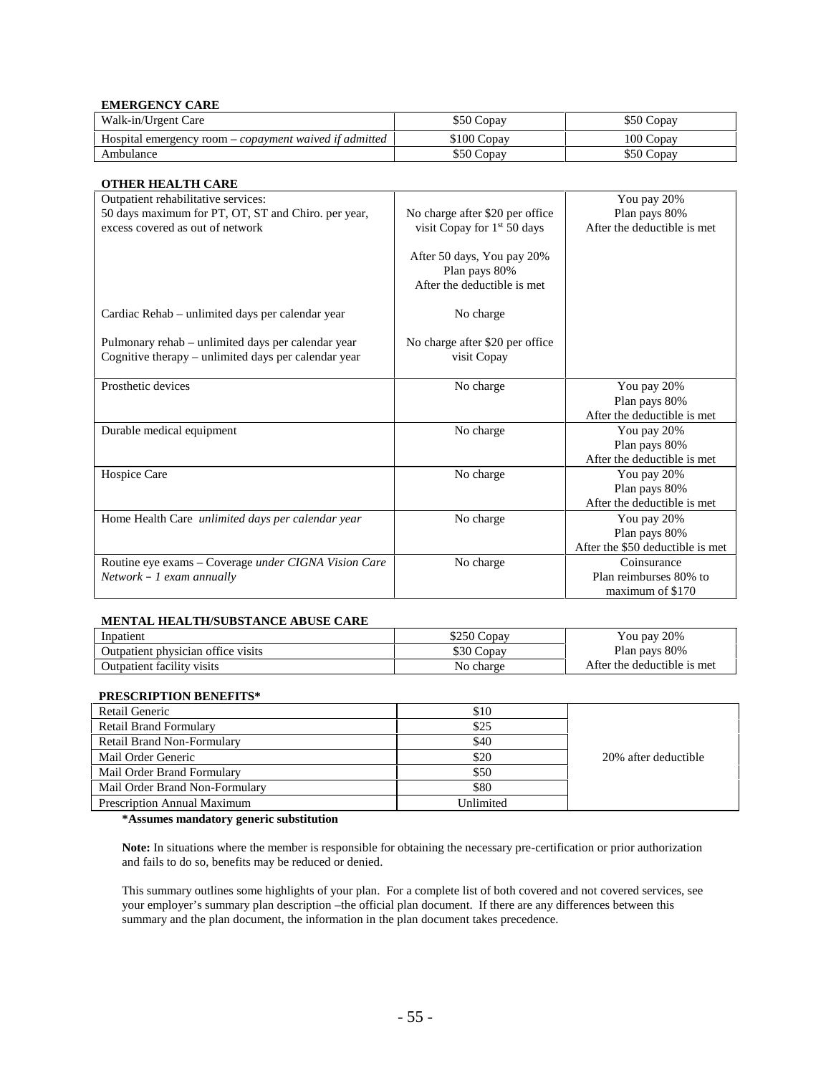#### **EMERGENCY CARE**

| Walk-in/Urgent Care                                           | \$50 Copay  | \$50 Copay |
|---------------------------------------------------------------|-------------|------------|
| Hospital emergency room – <i>copayment</i> waived if admitted | \$100 Copay | 100 Copav  |
| Ambulance                                                     | \$50 Copav  | \$50 Copay |

#### **OTHER HEALTH CARE**

| Outpatient rehabilitative services:                                                                        |                                                                            | You pay 20%                      |
|------------------------------------------------------------------------------------------------------------|----------------------------------------------------------------------------|----------------------------------|
| 50 days maximum for PT, OT, ST and Chiro. per year,                                                        | No charge after \$20 per office                                            | Plan pays 80%                    |
| excess covered as out of network                                                                           | visit Copay for 1 <sup>st</sup> 50 days                                    | After the deductible is met      |
|                                                                                                            | After 50 days, You pay 20%<br>Plan pays 80%<br>After the deductible is met |                                  |
| Cardiac Rehab – unlimited days per calendar year                                                           | No charge                                                                  |                                  |
| Pulmonary rehab - unlimited days per calendar year<br>Cognitive therapy – unlimited days per calendar year | No charge after \$20 per office<br>visit Copay                             |                                  |
| Prosthetic devices                                                                                         | No charge                                                                  | You pay 20%                      |
|                                                                                                            |                                                                            | Plan pays 80%                    |
|                                                                                                            |                                                                            | After the deductible is met      |
| Durable medical equipment                                                                                  | No charge                                                                  | You pay 20%                      |
|                                                                                                            |                                                                            | Plan pays 80%                    |
|                                                                                                            |                                                                            | After the deductible is met      |
| Hospice Care                                                                                               | No charge                                                                  | You pay 20%                      |
|                                                                                                            |                                                                            | Plan pays 80%                    |
|                                                                                                            |                                                                            | After the deductible is met      |
| Home Health Care unlimited days per calendar year                                                          | No charge                                                                  | You pay 20%                      |
|                                                                                                            |                                                                            | Plan pays 80%                    |
|                                                                                                            |                                                                            | After the \$50 deductible is met |
| Routine eye exams - Coverage under CIGNA Vision Care                                                       | No charge                                                                  | Coinsurance                      |
| $Network - 1$ exam annually                                                                                |                                                                            | Plan reimburses 80% to           |
|                                                                                                            |                                                                            | maximum of \$170                 |

#### **MENTAL HEALTH/SUBSTANCE ABUSE CARE**

| Inpatient                          | \$250 Copay | You pay 20%                 |
|------------------------------------|-------------|-----------------------------|
| Outpatient physician office visits | \$30 Copay  | Plan pays 80%               |
| Outpatient facility visits         | No charge   | After the deductible is met |

#### **PRESCRIPTION BENEFITS\***

| Retail Generic                     | \$10      |                      |
|------------------------------------|-----------|----------------------|
| <b>Retail Brand Formulary</b>      | \$25      |                      |
| <b>Retail Brand Non-Formulary</b>  | \$40      |                      |
| Mail Order Generic                 | \$20      | 20% after deductible |
| Mail Order Brand Formulary         | \$50      |                      |
| Mail Order Brand Non-Formulary     | \$80      |                      |
| <b>Prescription Annual Maximum</b> | Unlimited |                      |

#### **\*Assumes mandatory generic substitution**

**Note:** In situations where the member is responsible for obtaining the necessary pre-certification or prior authorization and fails to do so, benefits may be reduced or denied.

This summary outlines some highlights of your plan. For a complete list of both covered and not covered services, see your employer's summary plan description –the official plan document. If there are any differences between this summary and the plan document, the information in the plan document takes precedence.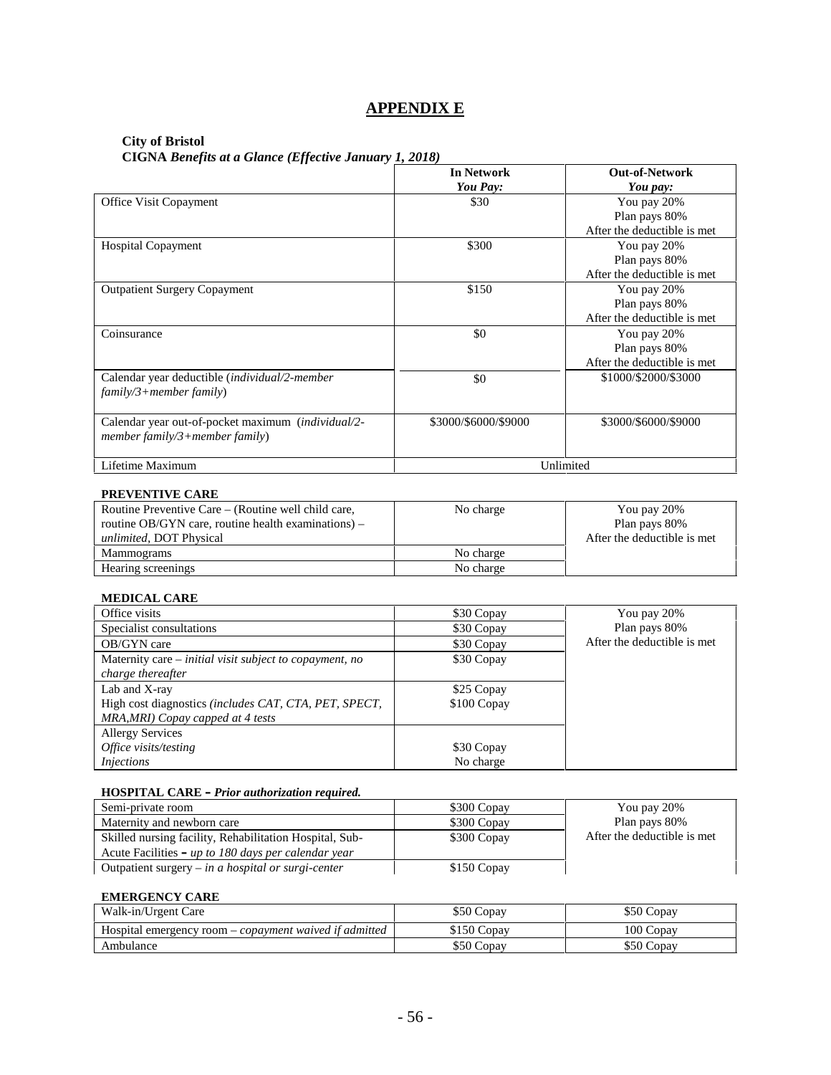# **APPENDIX E**

#### **City of Bristol**

**CIGNA** *Benefits at a Glance (Effective January 1, 2018)*

|                                                                                      | <b>In Network</b><br>You Pay: | <b>Out-of-Network</b><br>You pay:                           |
|--------------------------------------------------------------------------------------|-------------------------------|-------------------------------------------------------------|
| Office Visit Copayment                                                               | \$30                          | You pay 20%<br>Plan pays 80%<br>After the deductible is met |
| <b>Hospital Copayment</b>                                                            | \$300                         | You pay 20%<br>Plan pays 80%<br>After the deductible is met |
| <b>Outpatient Surgery Copayment</b>                                                  | \$150                         | You pay 20%<br>Plan pays 80%<br>After the deductible is met |
| Coinsurance                                                                          | \$0                           | You pay 20%<br>Plan pays 80%<br>After the deductible is met |
| Calendar year deductible (individual/2-member<br>$family/3 + member family)$         | \$0                           | \$1000/\$2000/\$3000                                        |
| Calendar year out-of-pocket maximum (individual/2-<br>member family/3+member family) | \$3000/\$6000/\$9000          | \$3000/\$6000/\$9000                                        |
| Lifetime Maximum                                                                     | Unlimited                     |                                                             |

#### **PREVENTIVE CARE**

| Routine Preventive Care – (Routine well child care,   | No charge | You pay 20%                 |
|-------------------------------------------------------|-----------|-----------------------------|
| routine OB/GYN care, routine health examinations) $-$ |           | Plan pays 80%               |
| <i>unlimited</i> , DOT Physical                       |           | After the deductible is met |
| Mammograms                                            | No charge |                             |
| Hearing screenings                                    | No charge |                             |

#### **MEDICAL CARE**

| Office visits                                           | \$30 Copay  | You pay 20%                  |
|---------------------------------------------------------|-------------|------------------------------|
| Specialist consultations                                | \$30 Copay  | Plan pays 80%                |
| OB/GYN care                                             | \$30 Copay  | After the deductible is met. |
| Maternity care – initial visit subject to copayment, no | \$30 Copay  |                              |
| charge thereafter                                       |             |                              |
| Lab and X-ray                                           | \$25 Copay  |                              |
| High cost diagnostics (includes CAT, CTA, PET, SPECT,   | \$100 Copay |                              |
| MRA, MRI) Copay capped at 4 tests                       |             |                              |
| <b>Allergy Services</b>                                 |             |                              |
| Office visits/testing                                   | \$30 Copay  |                              |
| <i>Injections</i>                                       | No charge   |                              |

#### **HOSPITAL CARE –** *Prior authorization required.*

| Semi-private room                                       | \$300 Copay | You pay 20%                  |
|---------------------------------------------------------|-------------|------------------------------|
| Maternity and newborn care                              | \$300 Copay | Plan pays 80%                |
| Skilled nursing facility, Rehabilitation Hospital, Sub- | \$300 Copay | After the deductible is met. |
| Acute Facilities – up to 180 days per calendar year     |             |                              |
| Outpatient surgery $-$ in a hospital or surgi-center    | \$150 Copay |                              |

#### **EMERGENCY CARE**

| Walk-in/Urgent Care                                           | \$50 Copay   | \$50 Copay |
|---------------------------------------------------------------|--------------|------------|
| Hospital emergency room – <i>copayment waived if admitted</i> | $$150$ Copay | 100 Copav  |
| Ambulance                                                     | \$50 Copay   | \$50 Copay |